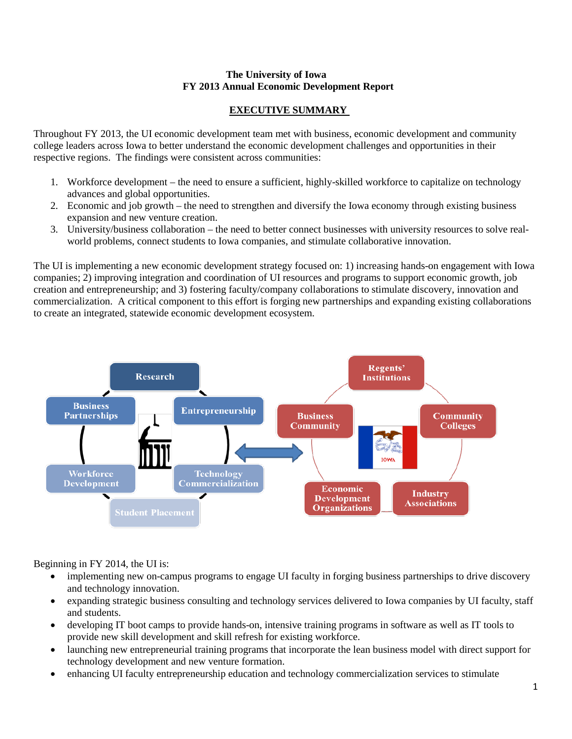#### **The University of Iowa FY 2013 Annual Economic Development Report**

# **EXECUTIVE SUMMARY**

Throughout FY 2013, the UI economic development team met with business, economic development and community college leaders across Iowa to better understand the economic development challenges and opportunities in their respective regions. The findings were consistent across communities:

- 1. Workforce development the need to ensure a sufficient, highly-skilled workforce to capitalize on technology advances and global opportunities.
- 2. Economic and job growth the need to strengthen and diversify the Iowa economy through existing business expansion and new venture creation.
- 3. University/business collaboration the need to better connect businesses with university resources to solve realworld problems, connect students to Iowa companies, and stimulate collaborative innovation.

The UI is implementing a new economic development strategy focused on: 1) increasing hands-on engagement with Iowa companies; 2) improving integration and coordination of UI resources and programs to support economic growth, job creation and entrepreneurship; and 3) fostering faculty/company collaborations to stimulate discovery, innovation and commercialization. A critical component to this effort is forging new partnerships and expanding existing collaborations to create an integrated, statewide economic development ecosystem.



Beginning in FY 2014, the UI is:

- implementing new on-campus programs to engage UI faculty in forging business partnerships to drive discovery and technology innovation.
- expanding strategic business consulting and technology services delivered to Iowa companies by UI faculty, staff and students.
- developing IT boot camps to provide hands-on, intensive training programs in software as well as IT tools to provide new skill development and skill refresh for existing workforce.
- launching new entrepreneurial training programs that incorporate the lean business model with direct support for technology development and new venture formation.
- enhancing UI faculty entrepreneurship education and technology commercialization services to stimulate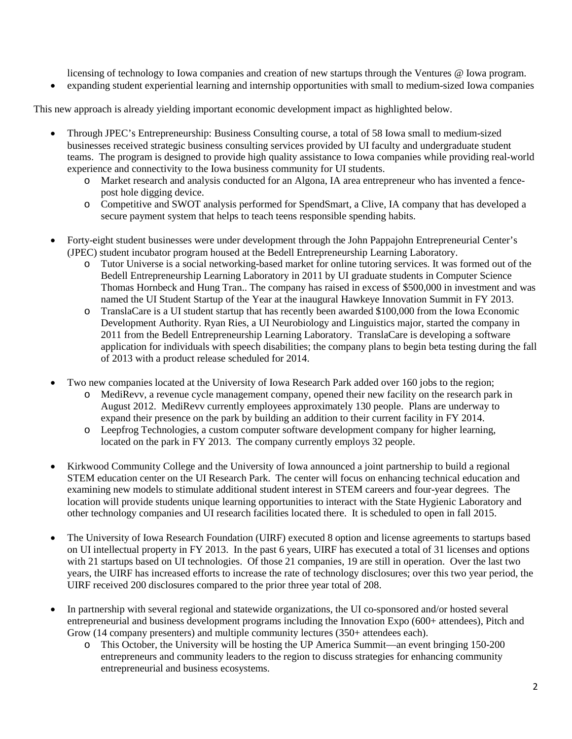licensing of technology to Iowa companies and creation of new startups through the Ventures @ Iowa program.

• expanding student experiential learning and internship opportunities with small to medium-sized Iowa companies

This new approach is already yielding important economic development impact as highlighted below.

- Through JPEC's Entrepreneurship: Business Consulting course, a total of 58 Iowa small to medium-sized businesses received strategic business consulting services provided by UI faculty and undergraduate student teams. The program is designed to provide high quality assistance to Iowa companies while providing real-world experience and connectivity to the Iowa business community for UI students.
	- o Market research and analysis conducted for an Algona, IA area entrepreneur who has invented a fencepost hole digging device.
	- o Competitive and SWOT analysis performed for SpendSmart, a Clive, IA company that has developed a secure payment system that helps to teach teens responsible spending habits.
- Forty-eight student businesses were under development through the John Pappajohn Entrepreneurial Center's (JPEC) student incubator program housed at the Bedell Entrepreneurship Learning Laboratory.
	- o Tutor Universe is a social networking-based market for online tutoring services. It was formed out of the Bedell Entrepreneurship Learning Laboratory in 2011 by UI graduate students in Computer Science Thomas Hornbeck and Hung Tran.. The company has raised in excess of \$500,000 in investment and was named the UI Student Startup of the Year at the inaugural Hawkeye Innovation Summit in FY 2013.
	- o TranslaCare is a UI student startup that has recently been awarded \$100,000 from the Iowa Economic Development Authority. Ryan Ries, a UI Neurobiology and Linguistics major, started the company in 2011 from the Bedell Entrepreneurship Learning Laboratory. TranslaCare is developing a software application for individuals with speech disabilities; the company plans to begin beta testing during the fall of 2013 with a product release scheduled for 2014.
- Two new companies located at the University of Iowa Research Park added over 160 jobs to the region;
	- o MediRevv, a revenue cycle management company, opened their new facility on the research park in August 2012. MediRevv currently employees approximately 130 people. Plans are underway to expand their presence on the park by building an addition to their current facility in FY 2014.
	- o Leepfrog Technologies, a custom computer software development company for higher learning, located on the park in FY 2013. The company currently employs 32 people.
- Kirkwood Community College and the University of Iowa announced a joint partnership to build a regional STEM education center on the UI Research Park. The center will focus on enhancing technical education and examining new models to stimulate additional student interest in STEM careers and four-year degrees. The location will provide students unique learning opportunities to interact with the State Hygienic Laboratory and other technology companies and UI research facilities located there. It is scheduled to open in fall 2015.
- The University of Iowa Research Foundation (UIRF) executed 8 option and license agreements to startups based on UI intellectual property in FY 2013. In the past 6 years, UIRF has executed a total of 31 licenses and options with 21 startups based on UI technologies. Of those 21 companies, 19 are still in operation. Over the last two years, the UIRF has increased efforts to increase the rate of technology disclosures; over this two year period, the UIRF received 200 disclosures compared to the prior three year total of 208.
- In partnership with several regional and statewide organizations, the UI co-sponsored and/or hosted several entrepreneurial and business development programs including the Innovation Expo (600+ attendees), Pitch and Grow (14 company presenters) and multiple community lectures (350+ attendees each).
	- o This October, the University will be hosting the UP America Summit—an event bringing 150-200 entrepreneurs and community leaders to the region to discuss strategies for enhancing community entrepreneurial and business ecosystems.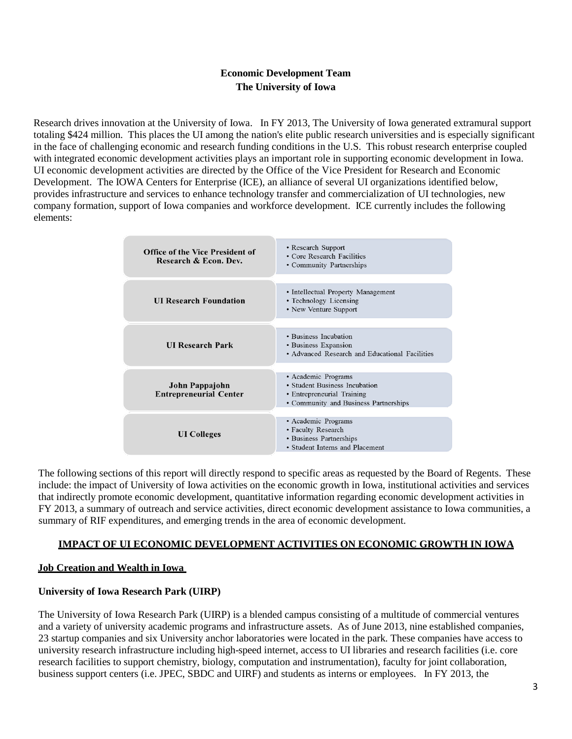# **Economic Development Team The University of Iowa**

Research drives innovation at the University of Iowa. In FY 2013, The University of Iowa generated extramural support totaling \$424 million. This places the UI among the nation's elite public research universities and is especially significant in the face of challenging economic and research funding conditions in the U.S. This robust research enterprise coupled with integrated economic development activities plays an important role in supporting economic development in Iowa. UI economic development activities are directed by the Office of the Vice President for Research and Economic Development. The IOWA Centers for Enterprise (ICE), an alliance of several UI organizations identified below, provides infrastructure and services to enhance technology transfer and commercialization of UI technologies, new company formation, support of Iowa companies and workforce development. ICE currently includes the following elements:

| <b>Office of the Vice President of</b><br>Research & Econ. Dev. | • Research Support<br>• Core Research Facilities<br>• Community Partnerships                                                |  |  |  |  |
|-----------------------------------------------------------------|-----------------------------------------------------------------------------------------------------------------------------|--|--|--|--|
| <b>UI Research Foundation</b>                                   | • Intellectual Property Management<br>• Technology Licensing<br>• New Venture Support                                       |  |  |  |  |
| <b>UI Research Park</b>                                         | • Business Incubation<br>• Business Expansion<br>• Advanced Research and Educational Facilities                             |  |  |  |  |
| John Pappajohn<br><b>Entrepreneurial Center</b>                 | · Academic Programs<br>• Student Business Incubation<br>• Entrepreneurial Training<br>• Community and Business Partnerships |  |  |  |  |
| <b>UI</b> Colleges                                              | · Academic Programs<br>• Faculty Research<br>• Business Partnerships<br>• Student Interns and Placement                     |  |  |  |  |

The following sections of this report will directly respond to specific areas as requested by the Board of Regents. These include: the impact of University of Iowa activities on the economic growth in Iowa, institutional activities and services that indirectly promote economic development, quantitative information regarding economic development activities in FY 2013, a summary of outreach and service activities, direct economic development assistance to Iowa communities, a summary of RIF expenditures, and emerging trends in the area of economic development.

#### **IMPACT OF UI ECONOMIC DEVELOPMENT ACTIVITIES ON ECONOMIC GROWTH IN IOWA**

# **Job Creation and Wealth in Iowa**

#### **University of Iowa Research Park (UIRP)**

The University of Iowa Research Park (UIRP) is a blended campus consisting of a multitude of commercial ventures and a variety of university academic programs and infrastructure assets. As of June 2013, nine established companies, 23 startup companies and six University anchor laboratories were located in the park. These companies have access to university research infrastructure including high-speed internet, access to UI libraries and research facilities (i.e. core research facilities to support chemistry, biology, computation and instrumentation), faculty for joint collaboration, business support centers (i.e. JPEC, SBDC and UIRF) and students as interns or employees. In FY 2013, the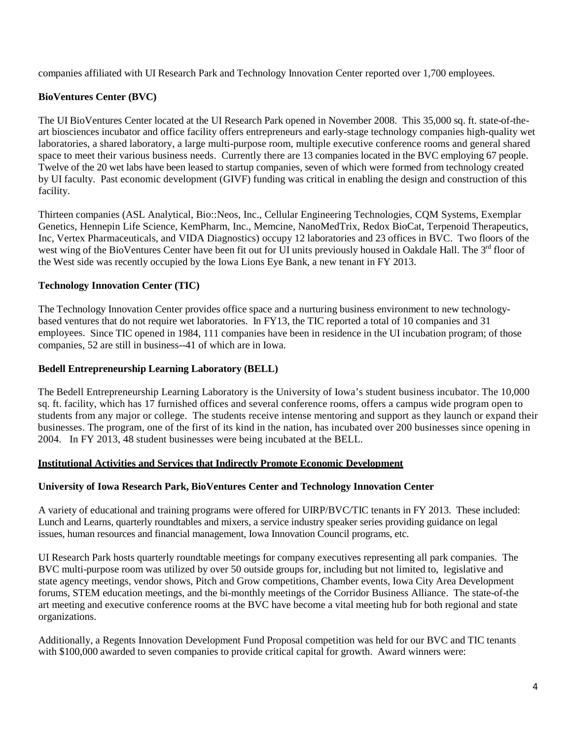companies affiliated with UI Research Park and Technology Innovation Center reported over 1,700 employees.

# **BioVentures Center (BVC)**

The UI BioVentures Center located at the UI Research Park opened in November 2008. This 35,000 sq. ft. state-of-theart biosciences incubator and office facility offers entrepreneurs and early-stage technology companies high-quality wet laboratories, a shared laboratory, a large multi-purpose room, multiple executive conference rooms and general shared space to meet their various business needs. Currently there are 13 companies located in the BVC employing 67 people. Twelve of the 20 wet labs have been leased to startup companies, seven of which were formed from technology created by UI faculty. Past economic development (GIVF) funding was critical in enabling the design and construction of this facility.

Thirteen companies (ASL Analytical, Bio::Neos, Inc., Cellular Engineering Technologies, CQM Systems, Exemplar Genetics, Hennepin Life Science, KemPharm, Inc., Memcine, NanoMedTrix, Redox BioCat, Terpenoid Therapeutics, Inc, Vertex Pharmaceuticals, and VIDA Diagnostics) occupy 12 laboratories and 23 offices in BVC. Two floors of the west wing of the BioVentures Center have been fit out for UI units previously housed in Oakdale Hall. The 3<sup>rd</sup> floor of the West side was recently occupied by the Iowa Lions Eye Bank, a new tenant in FY 2013.

#### **Technology Innovation Center (TIC)**

The Technology Innovation Center provides office space and a nurturing business environment to new technologybased ventures that do not require wet laboratories. In FY13, the TIC reported a total of 10 companies and 31 employees. Since TIC opened in 1984, 111 companies have been in residence in the UI incubation program; of those companies, 52 are still in business--41 of which are in Iowa.

#### **Bedell Entrepreneurship Learning Laboratory (BELL)**

The Bedell Entrepreneurship Learning Laboratory is the University of Iowa's student business incubator. The 10,000 sq. ft. facility, which has 17 furnished offices and several conference rooms, offers a campus wide program open to students from any major or college. The students receive intense mentoring and support as they launch or expand their businesses. The program, one of the first of its kind in the nation, has incubated over 200 businesses since opening in 2004. In FY 2013, 48 student businesses were being incubated at the BELL.

#### **Institutional Activities and Services that Indirectly Promote Economic Development**

#### **University of Iowa Research Park, BioVentures Center and Technology Innovation Center**

A variety of educational and training programs were offered for UIRP/BVC/TIC tenants in FY 2013. These included: Lunch and Learns, quarterly roundtables and mixers, a service industry speaker series providing guidance on legal issues, human resources and financial management, Iowa Innovation Council programs, etc.

UI Research Park hosts quarterly roundtable meetings for company executives representing all park companies. The BVC multi-purpose room was utilized by over 50 outside groups for, including but not limited to, legislative and state agency meetings, vendor shows, Pitch and Grow competitions, Chamber events, Iowa City Area Development forums, STEM education meetings, and the bi-monthly meetings of the Corridor Business Alliance. The state-of-the art meeting and executive conference rooms at the BVC have become a vital meeting hub for both regional and state organizations.

Additionally, a Regents Innovation Development Fund Proposal competition was held for our BVC and TIC tenants with \$100,000 awarded to seven companies to provide critical capital for growth. Award winners were: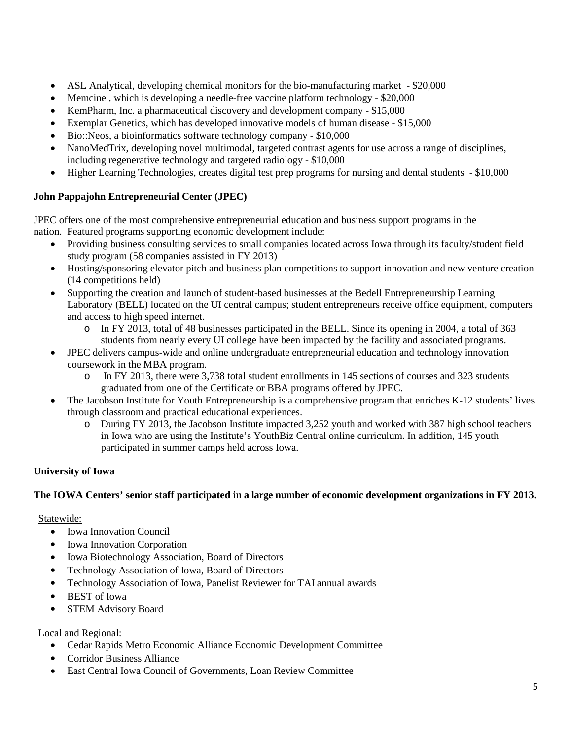- ASL Analytical, developing chemical monitors for the bio-manufacturing market \$20,000
- Memcine , which is developing a needle-free vaccine platform technology \$20,000
- KemPharm, Inc. a pharmaceutical discovery and development company \$15,000
- Exemplar Genetics, which has developed innovative models of human disease \$15,000
- Bio::Neos, a bioinformatics software technology company \$10,000
- NanoMedTrix, developing novel multimodal, targeted contrast agents for use across a range of disciplines, including regenerative technology and targeted radiology - \$10,000
- Higher Learning Technologies, creates digital test prep programs for nursing and dental students \$10,000

# **John Pappajohn Entrepreneurial Center (JPEC)**

JPEC offers one of the most comprehensive entrepreneurial education and business support programs in the nation. Featured programs supporting economic development include:

- Providing business consulting services to small companies located across Iowa through its faculty/student field study program (58 companies assisted in FY 2013)
- Hosting/sponsoring elevator pitch and business plan competitions to support innovation and new venture creation (14 competitions held)
- Supporting the creation and launch of student-based businesses at the Bedell Entrepreneurship Learning Laboratory (BELL) located on the UI central campus; student entrepreneurs receive office equipment, computers and access to high speed internet.
	- o In FY 2013, total of 48 businesses participated in the BELL. Since its opening in 2004, a total of 363 students from nearly every UI college have been impacted by the facility and associated programs.
- JPEC delivers campus-wide and online undergraduate entrepreneurial education and technology innovation coursework in the MBA program.
	- o In FY 2013, there were 3,738 total student enrollments in 145 sections of courses and 323 students graduated from one of the Certificate or BBA programs offered by JPEC.
- The Jacobson Institute for Youth Entrepreneurship is a comprehensive program that enriches K-12 students' lives through classroom and practical educational experiences.
	- o During FY 2013, the Jacobson Institute impacted 3,252 youth and worked with 387 high school teachers in Iowa who are using the Institute's YouthBiz Central online curriculum. In addition, 145 youth participated in summer camps held across Iowa.

# **University of Iowa**

# **The IOWA Centers' senior staff participated in a large number of economic development organizations in FY 2013.**

# Statewide:

- Iowa Innovation Council
- Iowa Innovation Corporation
- Iowa Biotechnology Association, Board of Directors
- Technology Association of Iowa, Board of Directors
- Technology Association of Iowa, Panelist Reviewer for TAI annual awards
- BEST of Iowa
- STEM Advisory Board

# Local and Regional:

- Cedar Rapids Metro Economic Alliance Economic Development Committee
- Corridor Business Alliance
- East Central Iowa Council of Governments, Loan Review Committee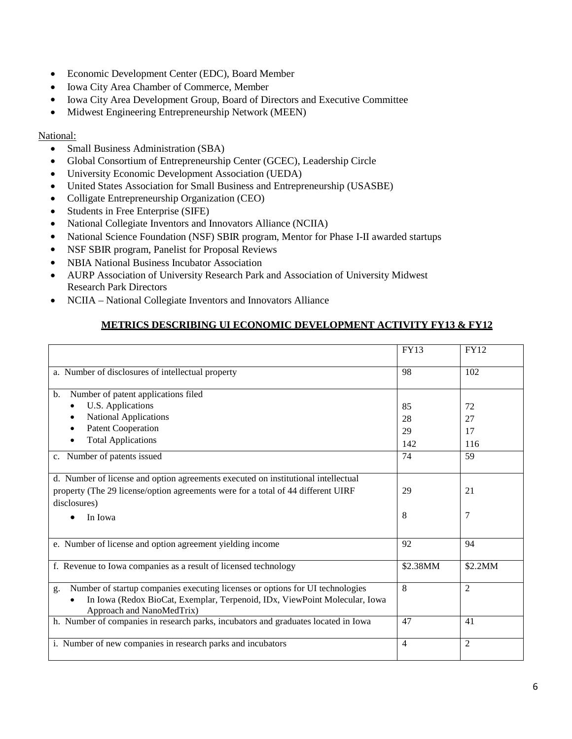- Economic Development Center (EDC), Board Member
- Iowa City Area Chamber of Commerce, Member
- Iowa City Area Development Group, Board of Directors and Executive Committee
- Midwest Engineering Entrepreneurship Network (MEEN)

#### National:

- Small Business Administration (SBA)
- Global Consortium of Entrepreneurship Center (GCEC), Leadership Circle
- University Economic Development Association (UEDA)
- United States Association for Small Business and Entrepreneurship (USASBE)
- Colligate Entrepreneurship Organization (CEO)
- Students in Free Enterprise (SIFE)
- National Collegiate Inventors and Innovators Alliance (NCIIA)
- National Science Foundation (NSF) SBIR program, Mentor for Phase I-II awarded startups
- NSF SBIR program, Panelist for Proposal Reviews
- NBIA National Business Incubator Association
- AURP Association of University Research Park and Association of University Midwest Research Park Directors
- NCIIA National Collegiate Inventors and Innovators Alliance

# **METRICS DESCRIBING UI ECONOMIC DEVELOPMENT ACTIVITY FY13 & FY12**

|                                                                                                                                                                                                | <b>FY13</b>    | <b>FY12</b>    |
|------------------------------------------------------------------------------------------------------------------------------------------------------------------------------------------------|----------------|----------------|
| a. Number of disclosures of intellectual property                                                                                                                                              | 98             | 102            |
| Number of patent applications filed<br>$\mathbf{b}$ .                                                                                                                                          |                |                |
| U.S. Applications                                                                                                                                                                              | 85             | 72             |
| <b>National Applications</b>                                                                                                                                                                   | 28             | 27             |
| <b>Patent Cooperation</b>                                                                                                                                                                      | 29             | 17             |
| <b>Total Applications</b>                                                                                                                                                                      | 142            | 116            |
| c. Number of patents issued                                                                                                                                                                    | 74             | 59             |
| d. Number of license and option agreements executed on institutional intellectual<br>property (The 29 license/option agreements were for a total of 44 different UIRF<br>disclosures)          | 29             | 21             |
| In Iowa                                                                                                                                                                                        | 8              | 7              |
| e. Number of license and option agreement yielding income                                                                                                                                      | 92             | 94             |
| f. Revenue to Iowa companies as a result of licensed technology                                                                                                                                | \$2.38MM       | \$2.2MM        |
| Number of startup companies executing licenses or options for UI technologies<br>g.<br>In Iowa (Redox BioCat, Exemplar, Terpenoid, IDx, ViewPoint Molecular, Iowa<br>Approach and NanoMedTrix) | 8              | $\overline{2}$ |
| h. Number of companies in research parks, incubators and graduates located in Iowa                                                                                                             | 47             | 41             |
| i. Number of new companies in research parks and incubators                                                                                                                                    | $\overline{4}$ | $\overline{2}$ |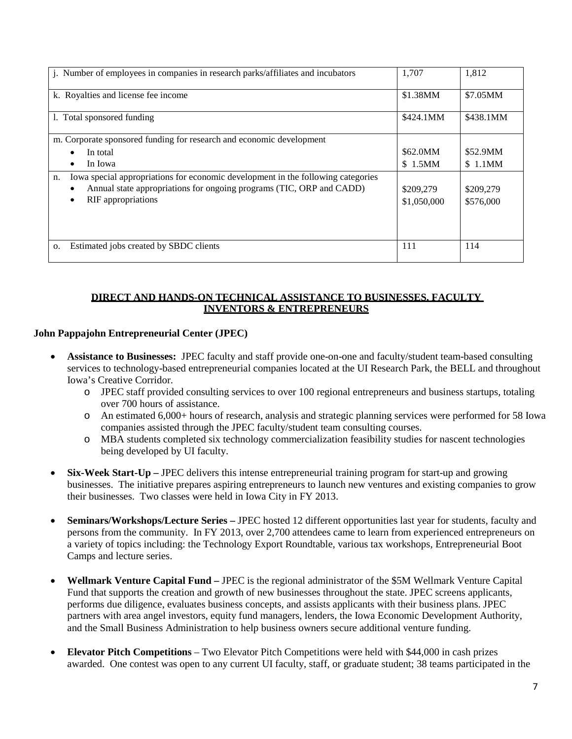| j. Number of employees in companies in research parks/affiliates and incubators                                                                                                      | 1,707                    | 1,812                  |
|--------------------------------------------------------------------------------------------------------------------------------------------------------------------------------------|--------------------------|------------------------|
| k. Royalties and license fee income                                                                                                                                                  | \$1.38MM                 | \$7.05MM               |
| 1. Total sponsored funding                                                                                                                                                           | \$424.1MM                | \$438.1MM              |
| m. Corporate sponsored funding for research and economic development                                                                                                                 |                          |                        |
| In total                                                                                                                                                                             | \$62.0MM                 | \$52.9MM               |
| In Iowa                                                                                                                                                                              | \$1.5MM                  | \$1.1MM                |
| Iowa special appropriations for economic development in the following categories<br>n.<br>Annual state appropriations for ongoing programs (TIC, ORP and CADD)<br>RIF appropriations | \$209,279<br>\$1,050,000 | \$209,279<br>\$576,000 |
| Estimated jobs created by SBDC clients<br>О.                                                                                                                                         | 111                      | 114                    |

# **DIRECT AND HANDS-ON TECHNICAL ASSISTANCE TO BUSINESSES, FACULTY INVENTORS & ENTREPRENEURS**

# **John Pappajohn Entrepreneurial Center (JPEC)**

- **Assistance to Businesses:** JPEC faculty and staff provide one-on-one and faculty/student team-based consulting services to technology-based entrepreneurial companies located at the UI Research Park, the BELL and throughout Iowa's Creative Corridor.
	- o JPEC staff provided consulting services to over 100 regional entrepreneurs and business startups, totaling over 700 hours of assistance.
	- o An estimated 6,000+ hours of research, analysis and strategic planning services were performed for 58 Iowa companies assisted through the JPEC faculty/student team consulting courses.
	- o MBA students completed six technology commercialization feasibility studies for nascent technologies being developed by UI faculty.
- **Six-Week Start-Up –** JPEC delivers this intense entrepreneurial training program for start-up and growing businesses. The initiative prepares aspiring entrepreneurs to launch new ventures and existing companies to grow their businesses. Two classes were held in Iowa City in FY 2013.
- **Seminars/Workshops/Lecture Series –** JPEC hosted 12 different opportunities last year for students, faculty and persons from the community. In FY 2013, over 2,700 attendees came to learn from experienced entrepreneurs on a variety of topics including: the Technology Export Roundtable, various tax workshops, Entrepreneurial Boot Camps and lecture series.
- **Wellmark Venture Capital Fund –** JPEC is the regional administrator of the \$5M Wellmark Venture Capital Fund that supports the creation and growth of new businesses throughout the state. JPEC screens applicants, performs due diligence, evaluates business concepts, and assists applicants with their business plans. JPEC partners with area angel investors, equity fund managers, lenders, the Iowa Economic Development Authority, and the Small Business Administration to help business owners secure additional venture funding.
- **Elevator Pitch Competitions** Two Elevator Pitch Competitions were held with \$44,000 in cash prizes awarded. One contest was open to any current UI faculty, staff, or graduate student; 38 teams participated in the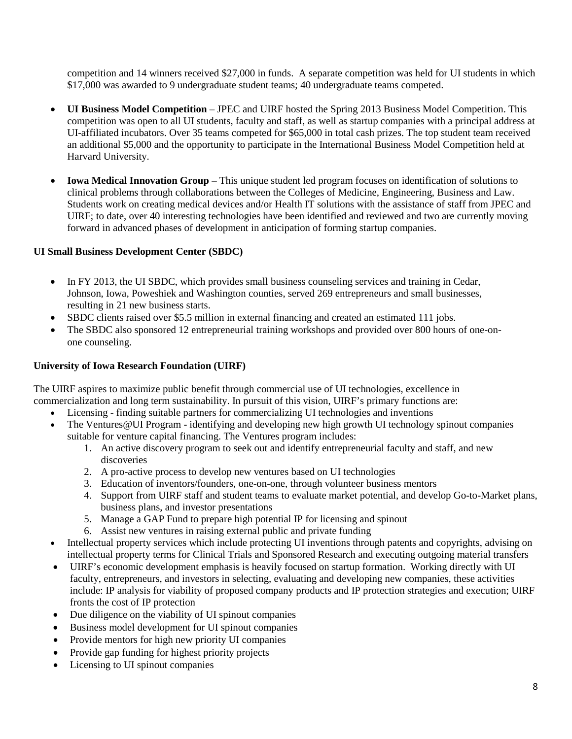competition and 14 winners received \$27,000 in funds. A separate competition was held for UI students in which \$17,000 was awarded to 9 undergraduate student teams; 40 undergraduate teams competed.

- **UI Business Model Competition** JPEC and UIRF hosted the Spring 2013 Business Model Competition. This competition was open to all UI students, faculty and staff, as well as startup companies with a principal address at UI-affiliated incubators. Over 35 teams competed for \$65,000 in total cash prizes. The top student team received an additional \$5,000 and the opportunity to participate in the International Business Model Competition held at Harvard University.
- **Iowa Medical Innovation Group** This unique student led program focuses on identification of solutions to clinical problems through collaborations between the Colleges of Medicine, Engineering, Business and Law. Students work on creating medical devices and/or Health IT solutions with the assistance of staff from JPEC and UIRF; to date, over 40 interesting technologies have been identified and reviewed and two are currently moving forward in advanced phases of development in anticipation of forming startup companies.

# **UI Small Business Development Center (SBDC)**

- In FY 2013, the UI SBDC, which provides small business counseling services and training in Cedar, Johnson, Iowa, Poweshiek and Washington counties, served 269 entrepreneurs and small businesses, resulting in 21 new business starts.
- SBDC clients raised over \$5.5 million in external financing and created an estimated 111 jobs.
- The SBDC also sponsored 12 entrepreneurial training workshops and provided over 800 hours of one-onone counseling.

# **University of Iowa Research Foundation (UIRF)**

The UIRF aspires to maximize public benefit through commercial use of UI technologies, excellence in commercialization and long term sustainability. In pursuit of this vision, UIRF's primary functions are:

- Licensing finding suitable partners for commercializing UI technologies and inventions
- The Ventures@UI Program identifying and developing new high growth UI technology spinout companies suitable for venture capital financing. The Ventures program includes:
	- 1. An active discovery program to seek out and identify entrepreneurial faculty and staff, and new discoveries
	- 2. A pro-active process to develop new ventures based on UI technologies
	- 3. Education of inventors/founders, one-on-one, through volunteer business mentors
	- 4. Support from UIRF staff and student teams to evaluate market potential, and develop Go-to-Market plans, business plans, and investor presentations
	- 5. Manage a GAP Fund to prepare high potential IP for licensing and spinout
	- 6. Assist new ventures in raising external public and private funding
- Intellectual property services which include protecting UI inventions through patents and copyrights, advising on intellectual property terms for Clinical Trials and Sponsored Research and executing outgoing material transfers
- UIRF's economic development emphasis is heavily focused on startup formation. Working directly with UI faculty, entrepreneurs, and investors in selecting, evaluating and developing new companies, these activities include: IP analysis for viability of proposed company products and IP protection strategies and execution; UIRF fronts the cost of IP protection
- Due diligence on the viability of UI spinout companies
- Business model development for UI spinout companies
- Provide mentors for high new priority UI companies
- Provide gap funding for highest priority projects
- Licensing to UI spinout companies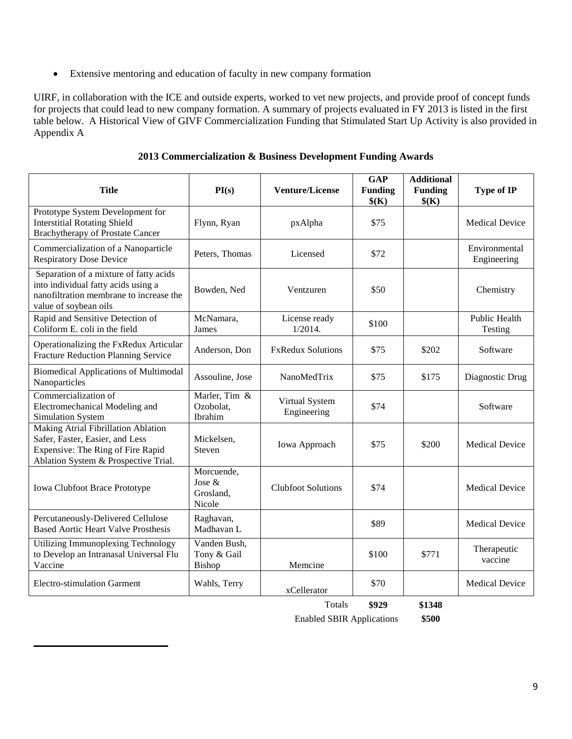• Extensive mentoring and education of faculty in new company formation

UIRF, in collaboration with the ICE and outside experts, worked to vet new projects, and provide proof of concept funds for projects that could lead to new company formation. A summary of projects evaluated in FY 2013 is listed in the first table below. A Historical View of GIVF Commercialization Funding that Stimulated Start Up Activity is also provided in Appendix A

| <b>Title</b>                                                                                                                                        | PI(s)                                        | <b>Venture/License</b>        | GAP<br><b>Funding</b><br>\$(K) | <b>Additional</b><br><b>Funding</b><br>\$(K) | Type of IP                      |
|-----------------------------------------------------------------------------------------------------------------------------------------------------|----------------------------------------------|-------------------------------|--------------------------------|----------------------------------------------|---------------------------------|
| Prototype System Development for<br><b>Interstitial Rotating Shield</b><br><b>Brachytherapy of Prostate Cancer</b>                                  | Flynn, Ryan                                  | pxAlpha                       | \$75                           |                                              | <b>Medical Device</b>           |
| Commercialization of a Nanoparticle<br><b>Respiratory Dose Device</b>                                                                               | Peters, Thomas                               | Licensed                      | \$72                           |                                              | Environmental<br>Engineering    |
| Separation of a mixture of fatty acids<br>into individual fatty acids using a<br>nanofiltration membrane to increase the<br>value of soybean oils   | Bowden, Ned                                  | Ventzuren                     | \$50                           |                                              | Chemistry                       |
| Rapid and Sensitive Detection of<br>Coliform E. coli in the field                                                                                   | McNamara,<br>James                           | License ready<br>1/2014.      | \$100                          |                                              | <b>Public Health</b><br>Testing |
| Operationalizing the FxRedux Articular<br>Fracture Reduction Planning Service                                                                       | Anderson, Don                                | <b>FxRedux Solutions</b>      | \$75                           | \$202                                        | Software                        |
| <b>Biomedical Applications of Multimodal</b><br>Nanoparticles                                                                                       | Assouline, Jose                              | NanoMedTrix                   | \$75                           | \$175                                        | Diagnostic Drug                 |
| Commercialization of<br>Electromechanical Modeling and<br>Simulation System                                                                         | Marler, Tim &<br>Ozobolat.<br>Ibrahim        | Virtual System<br>Engineering | \$74                           |                                              | Software                        |
| Making Atrial Fibrillation Ablation<br>Safer, Faster, Easier, and Less<br>Expensive: The Ring of Fire Rapid<br>Ablation System & Prospective Trial. | Mickelsen,<br>Steven                         | Iowa Approach                 | \$75                           | \$200                                        | <b>Medical Device</b>           |
| <b>Iowa Clubfoot Brace Prototype</b>                                                                                                                | Morcuende,<br>Jose &<br>Grosland.<br>Nicole  | <b>Clubfoot Solutions</b>     | \$74                           |                                              | <b>Medical Device</b>           |
| Percutaneously-Delivered Cellulose<br><b>Based Aortic Heart Valve Prosthesis</b>                                                                    | Raghavan,<br>Madhavan L                      |                               | \$89                           |                                              | <b>Medical Device</b>           |
| Utilizing Immunoplexing Technology<br>to Develop an Intranasal Universal Flu<br>Vaccine                                                             | Vanden Bush,<br>Tony & Gail<br><b>Bishop</b> | Memcine                       | \$100                          | \$771                                        | Therapeutic<br>vaccine          |
| <b>Electro-stimulation Garment</b>                                                                                                                  | Wahls, Terry                                 | xCellerator                   | \$70                           |                                              | <b>Medical Device</b>           |

**2013 Commercialization & Business Development Funding Awards**

Totals **\$929 \$1348** Enabled SBIR Applications **\$500**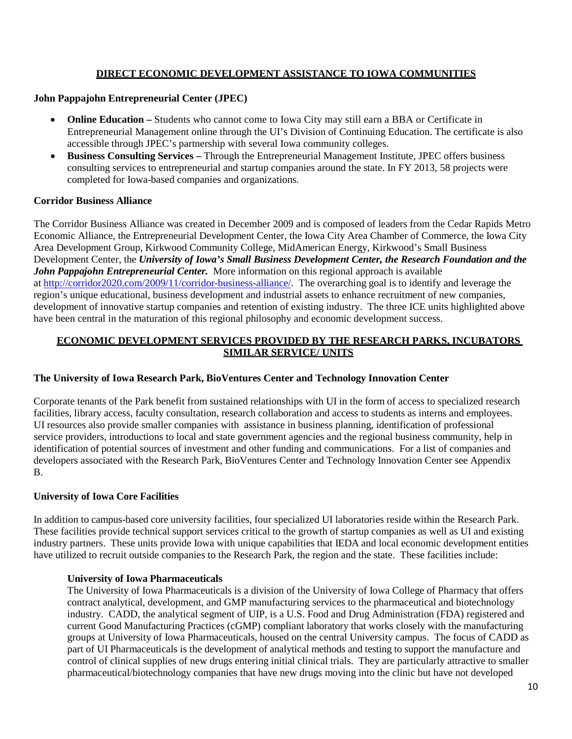# **DIRECT ECONOMIC DEVELOPMENT ASSISTANCE TO IOWA COMMUNITIES**

#### **John Pappajohn Entrepreneurial Center (JPEC)**

- **Online Education** Students who cannot come to Iowa City may still earn a BBA or Certificate in Entrepreneurial Management online through the UI's Division of Continuing Education. The certificate is also accessible through JPEC's partnership with several Iowa community colleges.
- **Business Consulting Services –** Through the Entrepreneurial Management Institute, JPEC offers business consulting services to entrepreneurial and startup companies around the state. In FY 2013, 58 projects were completed for Iowa-based companies and organizations.

#### **Corridor Business Alliance**

The Corridor Business Alliance was created in December 2009 and is composed of leaders from the Cedar Rapids Metro Economic Alliance, the Entrepreneurial Development Center, the Iowa City Area Chamber of Commerce, the Iowa City Area Development Group, Kirkwood Community College, MidAmerican Energy, Kirkwood's Small Business Development Center, the *University of Iowa's Small Business Development Center, the Research Foundation and the John Pappajohn Entrepreneurial Center.* More information on this regional approach is available a[t http://corridor2020.com/2009/11/corridor-business-alliance/.](http://corridor2020.com/2009/11/corridor-business-alliance/) The overarching goal is to identify and leverage the region's unique educational, business development and industrial assets to enhance recruitment of new companies, development of innovative startup companies and retention of existing industry. The three ICE units highlighted above have been central in the maturation of this regional philosophy and economic development success.

#### **ECONOMIC DEVELOPMENT SERVICES PROVIDED BY THE RESEARCH PARKS, INCUBATORS SIMILAR SERVICE/ UNITS**

# **The University of Iowa Research Park, BioVentures Center and Technology Innovation Center**

Corporate tenants of the Park benefit from sustained relationships with UI in the form of access to specialized research facilities, library access, faculty consultation, research collaboration and access to students as interns and employees. UI resources also provide smaller companies with assistance in business planning, identification of professional service providers, introductions to local and state government agencies and the regional business community, help in identification of potential sources of investment and other funding and communications. For a list of companies and developers associated with the Research Park, BioVentures Center and Technology Innovation Center see Appendix B.

#### **University of Iowa Core Facilities**

In addition to campus-based core university facilities, four specialized UI laboratories reside within the Research Park. These facilities provide technical support services critical to the growth of startup companies as well as UI and existing industry partners. These units provide Iowa with unique capabilities that IEDA and local economic development entities have utilized to recruit outside companies to the Research Park, the region and the state. These facilities include:

#### **University of Iowa Pharmaceuticals**

The University of Iowa Pharmaceuticals is a division of the University of Iowa College of Pharmacy that offers contract analytical, development, and GMP manufacturing services to the pharmaceutical and biotechnology industry. CADD, the analytical segment of UIP, is a U.S. Food and Drug Administration (FDA) registered and current Good Manufacturing Practices (cGMP) compliant laboratory that works closely with the manufacturing groups at University of Iowa Pharmaceuticals, housed on the central University campus. The focus of CADD as part of UI Pharmaceuticals is the development of analytical methods and testing to support the manufacture and control of clinical supplies of new drugs entering initial clinical trials. They are particularly attractive to smaller pharmaceutical/biotechnology companies that have new drugs moving into the clinic but have not developed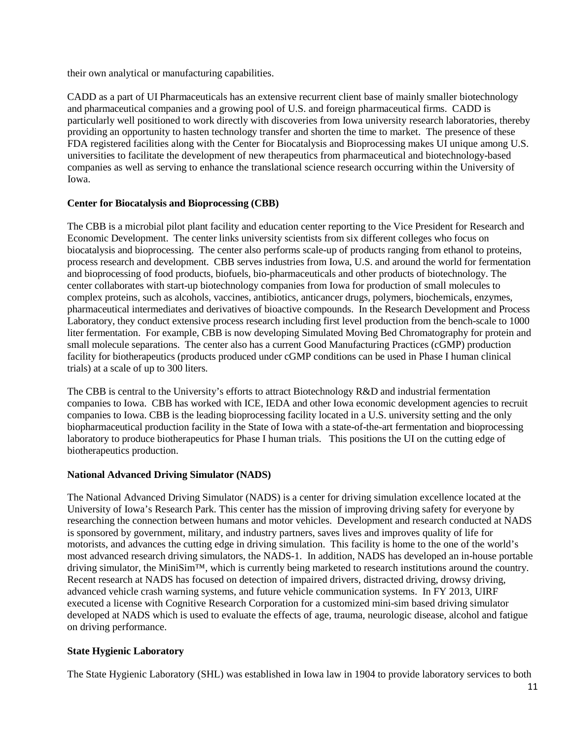their own analytical or manufacturing capabilities.

CADD as a part of UI Pharmaceuticals has an extensive recurrent client base of mainly smaller biotechnology and pharmaceutical companies and a growing pool of U.S. and foreign pharmaceutical firms. CADD is particularly well positioned to work directly with discoveries from Iowa university research laboratories, thereby providing an opportunity to hasten technology transfer and shorten the time to market. The presence of these FDA registered facilities along with the Center for Biocatalysis and Bioprocessing makes UI unique among U.S. universities to facilitate the development of new therapeutics from pharmaceutical and biotechnology-based companies as well as serving to enhance the translational science research occurring within the University of Iowa.

# **Center for Biocatalysis and Bioprocessing (CBB)**

The CBB is a microbial pilot plant facility and education center reporting to the Vice President for Research and Economic Development. The center links university scientists from six different colleges who focus on biocatalysis and bioprocessing. The center also performs scale-up of products ranging from ethanol to proteins, process research and development. CBB serves industries from Iowa, U.S. and around the world for fermentation and bioprocessing of food products, biofuels, bio-pharmaceuticals and other products of biotechnology. The center collaborates with start-up biotechnology companies from Iowa for production of small molecules to complex proteins, such as alcohols, vaccines, antibiotics, anticancer drugs, polymers, biochemicals, enzymes, pharmaceutical intermediates and derivatives of bioactive compounds. In the Research Development and Process Laboratory, they conduct extensive process research including first level production from the bench-scale to 1000 liter fermentation. For example, CBB is now developing Simulated Moving Bed Chromatography for protein and small molecule separations. The center also has a current Good Manufacturing Practices (cGMP) production facility for biotherapeutics (products produced under cGMP conditions can be used in Phase I human clinical trials) at a scale of up to 300 liters.

The CBB is central to the University's efforts to attract Biotechnology R&D and industrial fermentation companies to Iowa. CBB has worked with ICE, IEDA and other Iowa economic development agencies to recruit companies to Iowa. CBB is the leading bioprocessing facility located in a U.S. university setting and the only biopharmaceutical production facility in the State of Iowa with a state-of-the-art fermentation and bioprocessing laboratory to produce biotherapeutics for Phase I human trials. This positions the UI on the cutting edge of biotherapeutics production.

# **National Advanced Driving Simulator (NADS)**

The National Advanced Driving Simulator (NADS) is a center for driving simulation excellence located at the University of Iowa's Research Park. This center has the mission of improving driving safety for everyone by researching the connection between humans and motor vehicles. Development and research conducted at NADS is sponsored by government, military, and industry partners, saves lives and improves quality of life for motorists, and advances the cutting edge in driving simulation. This facility is home to the one of the world's most advanced research driving simulators, the NADS-1. In addition, NADS has developed an in-house portable driving simulator, the MiniSim™, which is currently being marketed to research institutions around the country. Recent research at NADS has focused on detection of impaired drivers, distracted driving, drowsy driving, advanced vehicle crash warning systems, and future vehicle communication systems. In FY 2013, UIRF executed a license with Cognitive Research Corporation for a customized mini-sim based driving simulator developed at NADS which is used to evaluate the effects of age, trauma, neurologic disease, alcohol and fatigue on driving performance.

# **State Hygienic Laboratory**

The State Hygienic Laboratory (SHL) was established in Iowa law in 1904 to provide laboratory services to both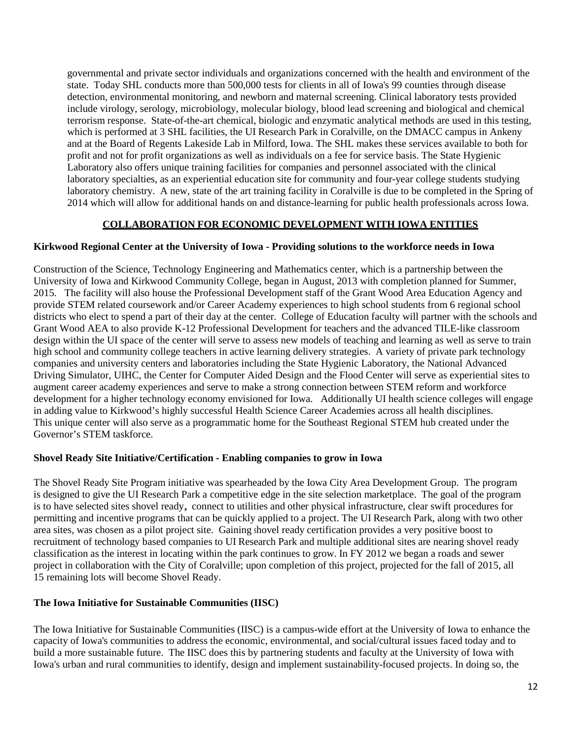governmental and private sector individuals and organizations concerned with the health and environment of the state. Today SHL conducts more than 500,000 tests for clients in all of Iowa's 99 counties through disease detection, environmental monitoring, and newborn and maternal screening. Clinical laboratory tests provided include virology, serology, microbiology, molecular biology, blood lead screening and biological and chemical terrorism response. State-of-the-art chemical, biologic and enzymatic analytical methods are used in this testing, which is performed at 3 SHL facilities, the UI Research Park in Coralville, on the DMACC campus in Ankeny and at the Board of Regents Lakeside Lab in Milford, Iowa. The SHL makes these services available to both for profit and not for profit organizations as well as individuals on a fee for service basis. The State Hygienic Laboratory also offers unique training facilities for companies and personnel associated with the clinical laboratory specialties, as an experiential education site for community and four-year college students studying laboratory chemistry. A new, state of the art training facility in Coralville is due to be completed in the Spring of 2014 which will allow for additional hands on and distance-learning for public health professionals across Iowa.

# **COLLABORATION FOR ECONOMIC DEVELOPMENT WITH IOWA ENTITIES**

#### **Kirkwood Regional Center at the University of Iowa - Providing solutions to the workforce needs in Iowa**

Construction of the Science, Technology Engineering and Mathematics center, which is a partnership between the University of Iowa and Kirkwood Community College, began in August, 2013 with completion planned for Summer, 2015. The facility will also house the Professional Development staff of the Grant Wood Area Education Agency and provide STEM related coursework and/or Career Academy experiences to high school students from 6 regional school districts who elect to spend a part of their day at the center. College of Education faculty will partner with the schools and Grant Wood AEA to also provide K-12 Professional Development for teachers and the advanced TILE-like classroom design within the UI space of the center will serve to assess new models of teaching and learning as well as serve to train high school and community college teachers in active learning delivery strategies. A variety of private park technology companies and university centers and laboratories including the State Hygienic Laboratory, the National Advanced Driving Simulator, UIHC, the Center for Computer Aided Design and the Flood Center will serve as experiential sites to augment career academy experiences and serve to make a strong connection between STEM reform and workforce development for a higher technology economy envisioned for Iowa. Additionally UI health science colleges will engage in adding value to Kirkwood's highly successful Health Science Career Academies across all health disciplines. This unique center will also serve as a programmatic home for the Southeast Regional STEM hub created under the Governor's STEM taskforce.

#### **Shovel Ready Site Initiative/Certification - Enabling companies to grow in Iowa**

The Shovel Ready Site Program initiative was spearheaded by the Iowa City Area Development Group. The program is designed to give the UI Research Park a competitive edge in the site selection marketplace. The goal of the program is to have selected sites shovel ready, connect to utilities and other physical infrastructure, clear swift procedures for permitting and incentive programs that can be quickly applied to a project. The UI Research Park, along with two other area sites, was chosen as a pilot project site. Gaining shovel ready certification provides a very positive boost to recruitment of technology based companies to UI Research Park and multiple additional sites are nearing shovel ready classification as the interest in locating within the park continues to grow. In FY 2012 we began a roads and sewer project in collaboration with the City of Coralville; upon completion of this project, projected for the fall of 2015, all 15 remaining lots will become Shovel Ready.

# **The Iowa Initiative for Sustainable Communities (IISC)**

The Iowa Initiative for Sustainable Communities (IISC) is a campus-wide effort at the University of Iowa to enhance the capacity of Iowa's communities to address the economic, environmental, and social/cultural issues faced today and to build a more sustainable future. The IISC does this by partnering students and faculty at the University of Iowa with Iowa's urban and rural communities to identify, design and implement sustainability-focused projects. In doing so, the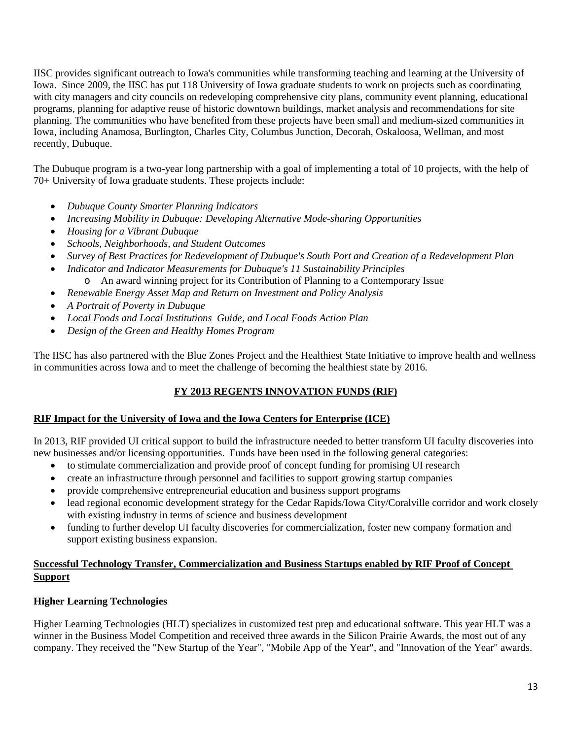IISC provides significant outreach to Iowa's communities while transforming teaching and learning at the University of Iowa. Since 2009, the IISC has put 118 University of Iowa graduate students to work on projects such as coordinating with city managers and city councils on redeveloping comprehensive city plans, community event planning, educational programs, planning for adaptive reuse of historic downtown buildings, market analysis and recommendations for site planning. The communities who have benefited from these projects have been small and medium-sized communities in Iowa, including Anamosa, Burlington, Charles City, Columbus Junction, Decorah, Oskaloosa, Wellman, and most recently, Dubuque.

The Dubuque program is a two-year long partnership with a goal of implementing a total of 10 projects, with the help of 70+ University of Iowa graduate students. These projects include:

- *Dubuque County Smarter Planning Indicators*
- *Increasing Mobility in Dubuque: Developing Alternative Mode-sharing Opportunities*
- *Housing for a Vibrant Dubuque*
- *Schools, Neighborhoods, and Student Outcomes*
- *Survey of Best Practices for Redevelopment of Dubuque's South Port and Creation of a Redevelopment Plan*
- *Indicator and Indicator Measurements for Dubuque's 11 Sustainability Principles* o An award winning project for its Contribution of Planning to a Contemporary Issue
- *Renewable Energy Asset Map and Return on Investment and Policy Analysis*
- *A Portrait of Poverty in Dubuque*
- *Local Foods and Local Institutions Guide, and Local Foods Action Plan*
- *Design of the Green and Healthy Homes Program*

The IISC has also partnered with the Blue Zones Project and the Healthiest State Initiative to improve health and wellness in communities across Iowa and to meet the challenge of becoming the healthiest state by 2016.

# **FY 2013 REGENTS INNOVATION FUNDS (RIF)**

# **RIF Impact for the University of Iowa and the Iowa Centers for Enterprise (ICE)**

In 2013, RIF provided UI critical support to build the infrastructure needed to better transform UI faculty discoveries into new businesses and/or licensing opportunities. Funds have been used in the following general categories:

- to stimulate commercialization and provide proof of concept funding for promising UI research
- create an infrastructure through personnel and facilities to support growing startup companies
- provide comprehensive entrepreneurial education and business support programs
- lead regional economic development strategy for the Cedar Rapids/Iowa City/Coralville corridor and work closely with existing industry in terms of science and business development
- funding to further develop UI faculty discoveries for commercialization, foster new company formation and support existing business expansion.

# **Successful Technology Transfer, Commercialization and Business Startups enabled by RIF Proof of Concept Support**

# **Higher Learning Technologies**

Higher Learning Technologies (HLT) specializes in customized test prep and educational software. This year HLT was a winner in the Business Model Competition and received three awards in the Silicon Prairie Awards, the most out of any company. They received the "New Startup of the Year", "Mobile App of the Year", and "Innovation of the Year" awards.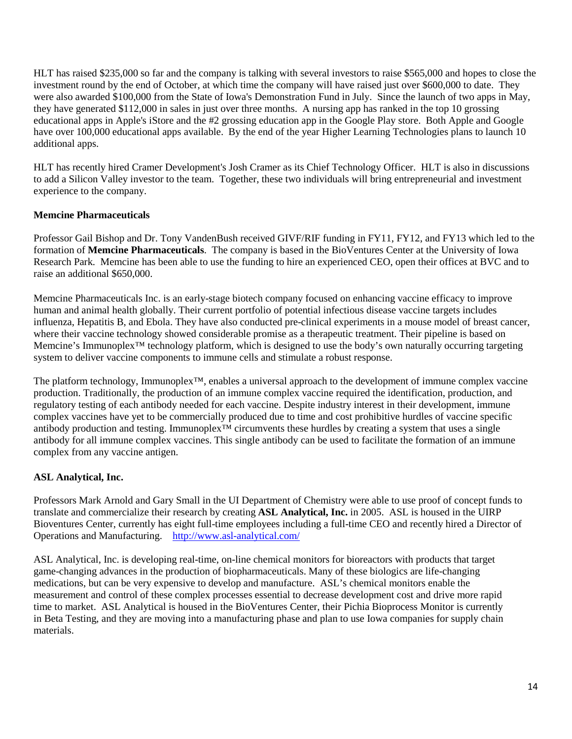HLT has raised \$235,000 so far and the company is talking with several investors to raise \$565,000 and hopes to close the investment round by the end of October, at which time the company will have raised just over \$600,000 to date. They were also awarded \$100,000 from the State of Iowa's Demonstration Fund in July. Since the launch of two apps in May, they have generated \$112,000 in sales in just over three months. A nursing app has ranked in the top 10 grossing educational apps in Apple's iStore and the #2 grossing education app in the Google Play store. Both Apple and Google have over 100,000 educational apps available. By the end of the year Higher Learning Technologies plans to launch 10 additional apps.

HLT has recently hired Cramer Development's Josh Cramer as its Chief Technology Officer. HLT is also in discussions to add a Silicon Valley investor to the team. Together, these two individuals will bring entrepreneurial and investment experience to the company.

# **Memcine Pharmaceuticals**

Professor Gail Bishop and Dr. Tony VandenBush received GIVF/RIF funding in FY11, FY12, and FY13 which led to the formation of **Memcine Pharmaceuticals**. The company is based in the BioVentures Center at the University of Iowa Research Park. Memcine has been able to use the funding to hire an experienced CEO, open their offices at BVC and to raise an additional \$650,000.

Memcine Pharmaceuticals Inc. is an early-stage biotech company focused on enhancing vaccine efficacy to improve human and animal health globally. Their current portfolio of potential infectious disease vaccine targets includes influenza, Hepatitis B, and Ebola. They have also conducted pre-clinical experiments in a mouse model of breast cancer, where their vaccine technology showed considerable promise as a therapeutic treatment. Their pipeline is based on Memcine's Immunoplex<sup>™</sup> technology platform, which is designed to use the body's own naturally occurring targeting system to deliver vaccine components to immune cells and stimulate a robust response.

The platform technology, Immunoplex<sup>™</sup>, enables a universal approach to the development of immune complex vaccine production. Traditionally, the production of an immune complex vaccine required the identification, production, and regulatory testing of each antibody needed for each vaccine. Despite industry interest in their development, immune complex vaccines have yet to be commercially produced due to time and cost prohibitive hurdles of vaccine specific antibody production and testing. Immunoplex™ circumvents these hurdles by creating a system that uses a single antibody for all immune complex vaccines. This single antibody can be used to facilitate the formation of an immune complex from any vaccine antigen.

# **ASL Analytical, Inc.**

Professors Mark Arnold and Gary Small in the UI Department of Chemistry were able to use proof of concept funds to translate and commercialize their research by creating **ASL Analytical, Inc.** in 2005. ASL is housed in the UIRP Bioventures Center, currently has eight full-time employees including a full-time CEO and recently hired a Director of Operations and Manufacturing. <http://www.asl-analytical.com/>

ASL Analytical, Inc. is developing real-time, on-line chemical monitors for bioreactors with products that target game-changing advances in the production of biopharmaceuticals. Many of these biologics are life-changing medications, but can be very expensive to develop and manufacture. ASL's chemical monitors enable the measurement and control of these complex processes essential to decrease development cost and drive more rapid time to market. ASL Analytical is housed in the BioVentures Center, their Pichia Bioprocess Monitor is currently in Beta Testing, and they are moving into a manufacturing phase and plan to use Iowa companies for supply chain materials.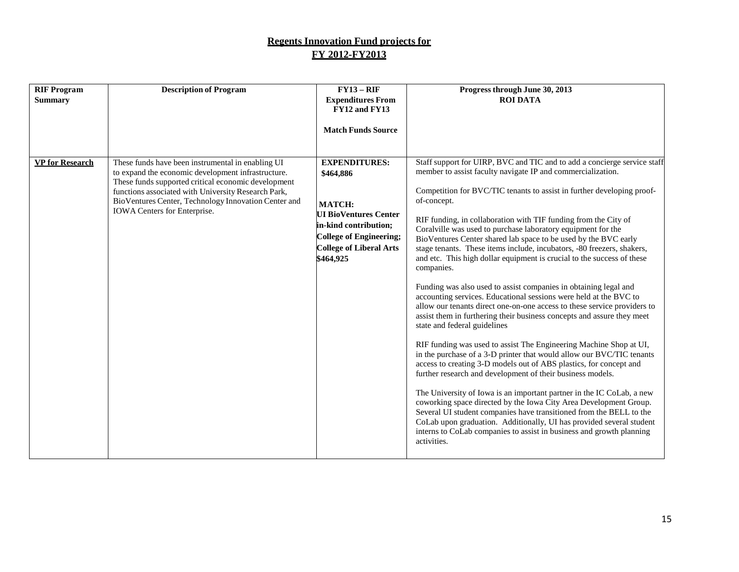# **Regents Innovation Fund projects for FY 2012-FY2013**

| <b>RIF Program</b><br><b>Summary</b> | <b>Description of Program</b>                                                                                                                                                                                                                                                                                 | $FY13 - RIF$<br><b>Expenditures From</b><br>FY12 and FY13                                                                                                                             | Progress through June 30, 2013<br><b>ROI DATA</b>                                                                                                                                                                                                                                                                                                                                                                                                                                                                                                                                                                                                                                                                                                                                                                                                                                                                                                                                                                                                                                                                                                                                                                                                                                                                                                                                                                                                                                                                                                                                               |
|--------------------------------------|---------------------------------------------------------------------------------------------------------------------------------------------------------------------------------------------------------------------------------------------------------------------------------------------------------------|---------------------------------------------------------------------------------------------------------------------------------------------------------------------------------------|-------------------------------------------------------------------------------------------------------------------------------------------------------------------------------------------------------------------------------------------------------------------------------------------------------------------------------------------------------------------------------------------------------------------------------------------------------------------------------------------------------------------------------------------------------------------------------------------------------------------------------------------------------------------------------------------------------------------------------------------------------------------------------------------------------------------------------------------------------------------------------------------------------------------------------------------------------------------------------------------------------------------------------------------------------------------------------------------------------------------------------------------------------------------------------------------------------------------------------------------------------------------------------------------------------------------------------------------------------------------------------------------------------------------------------------------------------------------------------------------------------------------------------------------------------------------------------------------------|
|                                      |                                                                                                                                                                                                                                                                                                               | <b>Match Funds Source</b>                                                                                                                                                             |                                                                                                                                                                                                                                                                                                                                                                                                                                                                                                                                                                                                                                                                                                                                                                                                                                                                                                                                                                                                                                                                                                                                                                                                                                                                                                                                                                                                                                                                                                                                                                                                 |
| <b>VP</b> for Research               | These funds have been instrumental in enabling UI<br>to expand the economic development infrastructure.<br>These funds supported critical economic development<br>functions associated with University Research Park,<br>BioVentures Center, Technology Innovation Center and<br>IOWA Centers for Enterprise. | <b>EXPENDITURES:</b><br>\$464,886<br>MATCH:<br><b>UI BioVentures Center</b><br>in-kind contribution;<br><b>College of Engineering;</b><br><b>College of Liberal Arts</b><br>\$464,925 | Staff support for UIRP, BVC and TIC and to add a concierge service staff<br>member to assist faculty navigate IP and commercialization.<br>Competition for BVC/TIC tenants to assist in further developing proof-<br>of-concept.<br>RIF funding, in collaboration with TIF funding from the City of<br>Coralville was used to purchase laboratory equipment for the<br>BioVentures Center shared lab space to be used by the BVC early<br>stage tenants. These items include, incubators, -80 freezers, shakers,<br>and etc. This high dollar equipment is crucial to the success of these<br>companies.<br>Funding was also used to assist companies in obtaining legal and<br>accounting services. Educational sessions were held at the BVC to<br>allow our tenants direct one-on-one access to these service providers to<br>assist them in furthering their business concepts and assure they meet<br>state and federal guidelines<br>RIF funding was used to assist The Engineering Machine Shop at UI,<br>in the purchase of a 3-D printer that would allow our BVC/TIC tenants<br>access to creating 3-D models out of ABS plastics, for concept and<br>further research and development of their business models.<br>The University of Iowa is an important partner in the IC CoLab, a new<br>coworking space directed by the Iowa City Area Development Group.<br>Several UI student companies have transitioned from the BELL to the<br>CoLab upon graduation. Additionally, UI has provided several student<br>interns to CoLab companies to assist in business and growth planning |
|                                      |                                                                                                                                                                                                                                                                                                               |                                                                                                                                                                                       | activities.                                                                                                                                                                                                                                                                                                                                                                                                                                                                                                                                                                                                                                                                                                                                                                                                                                                                                                                                                                                                                                                                                                                                                                                                                                                                                                                                                                                                                                                                                                                                                                                     |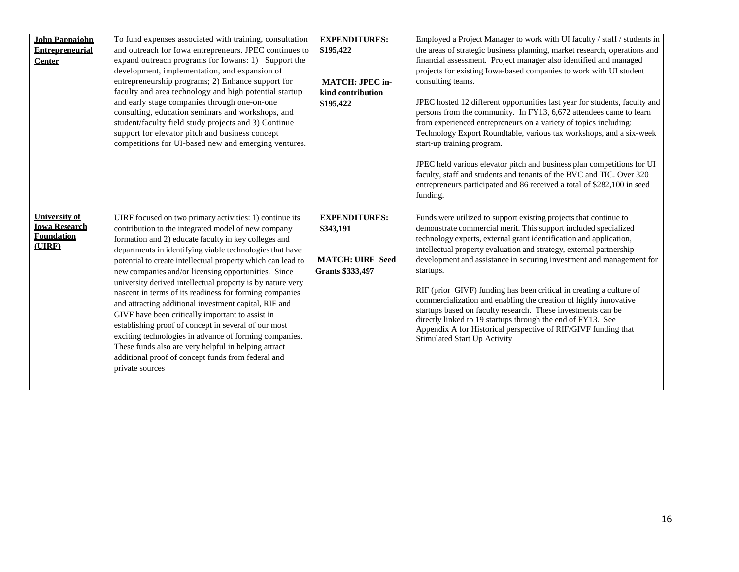| <b>John Pappaiohn</b>  | To fund expenses associated with training, consultation                                                     | <b>EXPENDITURES:</b>    | Employed a Project Manager to work with UI faculty / staff / students in                                                              |
|------------------------|-------------------------------------------------------------------------------------------------------------|-------------------------|---------------------------------------------------------------------------------------------------------------------------------------|
| <b>Entrepreneurial</b> | and outreach for Iowa entrepreneurs. JPEC continues to                                                      | \$195,422               | the areas of strategic business planning, market research, operations and                                                             |
| Center                 | expand outreach programs for Iowans: 1) Support the                                                         |                         | financial assessment. Project manager also identified and managed                                                                     |
|                        | development, implementation, and expansion of                                                               |                         | projects for existing Iowa-based companies to work with UI student                                                                    |
|                        | entrepreneurship programs; 2) Enhance support for                                                           | <b>MATCH: JPEC in-</b>  | consulting teams.                                                                                                                     |
|                        | faculty and area technology and high potential startup                                                      | kind contribution       |                                                                                                                                       |
|                        | and early stage companies through one-on-one                                                                | \$195,422               | JPEC hosted 12 different opportunities last year for students, faculty and                                                            |
|                        | consulting, education seminars and workshops, and                                                           |                         | persons from the community. In FY13, 6,672 attendees came to learn                                                                    |
|                        | student/faculty field study projects and 3) Continue                                                        |                         | from experienced entrepreneurs on a variety of topics including:                                                                      |
|                        | support for elevator pitch and business concept                                                             |                         | Technology Export Roundtable, various tax workshops, and a six-week                                                                   |
|                        | competitions for UI-based new and emerging ventures.                                                        |                         | start-up training program.                                                                                                            |
|                        |                                                                                                             |                         |                                                                                                                                       |
|                        |                                                                                                             |                         | JPEC held various elevator pitch and business plan competitions for UI                                                                |
|                        |                                                                                                             |                         | faculty, staff and students and tenants of the BVC and TIC. Over 320                                                                  |
|                        |                                                                                                             |                         | entrepreneurs participated and 86 received a total of \$282,100 in seed                                                               |
|                        |                                                                                                             |                         | funding.                                                                                                                              |
|                        |                                                                                                             |                         |                                                                                                                                       |
| <b>University of</b>   | UIRF focused on two primary activities: 1) continue its                                                     | <b>EXPENDITURES:</b>    | Funds were utilized to support existing projects that continue to                                                                     |
|                        |                                                                                                             |                         |                                                                                                                                       |
| <b>Iowa Research</b>   |                                                                                                             | \$343,191               |                                                                                                                                       |
| <b>Foundation</b>      | contribution to the integrated model of new company<br>formation and 2) educate faculty in key colleges and |                         | demonstrate commercial merit. This support included specialized<br>technology experts, external grant identification and application, |
| (UIRF)                 |                                                                                                             |                         | intellectual property evaluation and strategy, external partnership                                                                   |
|                        | departments in identifying viable technologies that have                                                    | <b>MATCH: UIRF Seed</b> | development and assistance in securing investment and management for                                                                  |
|                        | potential to create intellectual property which can lead to                                                 |                         | startups.                                                                                                                             |
|                        | new companies and/or licensing opportunities. Since                                                         | <b>Grants \$333,497</b> |                                                                                                                                       |
|                        | university derived intellectual property is by nature very                                                  |                         | RIF (prior GIVF) funding has been critical in creating a culture of                                                                   |
|                        | nascent in terms of its readiness for forming companies                                                     |                         | commercialization and enabling the creation of highly innovative                                                                      |
|                        | and attracting additional investment capital, RIF and                                                       |                         | startups based on faculty research. These investments can be                                                                          |
|                        | GIVF have been critically important to assist in                                                            |                         | directly linked to 19 startups through the end of FY13. See                                                                           |
|                        | establishing proof of concept in several of our most                                                        |                         | Appendix A for Historical perspective of RIF/GIVF funding that                                                                        |
|                        | exciting technologies in advance of forming companies.                                                      |                         | Stimulated Start Up Activity                                                                                                          |
|                        | These funds also are very helpful in helping attract                                                        |                         |                                                                                                                                       |
|                        | additional proof of concept funds from federal and                                                          |                         |                                                                                                                                       |
|                        | private sources                                                                                             |                         |                                                                                                                                       |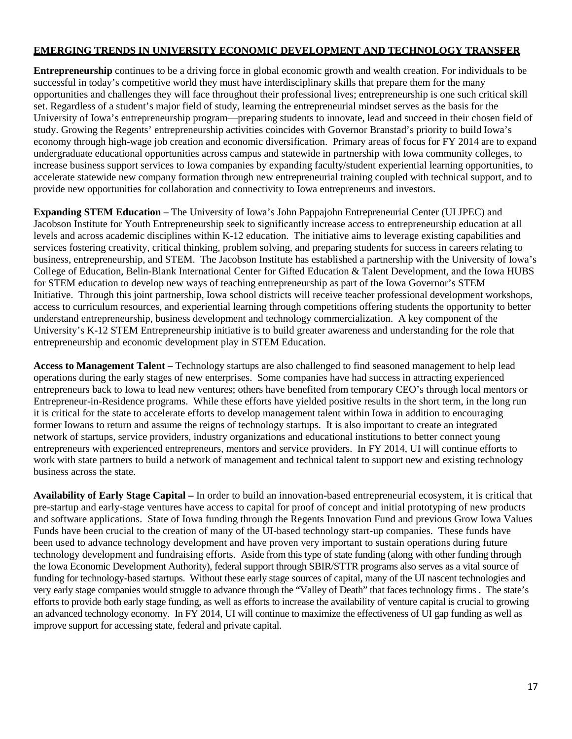# **EMERGING TRENDS IN UNIVERSITY ECONOMIC DEVELOPMENT AND TECHNOLOGY TRANSFER**

**Entrepreneurship** continues to be a driving force in global economic growth and wealth creation. For individuals to be successful in today's competitive world they must have interdisciplinary skills that prepare them for the many opportunities and challenges they will face throughout their professional lives; entrepreneurship is one such critical skill set. Regardless of a student's major field of study, learning the entrepreneurial mindset serves as the basis for the University of Iowa's entrepreneurship program—preparing students to innovate, lead and succeed in their chosen field of study. Growing the Regents' entrepreneurship activities coincides with Governor Branstad's priority to build Iowa's economy through high-wage job creation and economic diversification. Primary areas of focus for FY 2014 are to expand undergraduate educational opportunities across campus and statewide in partnership with Iowa community colleges, to increase business support services to Iowa companies by expanding faculty/student experiential learning opportunities, to accelerate statewide new company formation through new entrepreneurial training coupled with technical support, and to provide new opportunities for collaboration and connectivity to Iowa entrepreneurs and investors.

**Expanding STEM Education –** The University of Iowa's John Pappajohn Entrepreneurial Center (UI JPEC) and Jacobson Institute for Youth Entrepreneurship seek to significantly increase access to entrepreneurship education at all levels and across academic disciplines within K-12 education. The initiative aims to leverage existing capabilities and services fostering creativity, critical thinking, problem solving, and preparing students for success in careers relating to business, entrepreneurship, and STEM. The Jacobson Institute has established a partnership with the University of Iowa's College of Education, Belin-Blank International Center for Gifted Education & Talent Development, and the Iowa HUBS for STEM education to develop new ways of teaching entrepreneurship as part of the Iowa Governor's STEM Initiative. Through this joint partnership, Iowa school districts will receive teacher professional development workshops, access to curriculum resources, and experiential learning through competitions offering students the opportunity to better understand entrepreneurship, business development and technology commercialization. A key component of the University's K-12 STEM Entrepreneurship initiative is to build greater awareness and understanding for the role that entrepreneurship and economic development play in STEM Education.

**Access to Management Talent –** Technology startups are also challenged to find seasoned management to help lead operations during the early stages of new enterprises. Some companies have had success in attracting experienced entrepreneurs back to Iowa to lead new ventures; others have benefited from temporary CEO's through local mentors or Entrepreneur-in-Residence programs. While these efforts have yielded positive results in the short term, in the long run it is critical for the state to accelerate efforts to develop management talent within Iowa in addition to encouraging former Iowans to return and assume the reigns of technology startups. It is also important to create an integrated network of startups, service providers, industry organizations and educational institutions to better connect young entrepreneurs with experienced entrepreneurs, mentors and service providers. In FY 2014, UI will continue efforts to work with state partners to build a network of management and technical talent to support new and existing technology business across the state.

**Availability of Early Stage Capital –** In order to build an innovation-based entrepreneurial ecosystem, it is critical that pre-startup and early-stage ventures have access to capital for proof of concept and initial prototyping of new products and software applications. State of Iowa funding through the Regents Innovation Fund and previous Grow Iowa Values Funds have been crucial to the creation of many of the UI-based technology start-up companies. These funds have been used to advance technology development and have proven very important to sustain operations during future technology development and fundraising efforts. Aside from this type of state funding (along with other funding through the Iowa Economic Development Authority), federal support through SBIR/STTR programs also serves as a vital source of funding for technology-based startups. Without these early stage sources of capital, many of the UI nascent technologies and very early stage companies would struggle to advance through the "Valley of Death" that faces technology firms . The state's efforts to provide both early stage funding, as well as efforts to increase the availability of venture capital is crucial to growing an advanced technology economy. In FY 2014, UI will continue to maximize the effectiveness of UI gap funding as well as improve support for accessing state, federal and private capital.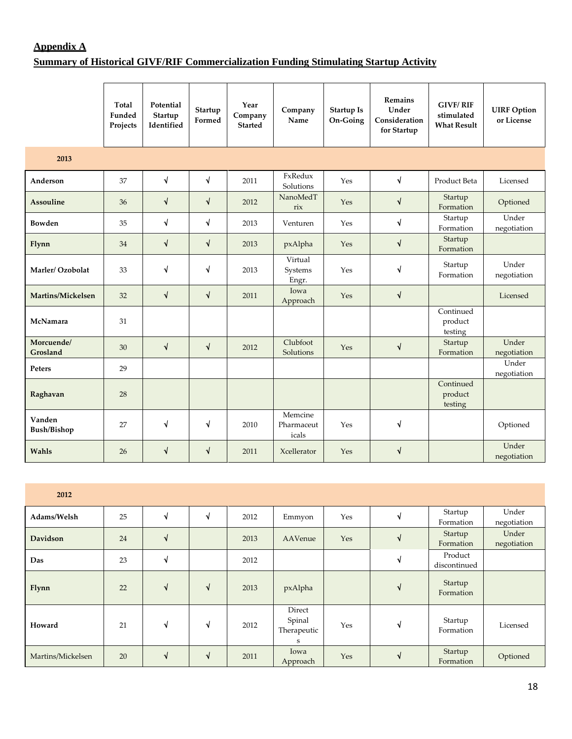# **Appendix A**

# **Summary of Historical GIVF/RIF Commercialization Funding Stimulating Startup Activity**

|                              | <b>Total</b><br>Funded<br>Projects | Potential<br>Startup<br>Identified | Startup<br>Formed | Year<br>Company<br><b>Started</b> | Company<br>Name                | <b>Startup Is</b><br>On-Going | <b>Remains</b><br>Under<br>Consideration<br>for Startup | <b>GIVF/RIF</b><br>stimulated<br><b>What Result</b> | <b>UIRF</b> Option<br>or License |
|------------------------------|------------------------------------|------------------------------------|-------------------|-----------------------------------|--------------------------------|-------------------------------|---------------------------------------------------------|-----------------------------------------------------|----------------------------------|
| 2013                         |                                    |                                    |                   |                                   |                                |                               |                                                         |                                                     |                                  |
| Anderson                     | 37                                 | √                                  | $\sqrt{ }$        | 2011                              | FxRedux<br>Solutions           | Yes                           | $\sqrt{ }$                                              | Product Beta                                        | Licensed                         |
| Assouline                    | 36                                 | $\sqrt{}$                          | $\sqrt{ }$        | 2012                              | NanoMedT<br>rix                | Yes                           | $\sqrt{}$                                               | Startup<br>Formation                                | Optioned                         |
| Bowden                       | 35                                 | √                                  | $\sqrt{ }$        | 2013                              | Venturen                       | Yes                           | $\sqrt{}$                                               | Startup<br>Formation                                | Under<br>negotiation             |
| Flynn                        | 34                                 | √                                  | $\sqrt{ }$        | 2013                              | pxAlpha                        | Yes                           | $\sqrt{ }$                                              | Startup<br>Formation                                |                                  |
| Marler/Ozobolat              | 33                                 | √                                  | $\sqrt{ }$        | 2013                              | Virtual<br>Systems<br>Engr.    | Yes                           | $\sqrt{ }$                                              | Startup<br>Formation                                | Under<br>negotiation             |
| Martins/Mickelsen            | 32                                 | $\sqrt{}$                          | $\sqrt{ }$        | 2011                              | Iowa<br>Approach               | Yes                           | $\sqrt{ }$                                              |                                                     | Licensed                         |
| McNamara                     | 31                                 |                                    |                   |                                   |                                |                               |                                                         | Continued<br>product<br>testing                     |                                  |
| Morcuende/<br>Grosland       | 30                                 | $\sqrt{ }$                         | $\sqrt{ }$        | 2012                              | Clubfoot<br>Solutions          | Yes                           | $\sqrt{ }$                                              | Startup<br>Formation                                | Under<br>negotiation             |
| Peters                       | 29                                 |                                    |                   |                                   |                                |                               |                                                         |                                                     | Under<br>negotiation             |
| Raghavan                     | 28                                 |                                    |                   |                                   |                                |                               |                                                         | Continued<br>product<br>testing                     |                                  |
| Vanden<br><b>Bush/Bishop</b> | 27                                 | √                                  | $\sqrt{ }$        | 2010                              | Memcine<br>Pharmaceut<br>icals | Yes                           | $\sqrt{ }$                                              |                                                     | Optioned                         |
| Wahls                        | 26                                 | $\sqrt{ }$                         | $\sqrt{ }$        | 2011                              | Xcellerator                    | Yes                           | $\sqrt{ }$                                              |                                                     | Under<br>negotiation             |

| 2012              |    |    |              |      |                                      |     |              |                         |                      |
|-------------------|----|----|--------------|------|--------------------------------------|-----|--------------|-------------------------|----------------------|
| Adams/Welsh       | 25 |    | √            | 2012 | Emmyon                               | Yes | ึง           | Startup<br>Formation    | Under<br>negotiation |
| Davidson          | 24 | ึง |              | 2013 | AAVenue                              | Yes | $\mathbf{v}$ | Startup<br>Formation    | Under<br>negotiation |
| Das               | 23 | √  |              | 2012 |                                      |     | N            | Product<br>discontinued |                      |
| Flynn             | 22 | ึง | $\mathbf{v}$ | 2013 | pxAlpha                              |     | N            | Startup<br>Formation    |                      |
| Howard            | 21 | √  | N            | 2012 | Direct<br>Spinal<br>Therapeutic<br>S | Yes | ึง           | Startup<br>Formation    | Licensed             |
| Martins/Mickelsen | 20 | ึง | N            | 2011 | Iowa<br>Approach                     | Yes | N            | Startup<br>Formation    | Optioned             |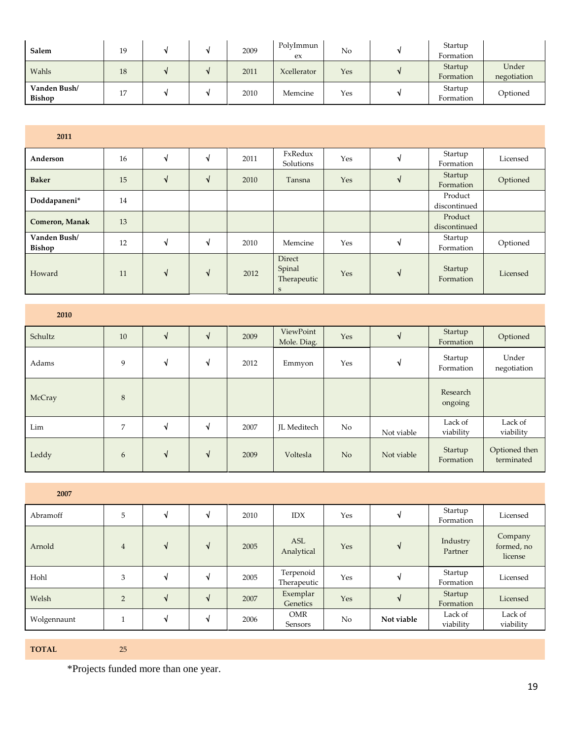| Salem                         | 19 |  | 2009 | PolyImmun<br>ex | No  | Startup<br>Formation |                      |
|-------------------------------|----|--|------|-----------------|-----|----------------------|----------------------|
| Wahls                         | 18 |  | 2011 | Xcellerator     | Yes | Startup<br>Formation | Under<br>negotiation |
| Vanden Bush/<br><b>Bishop</b> | 17 |  | 2010 | Memcine         | Yes | Startup<br>Formation | Optioned             |

| 2011                   |    |    |   |      |                                                     |     |    |                         |          |
|------------------------|----|----|---|------|-----------------------------------------------------|-----|----|-------------------------|----------|
| Anderson               | 16 | ึง | N | 2011 | FxRedux<br>Solutions                                | Yes | ึง | Startup<br>Formation    | Licensed |
| <b>Baker</b>           | 15 | N  | N | 2010 | Tansna                                              | Yes | N  | Startup<br>Formation    | Optioned |
| Doddapaneni*           | 14 |    |   |      |                                                     |     |    | Product<br>discontinued |          |
| <b>Comeron, Manak</b>  | 13 |    |   |      |                                                     |     |    | Product<br>discontinued |          |
| Vanden Bush/<br>Bishop | 12 | ึง | N | 2010 | Memcine                                             | Yes | √  | Startup<br>Formation    | Optioned |
| Howard                 | 11 | N  | N | 2012 | <b>Direct</b><br>Spinal<br>Therapeutic<br>${\bf S}$ | Yes | N  | Startup<br>Formation    | Licensed |

| 2010    |    |   |   |      |                          |                |            |                      |                             |
|---------|----|---|---|------|--------------------------|----------------|------------|----------------------|-----------------------------|
| Schultz | 10 | N | N | 2009 | ViewPoint<br>Mole. Diag. | Yes            | N          | Startup<br>Formation | Optioned                    |
| Adams   | 9  | V | N | 2012 | Emmyon                   | Yes            | N          | Startup<br>Formation | Under<br>negotiation        |
| McCray  | 8  |   |   |      |                          |                |            | Research<br>ongoing  |                             |
| Lim     | 7  | ◥ | N | 2007 | JL Meditech              | No             | Not viable | Lack of<br>viability | Lack of<br>viability        |
| Leddy   | 6  | N | N | 2009 | Voltesla                 | N <sub>o</sub> | Not viable | Startup<br>Formation | Optioned then<br>terminated |

| 2007        |                |    |    |      |                          |     |            |                      |                                  |
|-------------|----------------|----|----|------|--------------------------|-----|------------|----------------------|----------------------------------|
| Abramoff    | 5              | ึง | N  | 2010 | <b>IDX</b>               | Yes | ٩l         | Startup<br>Formation | Licensed                         |
| Arnold      | $\overline{4}$ | N  | N  | 2005 | ASL<br>Analytical        | Yes | N          | Industry<br>Partner  | Company<br>formed, no<br>license |
| Hohl        | 3              | ึง | ึง | 2005 | Terpenoid<br>Therapeutic | Yes | ٦          | Startup<br>Formation | Licensed                         |
| Welsh       | $\overline{2}$ | ึง | N  | 2007 | Exemplar<br>Genetics     | Yes | ึ่ง        | Startup<br>Formation | Licensed                         |
| Wolgennaunt |                | ึง | ึง | 2006 | OMR<br>Sensors           | No  | Not viable | Lack of<br>viability | Lack of<br>viability             |

**TOTAL** 25

\*Projects funded more than one year.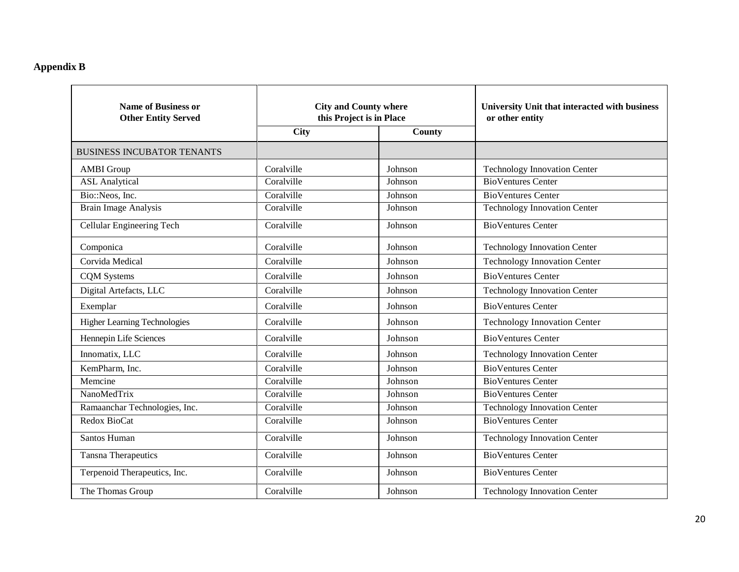# **Appendix B**

| <b>Name of Business or</b><br><b>Other Entity Served</b> | <b>City and County where</b><br>this Project is in Place |         | University Unit that interacted with business<br>or other entity |
|----------------------------------------------------------|----------------------------------------------------------|---------|------------------------------------------------------------------|
|                                                          | <b>City</b>                                              | County  |                                                                  |
| <b>BUSINESS INCUBATOR TENANTS</b>                        |                                                          |         |                                                                  |
| <b>AMBI</b> Group                                        | Coralville                                               | Johnson | <b>Technology Innovation Center</b>                              |
| <b>ASL</b> Analytical                                    | Coralville                                               | Johnson | <b>BioVentures Center</b>                                        |
| Bio::Neos, Inc.                                          | Coralville                                               | Johnson | <b>BioVentures Center</b>                                        |
| <b>Brain Image Analysis</b>                              | Coralville                                               | Johnson | <b>Technology Innovation Center</b>                              |
| <b>Cellular Engineering Tech</b>                         | Coralville                                               | Johnson | <b>BioVentures Center</b>                                        |
| Componica                                                | Coralville                                               | Johnson | <b>Technology Innovation Center</b>                              |
| Corvida Medical                                          | Coralville                                               | Johnson | <b>Technology Innovation Center</b>                              |
| <b>CQM</b> Systems                                       | Coralville                                               | Johnson | <b>BioVentures Center</b>                                        |
| Digital Artefacts, LLC                                   | Coralville                                               | Johnson | <b>Technology Innovation Center</b>                              |
| Exemplar                                                 | Coralville                                               | Johnson | <b>BioVentures Center</b>                                        |
| <b>Higher Learning Technologies</b>                      | Coralville                                               | Johnson | <b>Technology Innovation Center</b>                              |
| Hennepin Life Sciences                                   | Coralville                                               | Johnson | <b>BioVentures Center</b>                                        |
| Innomatix, LLC                                           | Coralville                                               | Johnson | <b>Technology Innovation Center</b>                              |
| KemPharm, Inc.                                           | Coralville                                               | Johnson | <b>BioVentures Center</b>                                        |
| Memcine                                                  | Coralville                                               | Johnson | <b>BioVentures Center</b>                                        |
| NanoMedTrix                                              | Coralville                                               | Johnson | <b>BioVentures Center</b>                                        |
| Ramaanchar Technologies, Inc.                            | Coralville                                               | Johnson | <b>Technology Innovation Center</b>                              |
| Redox BioCat                                             | Coralville                                               | Johnson | <b>BioVentures Center</b>                                        |
| Santos Human                                             | Coralville                                               | Johnson | <b>Technology Innovation Center</b>                              |
| <b>Tansna Therapeutics</b>                               | Coralville                                               | Johnson | <b>BioVentures Center</b>                                        |
| Terpenoid Therapeutics, Inc.                             | Coralville                                               | Johnson | <b>BioVentures Center</b>                                        |
| The Thomas Group                                         | Coralville                                               | Johnson | <b>Technology Innovation Center</b>                              |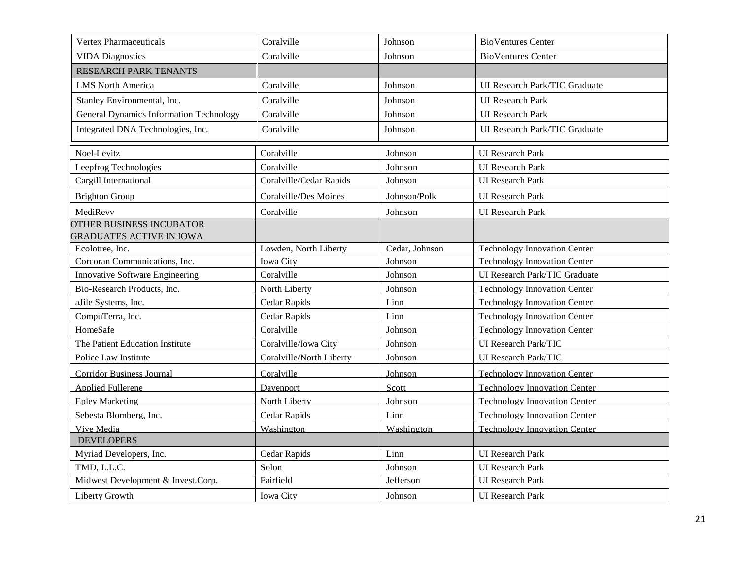| <b>Vertex Pharmaceuticals</b>                      | Coralville                   | Johnson        | <b>BioVentures Center</b>            |
|----------------------------------------------------|------------------------------|----------------|--------------------------------------|
| <b>VIDA Diagnostics</b>                            | Coralville                   | Johnson        | <b>BioVentures Center</b>            |
| <b>RESEARCH PARK TENANTS</b>                       |                              |                |                                      |
| <b>LMS</b> North America                           | Coralville                   | Johnson        | <b>UI Research Park/TIC Graduate</b> |
| Stanley Environmental, Inc.                        | Coralville                   | Johnson        | <b>UI</b> Research Park              |
| <b>General Dynamics Information Technology</b>     | Coralville                   | Johnson        | <b>UI</b> Research Park              |
| Integrated DNA Technologies, Inc.                  | Coralville                   | Johnson        | UI Research Park/TIC Graduate        |
|                                                    |                              |                |                                      |
| Noel-Levitz                                        | Coralville                   | Johnson        | <b>UI</b> Research Park              |
| Leepfrog Technologies                              | Coralville                   | Johnson        | <b>UI</b> Research Park              |
| Cargill International                              | Coralville/Cedar Rapids      | Johnson        | <b>UI</b> Research Park              |
| <b>Brighton Group</b>                              | <b>Coralville/Des Moines</b> | Johnson/Polk   | <b>UI</b> Research Park              |
| MediRevv                                           | Coralville                   | Johnson        | <b>UI</b> Research Park              |
| OTHER BUSINESS INCUBATOR                           |                              |                |                                      |
| <b>GRADUATES ACTIVE IN IOWA</b><br>Ecolotree, Inc. | Lowden, North Liberty        | Cedar, Johnson | <b>Technology Innovation Center</b>  |
| Corcoran Communications, Inc.                      | Iowa City                    | Johnson        | <b>Technology Innovation Center</b>  |
| Innovative Software Engineering                    | Coralville                   | Johnson        | UI Research Park/TIC Graduate        |
|                                                    |                              |                |                                      |
| Bio-Research Products, Inc.                        | North Liberty                | Johnson        | <b>Technology Innovation Center</b>  |
| aJile Systems, Inc.                                | Cedar Rapids                 | Linn           | <b>Technology Innovation Center</b>  |
| CompuTerra, Inc.                                   | Cedar Rapids                 | Linn           | <b>Technology Innovation Center</b>  |
| HomeSafe                                           | Coralville                   | Johnson        | <b>Technology Innovation Center</b>  |
| The Patient Education Institute                    | Coralville/Iowa City         | Johnson        | <b>UI</b> Research Park/TIC          |
| Police Law Institute                               | Coralville/North Liberty     | Johnson        | UI Research Park/TIC                 |
| <b>Corridor Business Journal</b>                   | Coralville                   | Johnson        | <b>Technology Innovation Center</b>  |
| <b>Applied Fullerene</b>                           | Davenport                    | Scott          | <b>Technology Innovation Center</b>  |
| <b>Epley Marketing</b>                             | North Liberty                | Johnson        | <b>Technology Innovation Center</b>  |
| Sebesta Blomberg, Inc.                             | <b>Cedar Rapids</b>          | Linn           | <b>Technology Innovation Center</b>  |
| Vive Media                                         | Washington                   | Washington     | <b>Technology Innovation Center</b>  |
| <b>DEVELOPERS</b>                                  |                              |                |                                      |
| Myriad Developers, Inc.                            | Cedar Rapids                 | Linn           | <b>UI</b> Research Park              |
| TMD, L.L.C.                                        | Solon                        | Johnson        | <b>UI</b> Research Park              |
| Midwest Development & Invest.Corp.                 | Fairfield                    | Jefferson      | <b>UI</b> Research Park              |
| Liberty Growth                                     | Iowa City                    | Johnson        | <b>UI</b> Research Park              |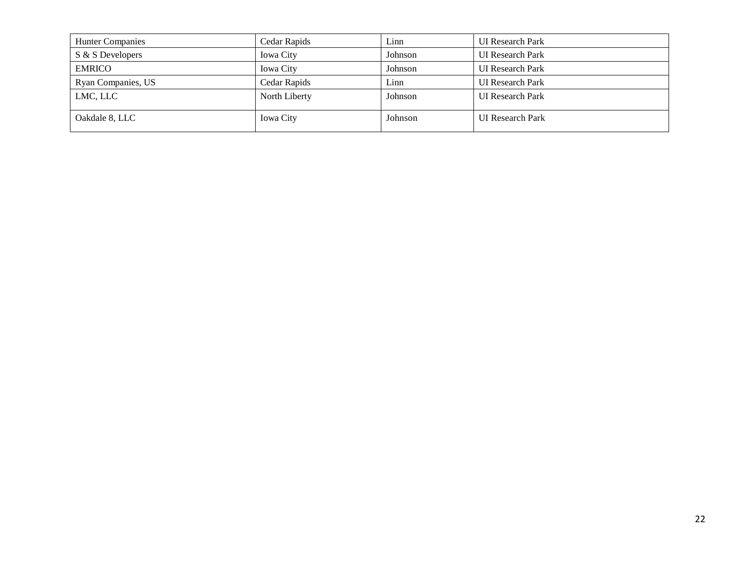| <b>Hunter Companies</b> | Cedar Rapids     | Linn    | <b>UI</b> Research Park |
|-------------------------|------------------|---------|-------------------------|
| S & S Developers        | <b>Iowa City</b> | Johnson | <b>UI</b> Research Park |
| <b>EMRICO</b>           | <b>Iowa City</b> | Johnson | <b>UI</b> Research Park |
| Ryan Companies, US      | Cedar Rapids     | Linn    | <b>UI</b> Research Park |
| LMC, LLC                | North Liberty    | Johnson | <b>UI</b> Research Park |
| Oakdale 8, LLC          | <b>Iowa City</b> | Johnson | <b>UI</b> Research Park |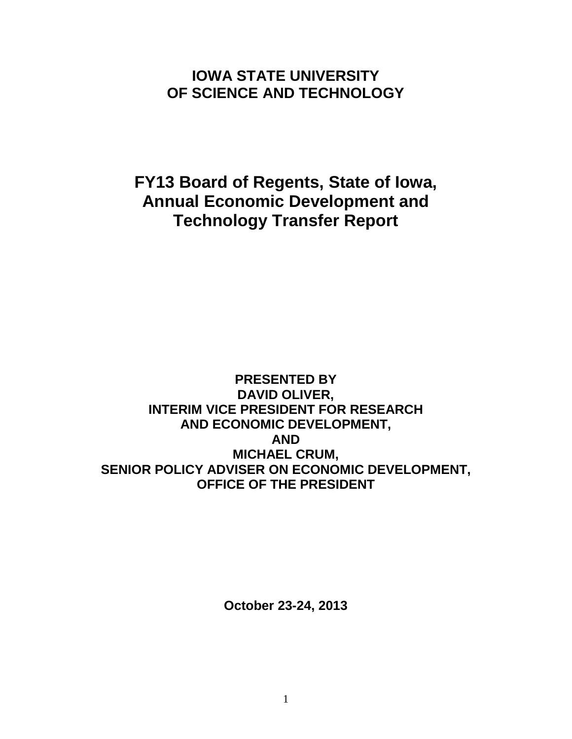# **IOWA STATE UNIVERSITY OF SCIENCE AND TECHNOLOGY**

**FY13 Board of Regents, State of Iowa, Annual Economic Development and Technology Transfer Report**

**PRESENTED BY DAVID OLIVER, INTERIM VICE PRESIDENT FOR RESEARCH AND ECONOMIC DEVELOPMENT, AND MICHAEL CRUM, SENIOR POLICY ADVISER ON ECONOMIC DEVELOPMENT, OFFICE OF THE PRESIDENT**

**October 23-24, 2013**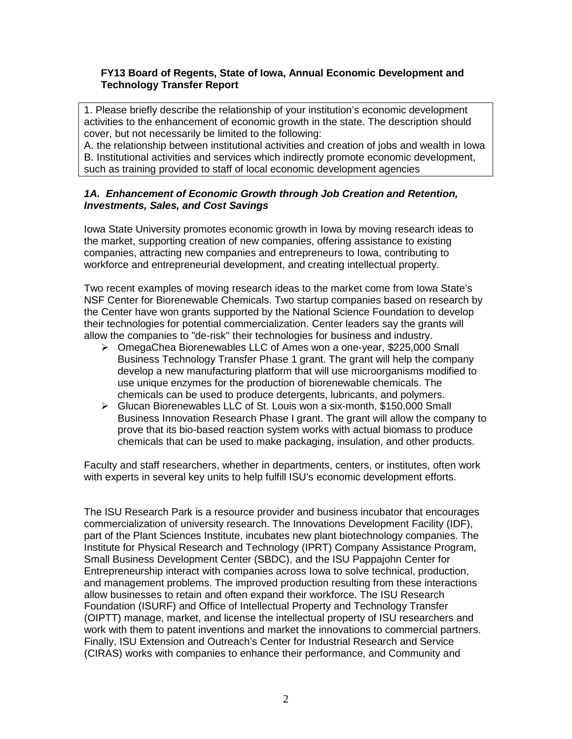# **FY13 Board of Regents, State of Iowa, Annual Economic Development and Technology Transfer Report**

1. Please briefly describe the relationship of your institution's economic development activities to the enhancement of economic growth in the state. The description should cover, but not necessarily be limited to the following:

A. the relationship between institutional activities and creation of jobs and wealth in Iowa B. Institutional activities and services which indirectly promote economic development, such as training provided to staff of local economic development agencies

# *1A. Enhancement of Economic Growth through Job Creation and Retention, Investments, Sales, and Cost Savings*

Iowa State University promotes economic growth in Iowa by moving research ideas to the market, supporting creation of new companies, offering assistance to existing companies, attracting new companies and entrepreneurs to Iowa, contributing to workforce and entrepreneurial development, and creating intellectual property.

Two recent examples of moving research ideas to the market come from Iowa State's NSF Center for Biorenewable Chemicals. Two startup companies based on research by the Center have won grants supported by the National Science Foundation to develop their technologies for potential commercialization. Center leaders say the grants will allow the companies to "de-risk" their technologies for business and industry.

- OmegaChea Biorenewables LLC of Ames won a one-year, \$225,000 Small Business Technology Transfer Phase 1 grant. The grant will help the company develop a new manufacturing platform that will use microorganisms modified to use unique enzymes for the production of biorenewable chemicals. The chemicals can be used to produce detergents, lubricants, and polymers.
- Glucan Biorenewables LLC of St. Louis won a six-month, \$150,000 Small Business Innovation Research Phase I grant. The grant will allow the company to prove that its bio-based reaction system works with actual biomass to produce chemicals that can be used to make packaging, insulation, and other products.

Faculty and staff researchers, whether in departments, centers, or institutes, often work with experts in several key units to help fulfill ISU's economic development efforts.

The ISU Research Park is a resource provider and business incubator that encourages commercialization of university research. The Innovations Development Facility (IDF), part of the Plant Sciences Institute, incubates new plant biotechnology companies. The Institute for Physical Research and Technology (IPRT) Company Assistance Program, Small Business Development Center (SBDC), and the ISU Pappajohn Center for Entrepreneurship interact with companies across Iowa to solve technical, production, and management problems. The improved production resulting from these interactions allow businesses to retain and often expand their workforce. The ISU Research Foundation (ISURF) and Office of Intellectual Property and Technology Transfer (OIPTT) manage, market, and license the intellectual property of ISU researchers and work with them to patent inventions and market the innovations to commercial partners. Finally, ISU Extension and Outreach's Center for Industrial Research and Service (CIRAS) works with companies to enhance their performance, and Community and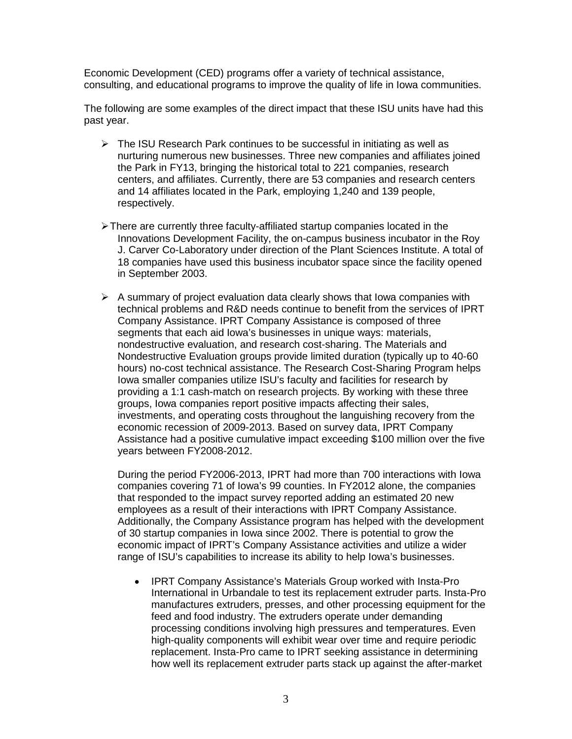Economic Development (CED) programs offer a variety of technical assistance, consulting, and educational programs to improve the quality of life in Iowa communities.

The following are some examples of the direct impact that these ISU units have had this past year.

- $\triangleright$  The ISU Research Park continues to be successful in initiating as well as nurturing numerous new businesses. Three new companies and affiliates joined the Park in FY13, bringing the historical total to 221 companies, research centers, and affiliates. Currently, there are 53 companies and research centers and 14 affiliates located in the Park, employing 1,240 and 139 people, respectively.
- There are currently three faculty-affiliated startup companies located in the Innovations Development Facility, the on-campus business incubator in the Roy J. Carver Co-Laboratory under direction of the Plant Sciences Institute. A total of 18 companies have used this business incubator space since the facility opened in September 2003.
- $\triangleright$  A summary of project evaluation data clearly shows that Iowa companies with technical problems and R&D needs continue to benefit from the services of IPRT Company Assistance. IPRT Company Assistance is composed of three segments that each aid Iowa's businesses in unique ways: materials, nondestructive evaluation, and research cost-sharing. The Materials and Nondestructive Evaluation groups provide limited duration (typically up to 40-60 hours) no-cost technical assistance. The Research Cost-Sharing Program helps Iowa smaller companies utilize ISU's faculty and facilities for research by providing a 1:1 cash-match on research projects. By working with these three groups, Iowa companies report positive impacts affecting their sales, investments, and operating costs throughout the languishing recovery from the economic recession of 2009-2013. Based on survey data, IPRT Company Assistance had a positive cumulative impact exceeding \$100 million over the five years between FY2008-2012.

During the period FY2006-2013, IPRT had more than 700 interactions with Iowa companies covering 71 of Iowa's 99 counties. In FY2012 alone, the companies that responded to the impact survey reported adding an estimated 20 new employees as a result of their interactions with IPRT Company Assistance. Additionally, the Company Assistance program has helped with the development of 30 startup companies in Iowa since 2002. There is potential to grow the economic impact of IPRT's Company Assistance activities and utilize a wider range of ISU's capabilities to increase its ability to help Iowa's businesses.

• IPRT Company Assistance's Materials Group worked with Insta-Pro International in Urbandale to test its replacement extruder parts. Insta-Pro manufactures extruders, presses, and other processing equipment for the feed and food industry. The extruders operate under demanding processing conditions involving high pressures and temperatures. Even high-quality components will exhibit wear over time and require periodic replacement. Insta-Pro came to IPRT seeking assistance in determining how well its replacement extruder parts stack up against the after-market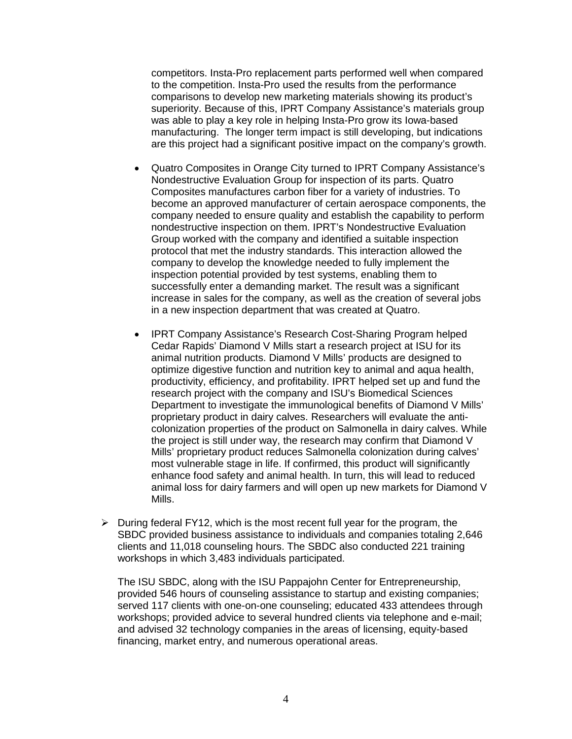competitors. Insta-Pro replacement parts performed well when compared to the competition. Insta-Pro used the results from the performance comparisons to develop new marketing materials showing its product's superiority. Because of this, IPRT Company Assistance's materials group was able to play a key role in helping Insta-Pro grow its Iowa-based manufacturing. The longer term impact is still developing, but indications are this project had a significant positive impact on the company's growth.

- Quatro Composites in Orange City turned to IPRT Company Assistance's Nondestructive Evaluation Group for inspection of its parts. Quatro Composites manufactures carbon fiber for a variety of industries. To become an approved manufacturer of certain aerospace components, the company needed to ensure quality and establish the capability to perform nondestructive inspection on them. IPRT's Nondestructive Evaluation Group worked with the company and identified a suitable inspection protocol that met the industry standards. This interaction allowed the company to develop the knowledge needed to fully implement the inspection potential provided by test systems, enabling them to successfully enter a demanding market. The result was a significant increase in sales for the company, as well as the creation of several jobs in a new inspection department that was created at Quatro.
- IPRT Company Assistance's Research Cost-Sharing Program helped Cedar Rapids' Diamond V Mills start a research project at ISU for its animal nutrition products. Diamond V Mills' products are designed to optimize digestive function and nutrition key to animal and aqua health, productivity, efficiency, and profitability. IPRT helped set up and fund the research project with the company and ISU's Biomedical Sciences Department to investigate the immunological benefits of Diamond V Mills' proprietary product in dairy calves. Researchers will evaluate the anticolonization properties of the product on Salmonella in dairy calves. While the project is still under way, the research may confirm that Diamond V Mills' proprietary product reduces Salmonella colonization during calves' most vulnerable stage in life. If confirmed, this product will significantly enhance food safety and animal health. In turn, this will lead to reduced animal loss for dairy farmers and will open up new markets for Diamond V Mills.
- $\triangleright$  During federal FY12, which is the most recent full year for the program, the SBDC provided business assistance to individuals and companies totaling 2,646 clients and 11,018 counseling hours. The SBDC also conducted 221 training workshops in which 3,483 individuals participated.

The ISU SBDC, along with the ISU Pappajohn Center for Entrepreneurship, provided 546 hours of counseling assistance to startup and existing companies; served 117 clients with one-on-one counseling; educated 433 attendees through workshops; provided advice to several hundred clients via telephone and e-mail; and advised 32 technology companies in the areas of licensing, equity-based financing, market entry, and numerous operational areas.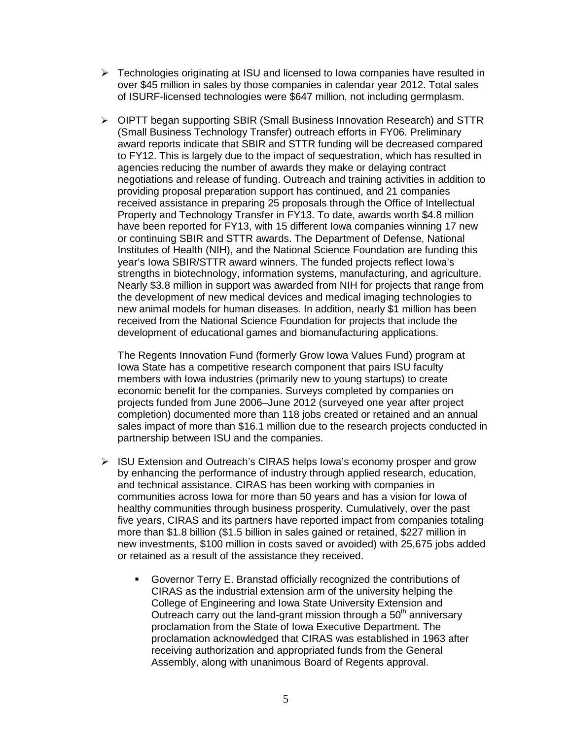- $\triangleright$  Technologies originating at ISU and licensed to Iowa companies have resulted in over \$45 million in sales by those companies in calendar year 2012. Total sales of ISURF-licensed technologies were \$647 million, not including germplasm.
- OIPTT began supporting SBIR (Small Business Innovation Research) and STTR (Small Business Technology Transfer) outreach efforts in FY06. Preliminary award reports indicate that SBIR and STTR funding will be decreased compared to FY12. This is largely due to the impact of sequestration, which has resulted in agencies reducing the number of awards they make or delaying contract negotiations and release of funding. Outreach and training activities in addition to providing proposal preparation support has continued, and 21 companies received assistance in preparing 25 proposals through the Office of Intellectual Property and Technology Transfer in FY13. To date, awards worth \$4.8 million have been reported for FY13, with 15 different Iowa companies winning 17 new or continuing SBIR and STTR awards. The Department of Defense, National Institutes of Health (NIH), and the National Science Foundation are funding this year's Iowa SBIR/STTR award winners. The funded projects reflect Iowa's strengths in biotechnology, information systems, manufacturing, and agriculture. Nearly \$3.8 million in support was awarded from NIH for projects that range from the development of new medical devices and medical imaging technologies to new animal models for human diseases. In addition, nearly \$1 million has been received from the National Science Foundation for projects that include the development of educational games and biomanufacturing applications.

The Regents Innovation Fund (formerly Grow Iowa Values Fund) program at Iowa State has a competitive research component that pairs ISU faculty members with Iowa industries (primarily new to young startups) to create economic benefit for the companies. Surveys completed by companies on projects funded from June 2006–June 2012 (surveyed one year after project completion) documented more than 118 jobs created or retained and an annual sales impact of more than \$16.1 million due to the research projects conducted in partnership between ISU and the companies.

- ▶ ISU Extension and Outreach's CIRAS helps Iowa's economy prosper and grow by enhancing the performance of industry through applied research, education, and technical assistance. CIRAS has been working with companies in communities across Iowa for more than 50 years and has a vision for Iowa of healthy communities through business prosperity. Cumulatively, over the past five years, CIRAS and its partners have reported impact from companies totaling more than \$1.8 billion (\$1.5 billion in sales gained or retained, \$227 million in new investments, \$100 million in costs saved or avoided) with 25,675 jobs added or retained as a result of the assistance they received.
	- Governor Terry E. Branstad officially recognized the contributions of CIRAS as the industrial extension arm of the university helping the College of Engineering and Iowa State University Extension and Outreach carry out the land-grant mission through a  $50<sup>th</sup>$  anniversary proclamation from the State of Iowa Executive Department. The proclamation acknowledged that CIRAS was established in 1963 after receiving authorization and appropriated funds from the General Assembly, along with unanimous Board of Regents approval.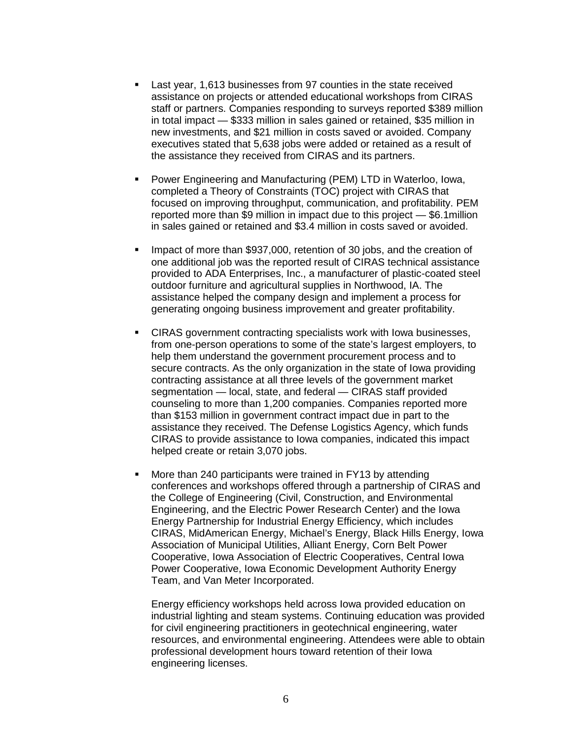- Last year, 1,613 businesses from 97 counties in the state received assistance on projects or attended educational workshops from CIRAS staff or partners. Companies responding to surveys reported \$389 million in total impact — \$333 million in sales gained or retained, \$35 million in new investments, and \$21 million in costs saved or avoided. Company executives stated that 5,638 jobs were added or retained as a result of the assistance they received from CIRAS and its partners.
- Power Engineering and Manufacturing (PEM) LTD in Waterloo, Iowa, completed a Theory of Constraints (TOC) project with CIRAS that focused on improving throughput, communication, and profitability. PEM reported more than \$9 million in impact due to this project — \$6.1million in sales gained or retained and \$3.4 million in costs saved or avoided.
- Impact of more than \$937,000, retention of 30 jobs, and the creation of one additional job was the reported result of CIRAS technical assistance provided to ADA Enterprises, Inc., a manufacturer of plastic-coated steel outdoor furniture and agricultural supplies in Northwood, IA. The assistance helped the company design and implement a process for generating ongoing business improvement and greater profitability.
- CIRAS government contracting specialists work with Iowa businesses, from one-person operations to some of the state's largest employers, to help them understand the government procurement process and to secure contracts. As the only organization in the state of Iowa providing contracting assistance at all three levels of the government market segmentation — local, state, and federal — CIRAS staff provided counseling to more than 1,200 companies. Companies reported more than \$153 million in government contract impact due in part to the assistance they received. The Defense Logistics Agency, which funds CIRAS to provide assistance to Iowa companies, indicated this impact helped create or retain 3,070 jobs.
- More than 240 participants were trained in FY13 by attending conferences and workshops offered through a partnership of CIRAS and the College of Engineering (Civil, Construction, and Environmental Engineering, and the Electric Power Research Center) and the Iowa Energy Partnership for Industrial Energy Efficiency, which includes CIRAS, MidAmerican Energy, Michael's Energy, Black Hills Energy, Iowa Association of Municipal Utilities, Alliant Energy, Corn Belt Power Cooperative, Iowa Association of Electric Cooperatives, Central Iowa Power Cooperative, Iowa Economic Development Authority Energy Team, and Van Meter Incorporated.

Energy efficiency workshops held across Iowa provided education on industrial lighting and steam systems. Continuing education was provided for civil engineering practitioners in geotechnical engineering, water resources, and environmental engineering. Attendees were able to obtain professional development hours toward retention of their Iowa engineering licenses.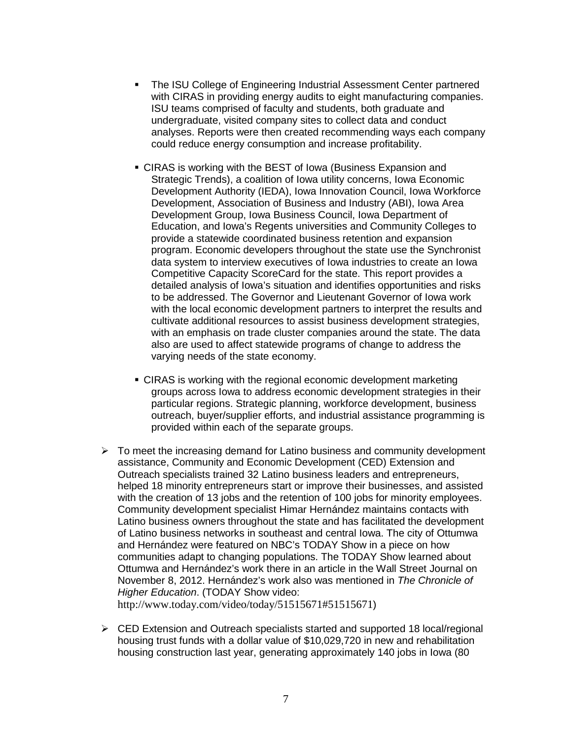- The ISU College of Engineering Industrial Assessment Center partnered with CIRAS in providing energy audits to eight manufacturing companies. ISU teams comprised of faculty and students, both graduate and undergraduate, visited company sites to collect data and conduct analyses. Reports were then created recommending ways each company could reduce energy consumption and increase profitability.
- CIRAS is working with the BEST of Iowa (Business Expansion and Strategic Trends), a coalition of Iowa utility concerns, Iowa Economic Development Authority (IEDA), Iowa Innovation Council, Iowa Workforce Development, Association of Business and Industry (ABI), Iowa Area Development Group, Iowa Business Council, Iowa Department of Education, and Iowa's Regents universities and Community Colleges to provide a statewide coordinated business retention and expansion program. Economic developers throughout the state use the Synchronist data system to interview executives of Iowa industries to create an Iowa Competitive Capacity ScoreCard for the state. This report provides a detailed analysis of Iowa's situation and identifies opportunities and risks to be addressed. The Governor and Lieutenant Governor of Iowa work with the local economic development partners to interpret the results and cultivate additional resources to assist business development strategies, with an emphasis on trade cluster companies around the state. The data also are used to affect statewide programs of change to address the varying needs of the state economy.
- CIRAS is working with the regional economic development marketing groups across Iowa to address economic development strategies in their particular regions. Strategic planning, workforce development, business outreach, buyer/supplier efforts, and industrial assistance programming is provided within each of the separate groups.
- $\triangleright$  To meet the increasing demand for Latino business and community development assistance, Community and Economic Development (CED) Extension and Outreach specialists trained 32 Latino business leaders and entrepreneurs, helped 18 minority entrepreneurs start or improve their businesses, and assisted with the creation of 13 jobs and the retention of 100 jobs for minority employees. Community development specialist Himar Hernández maintains contacts with Latino business owners throughout the state and has facilitated the development of Latino business networks in southeast and central Iowa. The city of Ottumwa and Hernández were featured on NBC's TODAY Show in a piece on how communities adapt to changing populations. The TODAY Show learned about Ottumwa and Hernández's work there in an article in the Wall Street Journal on November 8, 2012. Hernández's work also was mentioned in *The Chronicle of Higher Education*. (TODAY Show video:

<http://www.today.com/video/today/51515671#51515671>)

 $\triangleright$  CED Extension and Outreach specialists started and supported 18 local/regional housing trust funds with a dollar value of \$10,029,720 in new and rehabilitation housing construction last year, generating approximately 140 jobs in Iowa (80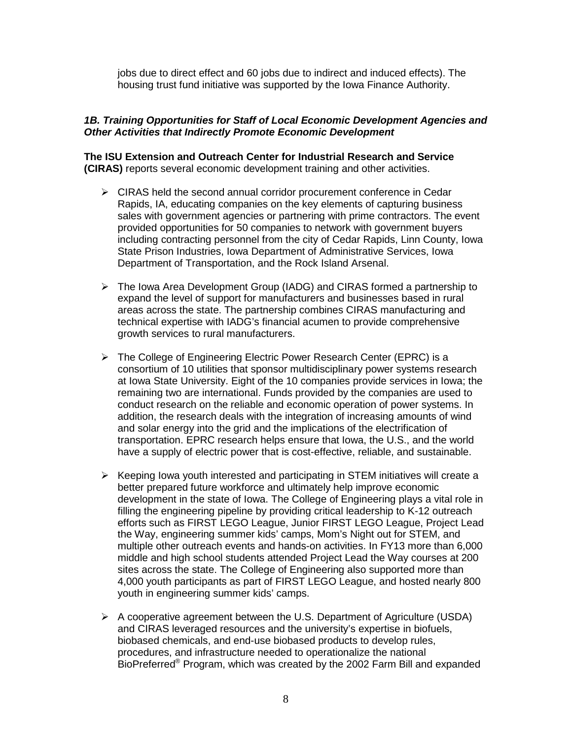jobs due to direct effect and 60 jobs due to indirect and induced effects). The housing trust fund initiative was supported by the Iowa Finance Authority.

#### *1B. Training Opportunities for Staff of Local Economic Development Agencies and Other Activities that Indirectly Promote Economic Development*

**The ISU Extension and Outreach Center for Industrial Research and Service (CIRAS)** reports several economic development training and other activities.

- $\triangleright$  CIRAS held the second annual corridor procurement conference in Cedar Rapids, IA, educating companies on the key elements of capturing business sales with government agencies or partnering with prime contractors. The event provided opportunities for 50 companies to network with government buyers including contracting personnel from the city of Cedar Rapids, Linn County, Iowa State Prison Industries, Iowa Department of Administrative Services, Iowa Department of Transportation, and the Rock Island Arsenal.
- $\triangleright$  The Iowa Area Development Group (IADG) and CIRAS formed a partnership to expand the level of support for manufacturers and businesses based in rural areas across the state. The partnership combines CIRAS manufacturing and technical expertise with IADG's financial acumen to provide comprehensive growth services to rural manufacturers.
- $\triangleright$  The College of Engineering Electric Power Research Center (EPRC) is a consortium of 10 utilities that sponsor multidisciplinary power systems research at Iowa State University. Eight of the 10 companies provide services in Iowa; the remaining two are international. Funds provided by the companies are used to conduct research on the reliable and economic operation of power systems. In addition, the research deals with the integration of increasing amounts of wind and solar energy into the grid and the implications of the electrification of transportation. EPRC research helps ensure that Iowa, the U.S., and the world have a supply of electric power that is cost-effective, reliable, and sustainable.
- $\triangleright$  Keeping Iowa youth interested and participating in STEM initiatives will create a better prepared future workforce and ultimately help improve economic development in the state of Iowa. The College of Engineering plays a vital role in filling the engineering pipeline by providing critical leadership to K-12 outreach efforts such as FIRST LEGO League, Junior FIRST LEGO League, Project Lead the Way, engineering summer kids' camps, Mom's Night out for STEM, and multiple other outreach events and hands-on activities. In FY13 more than 6,000 middle and high school students attended Project Lead the Way courses at 200 sites across the state. The College of Engineering also supported more than 4,000 youth participants as part of FIRST LEGO League, and hosted nearly 800 youth in engineering summer kids' camps.
- $\triangleright$  A cooperative agreement between the U.S. Department of Agriculture (USDA) and CIRAS leveraged resources and the university's expertise in biofuels, biobased chemicals, and end-use biobased products to develop rules, procedures, and infrastructure needed to operationalize the national BioPreferred® Program, which was created by the 2002 Farm Bill and expanded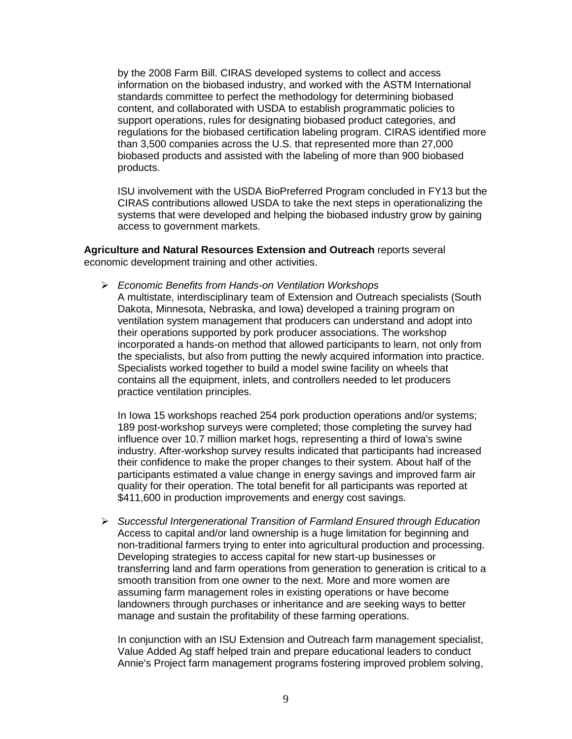by the 2008 Farm Bill. CIRAS developed systems to collect and access information on the biobased industry, and worked with the ASTM International standards committee to perfect the methodology for determining biobased content, and collaborated with USDA to establish programmatic policies to support operations, rules for designating biobased product categories, and regulations for the biobased certification labeling program. CIRAS identified more than 3,500 companies across the U.S. that represented more than 27,000 biobased products and assisted with the labeling of more than 900 biobased products.

ISU involvement with the USDA BioPreferred Program concluded in FY13 but the CIRAS contributions allowed USDA to take the next steps in operationalizing the systems that were developed and helping the biobased industry grow by gaining access to government markets.

**Agriculture and Natural Resources Extension and Outreach** reports several economic development training and other activities.

*Economic Benefits from Hands-on Ventilation Workshops*

A multistate, interdisciplinary team of Extension and Outreach specialists (South Dakota, Minnesota, Nebraska, and Iowa) developed a training program on ventilation system management that producers can understand and adopt into their operations supported by pork producer associations. The workshop incorporated a hands-on method that allowed participants to learn, not only from the specialists, but also from putting the newly acquired information into practice. Specialists worked together to build a model swine facility on wheels that contains all the equipment, inlets, and controllers needed to let producers practice ventilation principles.

In Iowa 15 workshops reached 254 pork production operations and/or systems; 189 post-workshop surveys were completed; those completing the survey had influence over 10.7 million market hogs, representing a third of Iowa's swine industry. After-workshop survey results indicated that participants had increased their confidence to make the proper changes to their system. About half of the participants estimated a value change in energy savings and improved farm air quality for their operation. The total benefit for all participants was reported at \$411,600 in production improvements and energy cost savings.

 *Successful Intergenerational Transition of Farmland Ensured through Education* Access to capital and/or land ownership is a huge limitation for beginning and non-traditional farmers trying to enter into agricultural production and processing. Developing strategies to access capital for new start-up businesses or transferring land and farm operations from generation to generation is critical to a smooth transition from one owner to the next. More and more women are assuming farm management roles in existing operations or have become landowners through purchases or inheritance and are seeking ways to better manage and sustain the profitability of these farming operations.

In conjunction with an ISU Extension and Outreach farm management specialist, Value Added Ag staff helped train and prepare educational leaders to conduct Annie's Project farm management programs fostering improved problem solving,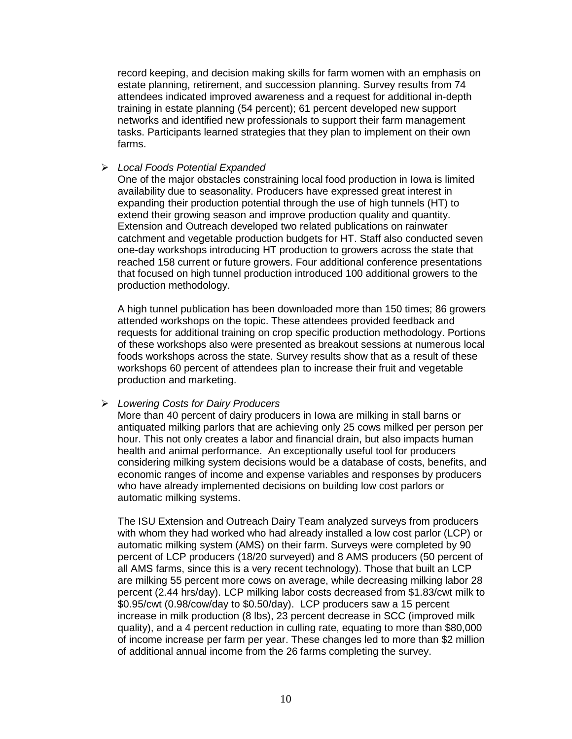record keeping, and decision making skills for farm women with an emphasis on estate planning, retirement, and succession planning. Survey results from 74 attendees indicated improved awareness and a request for additional in-depth training in estate planning (54 percent); 61 percent developed new support networks and identified new professionals to support their farm management tasks. Participants learned strategies that they plan to implement on their own farms.

#### *Local Foods Potential Expanded*

One of the major obstacles constraining local food production in Iowa is limited availability due to seasonality. Producers have expressed great interest in expanding their production potential through the use of high tunnels (HT) to extend their growing season and improve production quality and quantity. Extension and Outreach developed two related publications on rainwater catchment and vegetable production budgets for HT. Staff also conducted seven one-day workshops introducing HT production to growers across the state that reached 158 current or future growers. Four additional conference presentations that focused on high tunnel production introduced 100 additional growers to the production methodology.

A high tunnel publication has been downloaded more than 150 times; 86 growers attended workshops on the topic. These attendees provided feedback and requests for additional training on crop specific production methodology. Portions of these workshops also were presented as breakout sessions at numerous local foods workshops across the state. Survey results show that as a result of these workshops 60 percent of attendees plan to increase their fruit and vegetable production and marketing.

# *Lowering Costs for Dairy Producers*

More than 40 percent of dairy producers in Iowa are milking in stall barns or antiquated milking parlors that are achieving only 25 cows milked per person per hour. This not only creates a labor and financial drain, but also impacts human health and animal performance. An exceptionally useful tool for producers considering milking system decisions would be a database of costs, benefits, and economic ranges of income and expense variables and responses by producers who have already implemented decisions on building low cost parlors or automatic milking systems.

The ISU Extension and Outreach Dairy Team analyzed surveys from producers with whom they had worked who had already installed a low cost parlor (LCP) or automatic milking system (AMS) on their farm. Surveys were completed by 90 percent of LCP producers (18/20 surveyed) and 8 AMS producers (50 percent of all AMS farms, since this is a very recent technology). Those that built an LCP are milking 55 percent more cows on average, while decreasing milking labor 28 percent (2.44 hrs/day). LCP milking labor costs decreased from \$1.83/cwt milk to \$0.95/cwt (0.98/cow/day to \$0.50/day). LCP producers saw a 15 percent increase in milk production (8 lbs), 23 percent decrease in SCC (improved milk quality), and a 4 percent reduction in culling rate, equating to more than \$80,000 of income increase per farm per year. These changes led to more than \$2 million of additional annual income from the 26 farms completing the survey.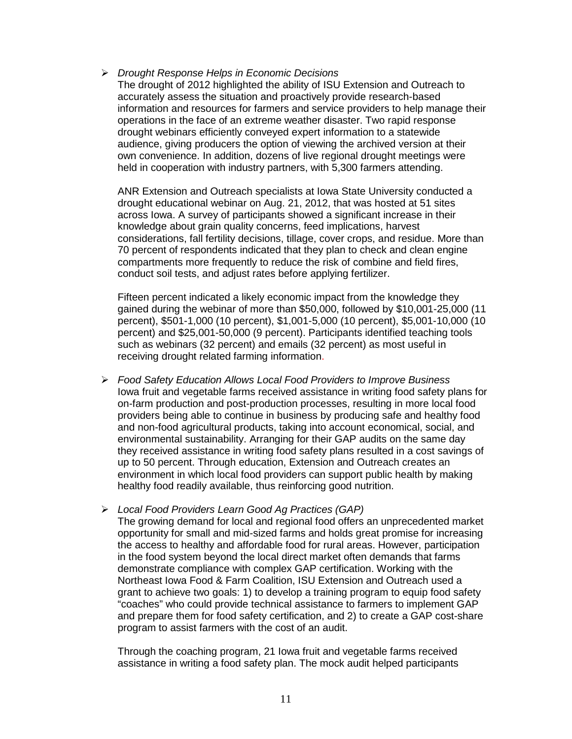#### *Drought Response Helps in Economic Decisions*

The drought of 2012 highlighted the ability of ISU Extension and Outreach to accurately assess the situation and proactively provide research-based information and resources for farmers and service providers to help manage their operations in the face of an extreme weather disaster. Two rapid response drought webinars efficiently conveyed expert information to a statewide audience, giving producers the option of viewing the archived version at their own convenience. In addition, dozens of live regional drought meetings were held in cooperation with industry partners, with 5,300 farmers attending.

ANR Extension and Outreach specialists at Iowa State University conducted a drought educational webinar on Aug. 21, 2012, that was hosted at 51 sites across Iowa. A survey of participants showed a significant increase in their knowledge about grain quality concerns, feed implications, harvest considerations, fall fertility decisions, tillage, cover crops, and residue. More than 70 percent of respondents indicated that they plan to check and clean engine compartments more frequently to reduce the risk of combine and field fires, conduct soil tests, and adjust rates before applying fertilizer.

Fifteen percent indicated a likely economic impact from the knowledge they gained during the webinar of more than \$50,000, followed by \$10,001-25,000 (11 percent), \$501-1,000 (10 percent), \$1,001-5,000 (10 percent), \$5,001-10,000 (10 percent) and \$25,001-50,000 (9 percent). Participants identified teaching tools such as webinars (32 percent) and emails (32 percent) as most useful in receiving drought related farming information.

 *Food Safety Education Allows Local Food Providers to Improve Business* Iowa fruit and vegetable farms received assistance in writing food safety plans for on-farm production and post-production processes, resulting in more local food providers being able to continue in business by producing safe and healthy food and non-food agricultural products, taking into account economical, social, and environmental sustainability. Arranging for their GAP audits on the same day they received assistance in writing food safety plans resulted in a cost savings of up to 50 percent. Through education, Extension and Outreach creates an environment in which local food providers can support public health by making healthy food readily available, thus reinforcing good nutrition.

# *Local Food Providers Learn Good Ag Practices (GAP)*

The growing demand for local and regional food offers an unprecedented market opportunity for small and mid-sized farms and holds great promise for increasing the access to healthy and affordable food for rural areas. However, participation in the food system beyond the local direct market often demands that farms demonstrate compliance with complex GAP certification. Working with the Northeast Iowa Food & Farm Coalition, ISU Extension and Outreach used a grant to achieve two goals: 1) to develop a training program to equip food safety "coaches" who could provide technical assistance to farmers to implement GAP and prepare them for food safety certification, and 2) to create a GAP cost-share program to assist farmers with the cost of an audit.

Through the coaching program, 21 Iowa fruit and vegetable farms received assistance in writing a food safety plan. The mock audit helped participants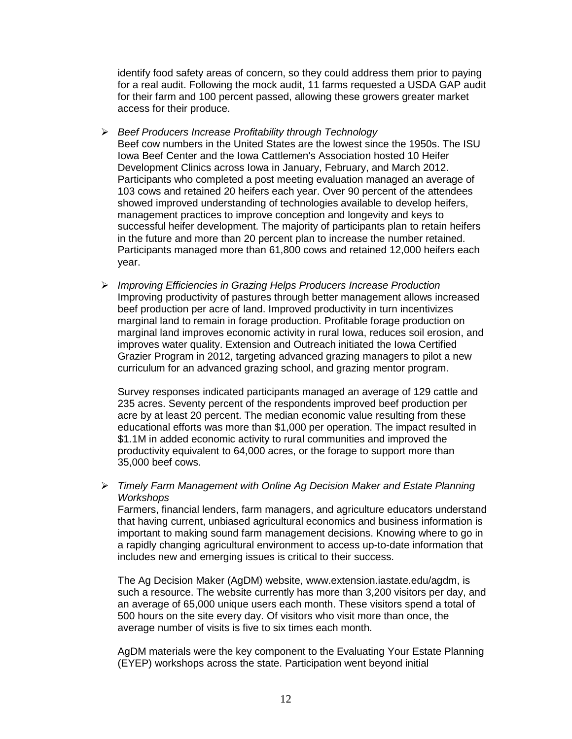identify food safety areas of concern, so they could address them prior to paying for a real audit. Following the mock audit, 11 farms requested a USDA GAP audit for their farm and 100 percent passed, allowing these growers greater market access for their produce.

- *Beef Producers Increase Profitability through Technology* Beef cow numbers in the United States are the lowest since the 1950s. The ISU Iowa Beef Center and the Iowa Cattlemen's Association hosted 10 Heifer Development Clinics across Iowa in January, February, and March 2012. Participants who completed a post meeting evaluation managed an average of 103 cows and retained 20 heifers each year. Over 90 percent of the attendees showed improved understanding of technologies available to develop heifers, management practices to improve conception and longevity and keys to successful heifer development. The majority of participants plan to retain heifers in the future and more than 20 percent plan to increase the number retained. Participants managed more than 61,800 cows and retained 12,000 heifers each year.
- *Improving Efficiencies in Grazing Helps Producers Increase Production* Improving productivity of pastures through better management allows increased beef production per acre of land. Improved productivity in turn incentivizes marginal land to remain in forage production. Profitable forage production on marginal land improves economic activity in rural Iowa, reduces soil erosion, and improves water quality. Extension and Outreach initiated the Iowa Certified Grazier Program in 2012, targeting advanced grazing managers to pilot a new curriculum for an advanced grazing school, and grazing mentor program.

Survey responses indicated participants managed an average of 129 cattle and 235 acres. Seventy percent of the respondents improved beef production per acre by at least 20 percent. The median economic value resulting from these educational efforts was more than \$1,000 per operation. The impact resulted in \$1.1M in added economic activity to rural communities and improved the productivity equivalent to 64,000 acres, or the forage to support more than 35,000 beef cows.

 *Timely Farm Management with Online Ag Decision Maker and Estate Planning Workshops*

Farmers, financial lenders, farm managers, and agriculture educators understand that having current, unbiased agricultural economics and business information is important to making sound farm management decisions. Knowing where to go in a rapidly changing agricultural environment to access up-to-date information that includes new and emerging issues is critical to their success.

The Ag Decision Maker (AgDM) website, [www.extension.iastate.edu/agdm,](http://www.extension.iastate.edu/agdm) is such a resource. The website currently has more than 3,200 visitors per day, and an average of 65,000 unique users each month. These visitors spend a total of 500 hours on the site every day. Of visitors who visit more than once, the average number of visits is five to six times each month.

AgDM materials were the key component to the Evaluating Your Estate Planning (EYEP) workshops across the state. Participation went beyond initial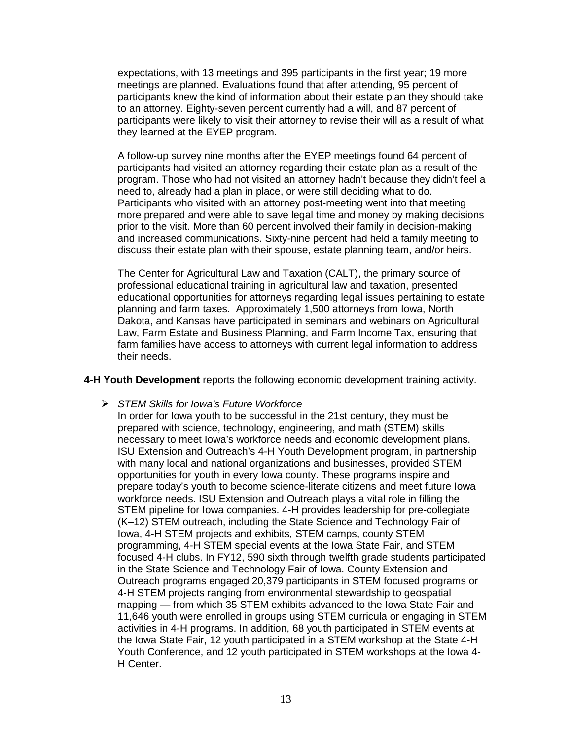expectations, with 13 meetings and 395 participants in the first year; 19 more meetings are planned. Evaluations found that after attending, 95 percent of participants knew the kind of information about their estate plan they should take to an attorney. Eighty-seven percent currently had a will, and 87 percent of participants were likely to visit their attorney to revise their will as a result of what they learned at the EYEP program.

A follow-up survey nine months after the EYEP meetings found 64 percent of participants had visited an attorney regarding their estate plan as a result of the program. Those who had not visited an attorney hadn't because they didn't feel a need to, already had a plan in place, or were still deciding what to do. Participants who visited with an attorney post-meeting went into that meeting more prepared and were able to save legal time and money by making decisions prior to the visit. More than 60 percent involved their family in decision-making and increased communications. Sixty-nine percent had held a family meeting to discuss their estate plan with their spouse, estate planning team, and/or heirs.

The Center for Agricultural Law and Taxation (CALT), the primary source of professional educational training in agricultural law and taxation, presented educational opportunities for attorneys regarding legal issues pertaining to estate planning and farm taxes. Approximately 1,500 attorneys from Iowa, North Dakota, and Kansas have participated in seminars and webinars on Agricultural Law, Farm Estate and Business Planning, and Farm Income Tax, ensuring that farm families have access to attorneys with current legal information to address their needs.

**4-H Youth Development** reports the following economic development training activity.

*STEM Skills for Iowa's Future Workforce*

In order for Iowa youth to be successful in the 21st century, they must be prepared with science, technology, engineering, and math (STEM) skills necessary to meet Iowa's workforce needs and economic development plans. ISU Extension and Outreach's 4-H Youth Development program, in partnership with many local and national organizations and businesses, provided STEM opportunities for youth in every Iowa county. These programs inspire and prepare today's youth to become science-literate citizens and meet future Iowa workforce needs. ISU Extension and Outreach plays a vital role in filling the STEM pipeline for Iowa companies. 4-H provides leadership for pre-collegiate (K–12) STEM outreach, including the State Science and Technology Fair of Iowa, 4-H STEM projects and exhibits, STEM camps, county STEM programming, 4-H STEM special events at the Iowa State Fair, and STEM focused 4-H clubs. In FY12, 590 sixth through twelfth grade students participated in the State Science and Technology Fair of Iowa. County Extension and Outreach programs engaged 20,379 participants in STEM focused programs or 4-H STEM projects ranging from environmental stewardship to geospatial mapping — from which 35 STEM exhibits advanced to the Iowa State Fair and 11,646 youth were enrolled in groups using STEM curricula or engaging in STEM activities in 4-H programs. In addition, 68 youth participated in STEM events at the Iowa State Fair, 12 youth participated in a STEM workshop at the State 4-H Youth Conference, and 12 youth participated in STEM workshops at the Iowa 4- H Center.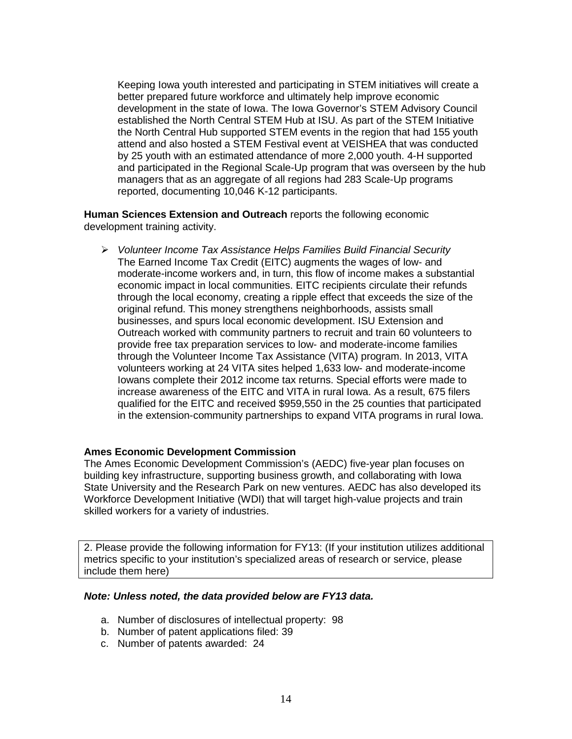Keeping Iowa youth interested and participating in STEM initiatives will create a better prepared future workforce and ultimately help improve economic development in the state of Iowa. The Iowa Governor's STEM Advisory Council established the North Central STEM Hub at ISU. As part of the STEM Initiative the North Central Hub supported STEM events in the region that had 155 youth attend and also hosted a STEM Festival event at VEISHEA that was conducted by 25 youth with an estimated attendance of more 2,000 youth. 4-H supported and participated in the Regional Scale-Up program that was overseen by the hub managers that as an aggregate of all regions had 283 Scale-Up programs reported, documenting 10,046 K-12 participants.

**Human Sciences Extension and Outreach** reports the following economic development training activity.

 *Volunteer Income Tax Assistance Helps Families Build Financial Security* The Earned Income Tax Credit (EITC) augments the wages of low- and moderate-income workers and, in turn, this flow of income makes a substantial economic impact in local communities. EITC recipients circulate their refunds through the local economy, creating a ripple effect that exceeds the size of the original refund. This money strengthens neighborhoods, assists small businesses, and spurs local economic development. ISU Extension and Outreach worked with community partners to recruit and train 60 volunteers to provide free tax preparation services to low- and moderate-income families through the Volunteer Income Tax Assistance (VITA) program. In 2013, VITA volunteers working at 24 VITA sites helped 1,633 low- and moderate-income Iowans complete their 2012 income tax returns. Special efforts were made to increase awareness of the EITC and VITA in rural Iowa. As a result, 675 filers qualified for the EITC and received \$959,550 in the 25 counties that participated in the extension-community partnerships to expand VITA programs in rural Iowa.

#### **Ames Economic Development Commission**

The Ames Economic Development Commission's (AEDC) five-year plan focuses on building key infrastructure, supporting business growth, and collaborating with Iowa State University and the Research Park on new ventures. AEDC has also developed its Workforce Development Initiative (WDI) that will target high-value projects and train skilled workers for a variety of industries.

2. Please provide the following information for FY13: (If your institution utilizes additional metrics specific to your institution's specialized areas of research or service, please include them here)

#### *Note: Unless noted, the data provided below are FY13 data.*

- a. Number of disclosures of intellectual property: 98
- b. Number of patent applications filed: 39
- c. Number of patents awarded: 24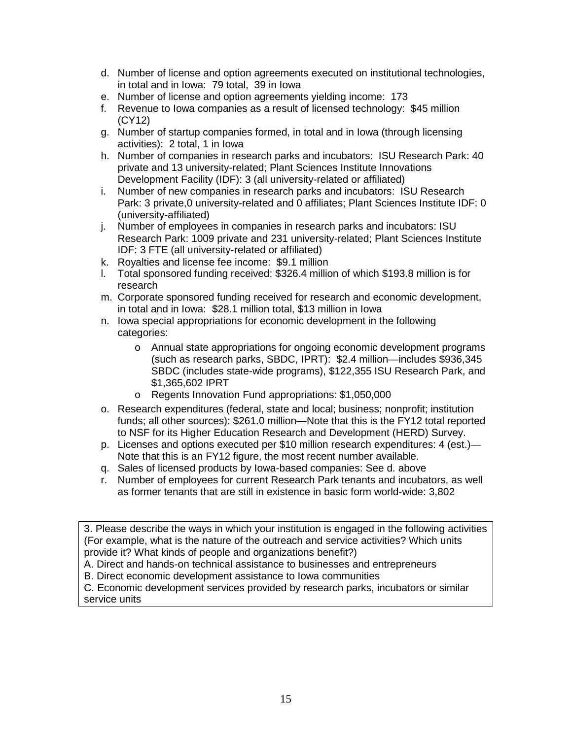- d. Number of license and option agreements executed on institutional technologies, in total and in Iowa: 79 total, 39 in Iowa
- e. Number of license and option agreements yielding income: 173
- f. Revenue to Iowa companies as a result of licensed technology: \$45 million (CY12)
- g. Number of startup companies formed, in total and in Iowa (through licensing activities): 2 total, 1 in Iowa
- h. Number of companies in research parks and incubators: ISU Research Park: 40 private and 13 university-related; Plant Sciences Institute Innovations Development Facility (IDF): 3 (all university-related or affiliated)
- i. Number of new companies in research parks and incubators: ISU Research Park: 3 private,0 university-related and 0 affiliates; Plant Sciences Institute IDF: 0 (university-affiliated)
- j. Number of employees in companies in research parks and incubators: ISU Research Park: 1009 private and 231 university-related; Plant Sciences Institute IDF: 3 FTE (all university-related or affiliated)
- k. Royalties and license fee income: \$9.1 million
- l. Total sponsored funding received: \$326.4 million of which \$193.8 million is for research
- m. Corporate sponsored funding received for research and economic development, in total and in Iowa: \$28.1 million total, \$13 million in Iowa
- n. Iowa special appropriations for economic development in the following categories:
	- o Annual state appropriations for ongoing economic development programs (such as research parks, SBDC, IPRT): \$2.4 million—includes \$936,345 SBDC (includes state-wide programs), \$122,355 ISU Research Park, and \$1,365,602 IPRT
	- o Regents Innovation Fund appropriations: \$1,050,000
- o. Research expenditures (federal, state and local; business; nonprofit; institution funds; all other sources): \$261.0 million—Note that this is the FY12 total reported to NSF for its Higher Education Research and Development (HERD) Survey.
- p. Licenses and options executed per \$10 million research expenditures: 4 (est.)— Note that this is an FY12 figure, the most recent number available.
- q. Sales of licensed products by Iowa-based companies: See d. above
- r. Number of employees for current Research Park tenants and incubators, as well as former tenants that are still in existence in basic form world-wide: 3,802

3. Please describe the ways in which your institution is engaged in the following activities (For example, what is the nature of the outreach and service activities? Which units provide it? What kinds of people and organizations benefit?)

A. Direct and hands-on technical assistance to businesses and entrepreneurs

B. Direct economic development assistance to Iowa communities

C. Economic development services provided by research parks, incubators or similar service units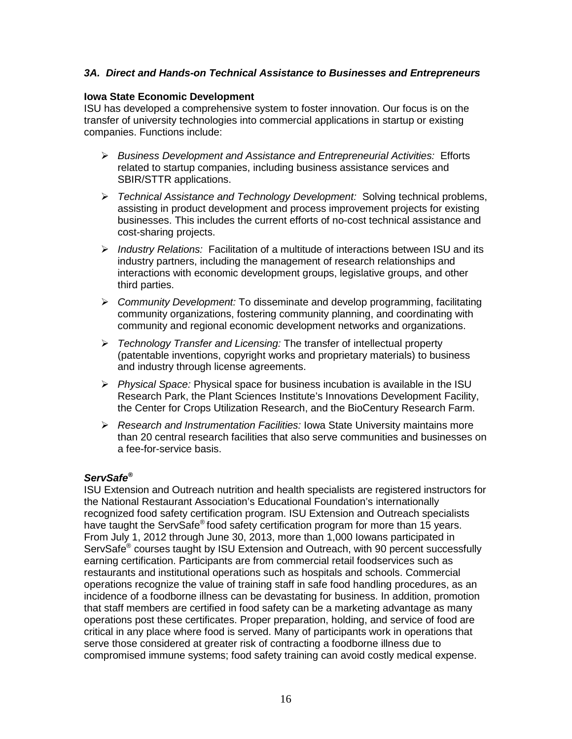## *3A. Direct and Hands-on Technical Assistance to Businesses and Entrepreneurs*

#### **Iowa State Economic Development**

ISU has developed a comprehensive system to foster innovation. Our focus is on the transfer of university technologies into commercial applications in startup or existing companies. Functions include:

- *Business Development and Assistance and Entrepreneurial Activities:* Efforts related to startup companies, including business assistance services and SBIR/STTR applications.
- *Technical Assistance and Technology Development:* Solving technical problems, assisting in product development and process improvement projects for existing businesses. This includes the current efforts of no-cost technical assistance and cost-sharing projects.
- *Industry Relations:* Facilitation of a multitude of interactions between ISU and its industry partners, including the management of research relationships and interactions with economic development groups, legislative groups, and other third parties.
- *Community Development:* To disseminate and develop programming, facilitating community organizations, fostering community planning, and coordinating with community and regional economic development networks and organizations.
- *Technology Transfer and Licensing:* The transfer of intellectual property (patentable inventions, copyright works and proprietary materials) to business and industry through license agreements.
- *Physical Space:* Physical space for business incubation is available in the ISU Research Park, the Plant Sciences Institute's Innovations Development Facility, the Center for Crops Utilization Research, and the BioCentury Research Farm.
- *Research and Instrumentation Facilities:* Iowa State University maintains more than 20 central research facilities that also serve communities and businesses on a fee-for-service basis.

## *ServSafe®*

ISU Extension and Outreach nutrition and health specialists are registered instructors for the National Restaurant Association's Educational Foundation's internationally recognized food safety certification program. ISU Extension and Outreach specialists have taught the ServSafe<sup>®</sup> food safety certification program for more than 15 years. From July 1, 2012 through June 30, 2013, more than 1,000 Iowans participated in ServSafe<sup>®</sup> courses taught by ISU Extension and Outreach, with 90 percent successfully earning certification. Participants are from commercial retail foodservices such as restaurants and institutional operations such as hospitals and schools. Commercial operations recognize the value of training staff in safe food handling procedures, as an incidence of a foodborne illness can be devastating for business. In addition, promotion that staff members are certified in food safety can be a marketing advantage as many operations post these certificates. Proper preparation, holding, and service of food are critical in any place where food is served. Many of participants work in operations that serve those considered at greater risk of contracting a foodborne illness due to compromised immune systems; food safety training can avoid costly medical expense.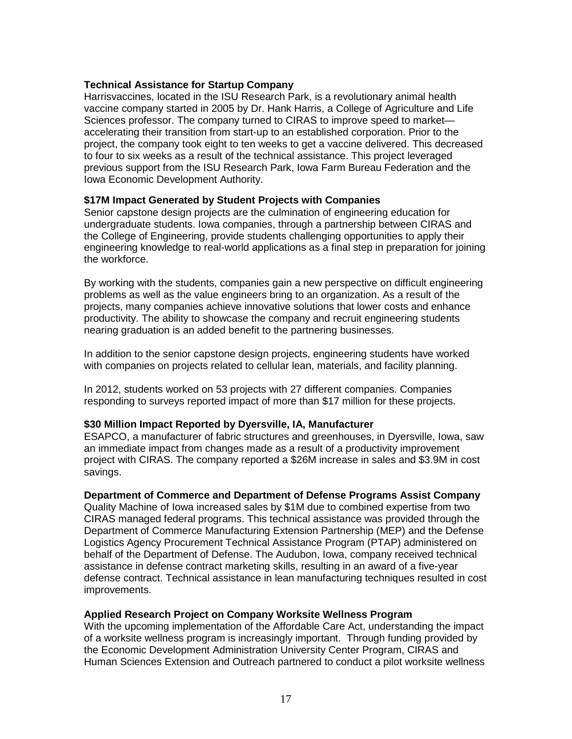#### **Technical Assistance for Startup Company**

Harrisvaccines, located in the ISU Research Park, is a revolutionary animal health vaccine company started in 2005 by Dr. Hank Harris, a College of Agriculture and Life Sciences professor. The company turned to CIRAS to improve speed to market accelerating their transition from start-up to an established corporation. Prior to the project, the company took eight to ten weeks to get a vaccine delivered. This decreased to four to six weeks as a result of the technical assistance. This project leveraged previous support from the ISU Research Park, Iowa Farm Bureau Federation and the Iowa Economic Development Authority.

#### **\$17M Impact Generated by Student Projects with Companies**

Senior capstone design projects are the culmination of engineering education for undergraduate students. Iowa companies, through a partnership between CIRAS and the College of Engineering, provide students challenging opportunities to apply their engineering knowledge to real-world applications as a final step in preparation for joining the workforce.

By working with the students, companies gain a new perspective on difficult engineering problems as well as the value engineers bring to an organization. As a result of the projects, many companies achieve innovative solutions that lower costs and enhance productivity. The ability to showcase the company and recruit engineering students nearing graduation is an added benefit to the partnering businesses.

In addition to the senior capstone design projects, engineering students have worked with companies on projects related to cellular lean, materials, and facility planning.

In 2012, students worked on 53 projects with 27 different companies. Companies responding to surveys reported impact of more than \$17 million for these projects.

#### **\$30 Million Impact Reported by Dyersville, IA, Manufacturer**

ESAPCO, a manufacturer of fabric structures and greenhouses, in Dyersville, Iowa, saw an immediate impact from changes made as a result of a productivity improvement project with CIRAS. The company reported a \$26M increase in sales and \$3.9M in cost savings.

#### **Department of Commerce and Department of Defense Programs Assist Company**

Quality Machine of Iowa increased sales by \$1M due to combined expertise from two CIRAS managed federal programs. This technical assistance was provided through the Department of Commerce Manufacturing Extension Partnership (MEP) and the Defense Logistics Agency Procurement Technical Assistance Program (PTAP) administered on behalf of the Department of Defense. The Audubon, Iowa, company received technical assistance in defense contract marketing skills, resulting in an award of a five-year defense contract. Technical assistance in lean manufacturing techniques resulted in cost improvements.

#### **Applied Research Project on Company Worksite Wellness Program**

With the upcoming implementation of the Affordable Care Act, understanding the impact of a worksite wellness program is increasingly important. Through funding provided by the Economic Development Administration University Center Program, CIRAS and Human Sciences Extension and Outreach partnered to conduct a pilot worksite wellness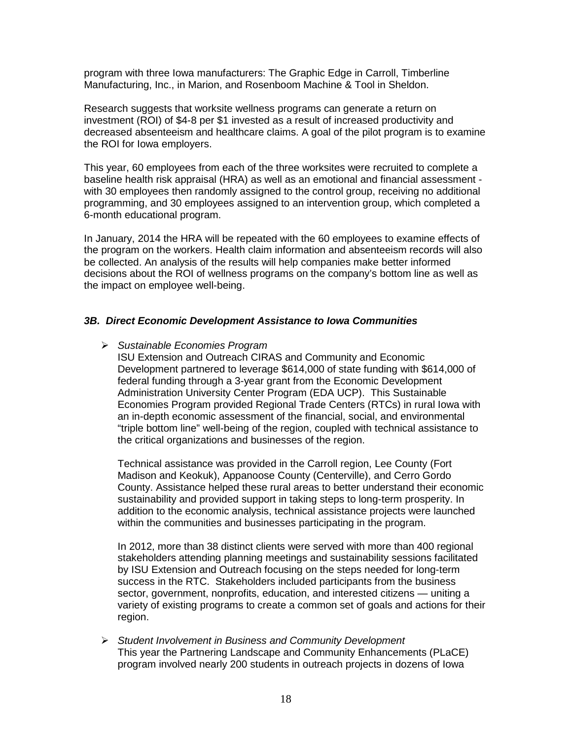program with three Iowa manufacturers: The Graphic Edge in Carroll, Timberline Manufacturing, Inc., in Marion, and Rosenboom Machine & Tool in Sheldon.

Research suggests that worksite wellness programs can generate a return on investment (ROI) of \$4-8 per \$1 invested as a result of increased productivity and decreased absenteeism and healthcare claims. A goal of the pilot program is to examine the ROI for Iowa employers.

This year, 60 employees from each of the three worksites were recruited to complete a baseline health risk appraisal (HRA) as well as an emotional and financial assessment with 30 employees then randomly assigned to the control group, receiving no additional programming, and 30 employees assigned to an intervention group, which completed a 6-month educational program.

In January, 2014 the HRA will be repeated with the 60 employees to examine effects of the program on the workers. Health claim information and absenteeism records will also be collected. An analysis of the results will help companies make better informed decisions about the ROI of wellness programs on the company's bottom line as well as the impact on employee well-being.

## *3B. Direct Economic Development Assistance to Iowa Communities*

*Sustainable Economies Program*

ISU Extension and Outreach CIRAS and Community and Economic Development partnered to leverage \$614,000 of state funding with \$614,000 of federal funding through a 3-year grant from the Economic Development Administration University Center Program (EDA UCP). This Sustainable Economies Program provided Regional Trade Centers (RTCs) in rural Iowa with an in-depth economic assessment of the financial, social, and environmental "triple bottom line" well-being of the region, coupled with technical assistance to the critical organizations and businesses of the region.

Technical assistance was provided in the Carroll region, Lee County (Fort Madison and Keokuk), Appanoose County (Centerville), and Cerro Gordo County. Assistance helped these rural areas to better understand their economic sustainability and provided support in taking steps to long-term prosperity. In addition to the economic analysis, technical assistance projects were launched within the communities and businesses participating in the program.

In 2012, more than 38 distinct clients were served with more than 400 regional stakeholders attending planning meetings and sustainability sessions facilitated by ISU Extension and Outreach focusing on the steps needed for long-term success in the RTC. Stakeholders included participants from the business sector, government, nonprofits, education, and interested citizens — uniting a variety of existing programs to create a common set of goals and actions for their region.

 *Student Involvement in Business and Community Development* This year the Partnering Landscape and Community Enhancements (PLaCE) program involved nearly 200 students in outreach projects in dozens of Iowa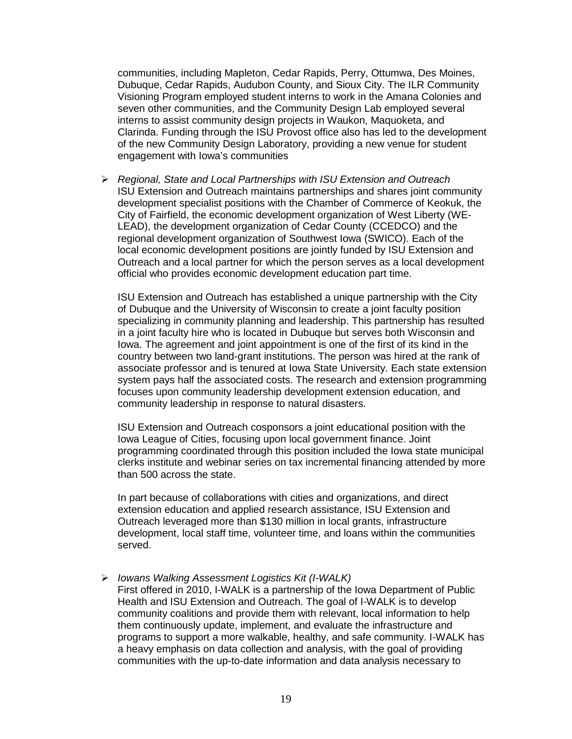communities, including Mapleton, Cedar Rapids, Perry, Ottumwa, Des Moines, Dubuque, Cedar Rapids, Audubon County, and Sioux City. The ILR Community Visioning Program employed student interns to work in the Amana Colonies and seven other communities, and the Community Design Lab employed several interns to assist community design projects in Waukon, Maquoketa, and Clarinda. Funding through the ISU Provost office also has led to the development of the new Community Design Laboratory, providing a new venue for student engagement with Iowa's communities

 *Regional, State and Local Partnerships with ISU Extension and Outreach* ISU Extension and Outreach maintains partnerships and shares joint community development specialist positions with the Chamber of Commerce of Keokuk, the City of Fairfield, the economic development organization of West Liberty (WE-LEAD), the development organization of Cedar County (CCEDCO) and the regional development organization of Southwest Iowa (SWICO). Each of the local economic development positions are jointly funded by ISU Extension and Outreach and a local partner for which the person serves as a local development official who provides economic development education part time.

ISU Extension and Outreach has established a unique partnership with the City of Dubuque and the University of Wisconsin to create a joint faculty position specializing in community planning and leadership. This partnership has resulted in a joint faculty hire who is located in Dubuque but serves both Wisconsin and Iowa. The agreement and joint appointment is one of the first of its kind in the country between two land-grant institutions. The person was hired at the rank of associate professor and is tenured at Iowa State University. Each state extension system pays half the associated costs. The research and extension programming focuses upon community leadership development extension education, and community leadership in response to natural disasters.

ISU Extension and Outreach cosponsors a joint educational position with the Iowa League of Cities, focusing upon local government finance. Joint programming coordinated through this position included the Iowa state municipal clerks institute and webinar series on tax incremental financing attended by more than 500 across the state.

In part because of collaborations with cities and organizations, and direct extension education and applied research assistance, ISU Extension and Outreach leveraged more than \$130 million in local grants, infrastructure development, local staff time, volunteer time, and loans within the communities served.

#### *Iowans Walking Assessment Logistics Kit (I-WALK)*

First offered in 2010, I-WALK is a partnership of the Iowa Department of Public Health and ISU Extension and Outreach. The goal of I-WALK is to develop community coalitions and provide them with relevant, local information to help them continuously update, implement, and evaluate the infrastructure and programs to support a more walkable, healthy, and safe community. I-WALK has a heavy emphasis on data collection and analysis, with the goal of providing communities with the up-to-date information and data analysis necessary to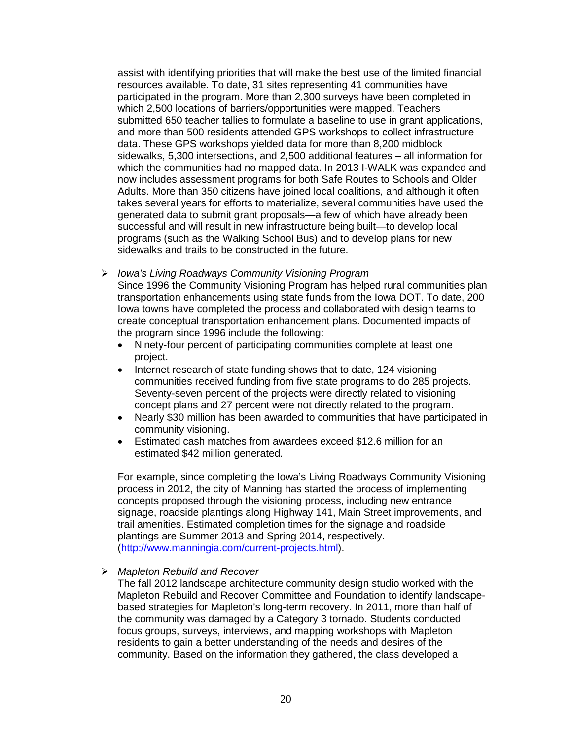assist with identifying priorities that will make the best use of the limited financial resources available. To date, 31 sites representing 41 communities have participated in the program. More than 2,300 surveys have been completed in which 2,500 locations of barriers/opportunities were mapped. Teachers submitted 650 teacher tallies to formulate a baseline to use in grant applications, and more than 500 residents attended GPS workshops to collect infrastructure data. These GPS workshops yielded data for more than 8,200 midblock sidewalks, 5,300 intersections, and 2,500 additional features – all information for which the communities had no mapped data. In 2013 I-WALK was expanded and now includes assessment programs for both Safe Routes to Schools and Older Adults. More than 350 citizens have joined local coalitions, and although it often takes several years for efforts to materialize, several communities have used the generated data to submit grant proposals—a few of which have already been successful and will result in new infrastructure being built—to develop local programs (such as the Walking School Bus) and to develop plans for new sidewalks and trails to be constructed in the future.

*Iowa's Living Roadways Community Visioning Program*

Since 1996 the Community Visioning Program has helped rural communities plan transportation enhancements using state funds from the Iowa DOT. To date, 200 Iowa towns have completed the process and collaborated with design teams to create conceptual transportation enhancement plans. Documented impacts of the program since 1996 include the following:

- Ninety-four percent of participating communities complete at least one project.
- Internet research of state funding shows that to date, 124 visioning communities received funding from five state programs to do 285 projects. Seventy-seven percent of the projects were directly related to visioning concept plans and 27 percent were not directly related to the program.
- Nearly \$30 million has been awarded to communities that have participated in community visioning.
- Estimated cash matches from awardees exceed \$12.6 million for an estimated \$42 million generated.

For example, since completing the Iowa's Living Roadways Community Visioning process in 2012, the city of Manning has started the process of implementing concepts proposed through the visioning process, including new entrance signage, roadside plantings along Highway 141, Main Street improvements, and trail amenities. Estimated completion times for the signage and roadside plantings are Summer 2013 and Spring 2014, respectively. [\(http://www.manningia.com/current-projects.html\)](http://www.manningia.com/current-projects.html).

## *Mapleton Rebuild and Recover*

The fall 2012 landscape architecture community design studio worked with the Mapleton Rebuild and Recover Committee and Foundation to identify landscapebased strategies for Mapleton's long-term recovery. In 2011, more than half of the community was damaged by a Category 3 tornado. Students conducted focus groups, surveys, interviews, and mapping workshops with Mapleton residents to gain a better understanding of the needs and desires of the community. Based on the information they gathered, the class developed a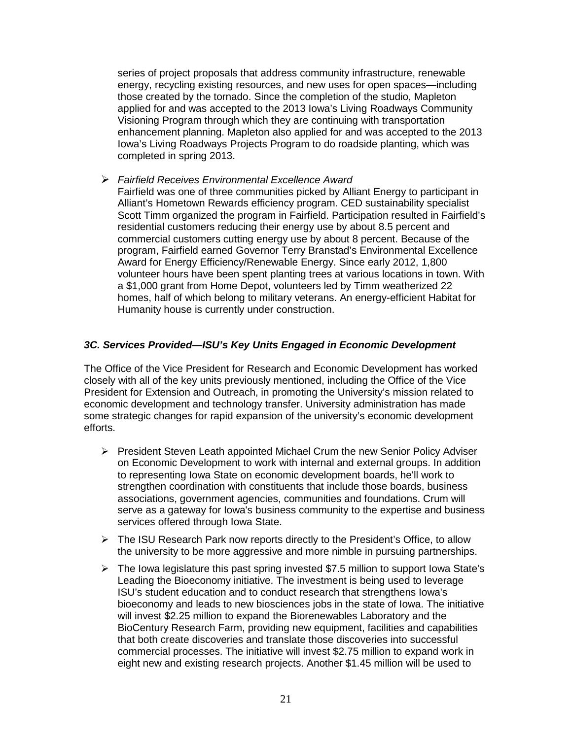series of project proposals that address community infrastructure, renewable energy, recycling existing resources, and new uses for open spaces—including those created by the tornado. Since the completion of the studio, Mapleton applied for and was accepted to the 2013 Iowa's Living Roadways Community Visioning Program through which they are continuing with transportation enhancement planning. Mapleton also applied for and was accepted to the 2013 Iowa's Living Roadways Projects Program to do roadside planting, which was completed in spring 2013.

 *Fairfield Receives Environmental Excellence Award* Fairfield was one of three communities picked by Alliant Energy to participant in Alliant's Hometown Rewards efficiency program. CED sustainability specialist Scott Timm organized the program in Fairfield. Participation resulted in Fairfield's residential customers reducing their energy use by about 8.5 percent and commercial customers cutting energy use by about 8 percent. Because of the program, Fairfield earned Governor Terry Branstad's Environmental Excellence Award for Energy Efficiency/Renewable Energy. Since early 2012, 1,800 volunteer hours have been spent planting trees at various locations in town. With a \$1,000 grant from Home Depot, volunteers led by Timm weatherized 22 homes, half of which belong to military veterans. An energy-efficient Habitat for Humanity house is currently under construction.

#### *3C. Services Provided—ISU's Key Units Engaged in Economic Development*

The Office of the Vice President for Research and Economic Development has worked closely with all of the key units previously mentioned, including the Office of the Vice President for Extension and Outreach, in promoting the University's mission related to economic development and technology transfer. University administration has made some strategic changes for rapid expansion of the university's economic development efforts.

- $\triangleright$  President Steven Leath appointed Michael Crum the new Senior Policy Adviser on Economic Development to work with internal and external groups. In addition to representing Iowa State on economic development boards, he'll work to strengthen coordination with constituents that include those boards, business associations, government agencies, communities and foundations. Crum will serve as a gateway for Iowa's business community to the expertise and business services offered through Iowa State.
- $\triangleright$  The ISU Research Park now reports directly to the President's Office, to allow the university to be more aggressive and more nimble in pursuing partnerships.
- $\triangleright$  The Iowa legislature this past spring invested \$7.5 million to support Iowa State's Leading the Bioeconomy initiative. The investment is being used to leverage ISU's student education and to conduct research that strengthens Iowa's bioeconomy and leads to new biosciences jobs in the state of Iowa. The initiative will invest \$2.25 million to expand the Biorenewables Laboratory and the BioCentury Research Farm, providing new equipment, facilities and capabilities that both create discoveries and translate those discoveries into successful commercial processes. The initiative will invest \$2.75 million to expand work in eight new and existing research projects. Another \$1.45 million will be used to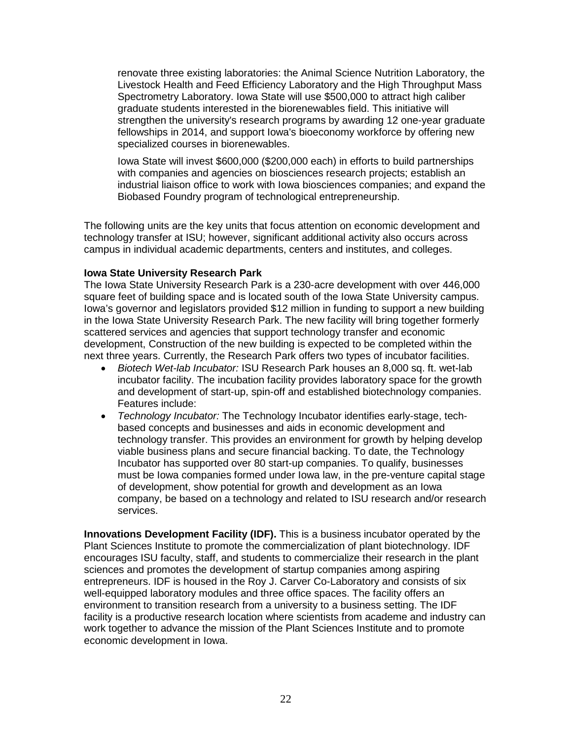renovate three existing laboratories: the Animal Science Nutrition Laboratory, the Livestock Health and Feed Efficiency Laboratory and the High Throughput Mass Spectrometry Laboratory. Iowa State will use \$500,000 to attract high caliber graduate students interested in the biorenewables field. This initiative will strengthen the university's research programs by awarding 12 one-year graduate fellowships in 2014, and support Iowa's bioeconomy workforce by offering new specialized courses in biorenewables.

Iowa State will invest \$600,000 (\$200,000 each) in efforts to build partnerships with companies and agencies on biosciences research projects; establish an industrial liaison office to work with Iowa biosciences companies; and expand the Biobased Foundry program of technological entrepreneurship.

The following units are the key units that focus attention on economic development and technology transfer at ISU; however, significant additional activity also occurs across campus in individual academic departments, centers and institutes, and colleges.

#### **Iowa State University Research Park**

The Iowa State University Research Park is a 230-acre development with over 446,000 square feet of building space and is located south of the Iowa State University campus. Iowa's governor and legislators provided \$12 million in funding to support a new building in the Iowa State University Research Park. The new facility will bring together formerly scattered services and agencies that support technology transfer and economic development, Construction of the new building is expected to be completed within the next three years. Currently, the Research Park offers two types of incubator facilities.

- *Biotech Wet-lab Incubator:* ISU Research Park houses an 8,000 sq. ft. wet-lab incubator facility. The incubation facility provides laboratory space for the growth and development of start-up, spin-off and established biotechnology companies. Features include:
- *Technology Incubator:* The Technology Incubator identifies early-stage, techbased concepts and businesses and aids in economic development and technology transfer. This provides an environment for growth by helping develop viable business plans and secure financial backing. To date, the Technology Incubator has supported over 80 start-up companies. To qualify, businesses must be Iowa companies formed under Iowa law, in the pre-venture capital stage of development, show potential for growth and development as an Iowa company, be based on a technology and related to ISU research and/or research services.

**Innovations Development Facility (IDF).** This is a business incubator operated by the Plant Sciences Institute to promote the commercialization of plant biotechnology. IDF encourages ISU faculty, staff, and students to commercialize their research in the plant sciences and promotes the development of startup companies among aspiring entrepreneurs. IDF is housed in the Roy J. Carver Co-Laboratory and consists of six well-equipped laboratory modules and three office spaces. The facility offers an environment to transition research from a university to a business setting. The IDF facility is a productive research location where scientists from academe and industry can work together to advance the mission of the Plant Sciences Institute and to promote economic development in Iowa.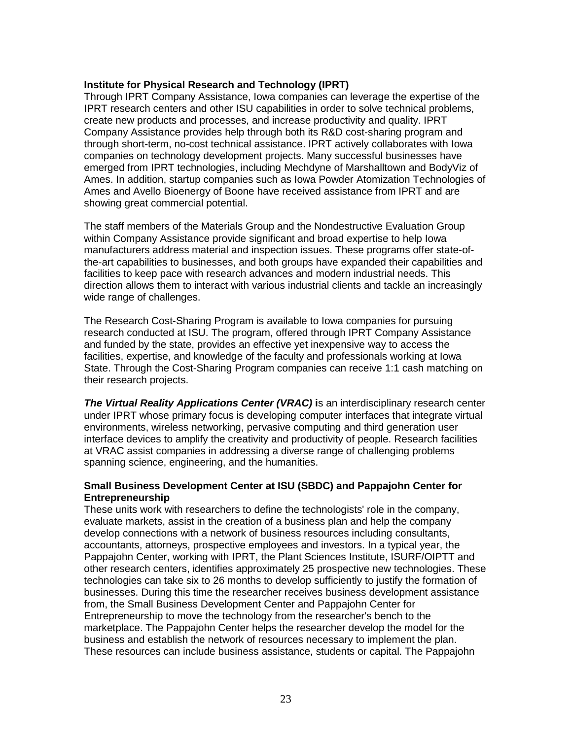#### **Institute for Physical Research and Technology (IPRT)**

Through IPRT Company Assistance, Iowa companies can leverage the expertise of the IPRT research centers and other ISU capabilities in order to solve technical problems, create new products and processes, and increase productivity and quality. IPRT Company Assistance provides help through both its R&D cost-sharing program and through short-term, no-cost technical assistance. IPRT actively collaborates with Iowa companies on technology development projects. Many successful businesses have emerged from IPRT technologies, including Mechdyne of Marshalltown and BodyViz of Ames. In addition, startup companies such as Iowa Powder Atomization Technologies of Ames and Avello Bioenergy of Boone have received assistance from IPRT and are showing great commercial potential.

The staff members of the Materials Group and the Nondestructive Evaluation Group within Company Assistance provide significant and broad expertise to help Iowa manufacturers address material and inspection issues. These programs offer state-ofthe-art capabilities to businesses, and both groups have expanded their capabilities and facilities to keep pace with research advances and modern industrial needs. This direction allows them to interact with various industrial clients and tackle an increasingly wide range of challenges.

The Research Cost-Sharing Program is available to Iowa companies for pursuing research conducted at ISU. The program, offered through IPRT Company Assistance and funded by the state, provides an effective yet inexpensive way to access the facilities, expertise, and knowledge of the faculty and professionals working at Iowa State. Through the Cost-Sharing Program companies can receive 1:1 cash matching on their research projects.

**The Virtual Reality Applications Center (VRAC) is an interdisciplinary research center** under IPRT whose primary focus is developing computer interfaces that integrate virtual environments, wireless networking, pervasive computing and third generation user interface devices to amplify the creativity and productivity of people. Research facilities at VRAC assist companies in addressing a diverse range of challenging problems spanning science, engineering, and the humanities.

#### **Small Business Development Center at ISU (SBDC) and Pappajohn Center for Entrepreneurship**

These units work with researchers to define the technologists' role in the company, evaluate markets, assist in the creation of a business plan and help the company develop connections with a network of business resources including consultants, accountants, attorneys, prospective employees and investors. In a typical year, the Pappajohn Center, working with IPRT, the Plant Sciences Institute, ISURF/OIPTT and other research centers, identifies approximately 25 prospective new technologies. These technologies can take six to 26 months to develop sufficiently to justify the formation of businesses. During this time the researcher receives business development assistance from, the Small Business Development Center and Pappajohn Center for Entrepreneurship to move the technology from the researcher's bench to the marketplace. The Pappajohn Center helps the researcher develop the model for the business and establish the network of resources necessary to implement the plan. These resources can include business assistance, students or capital. The Pappajohn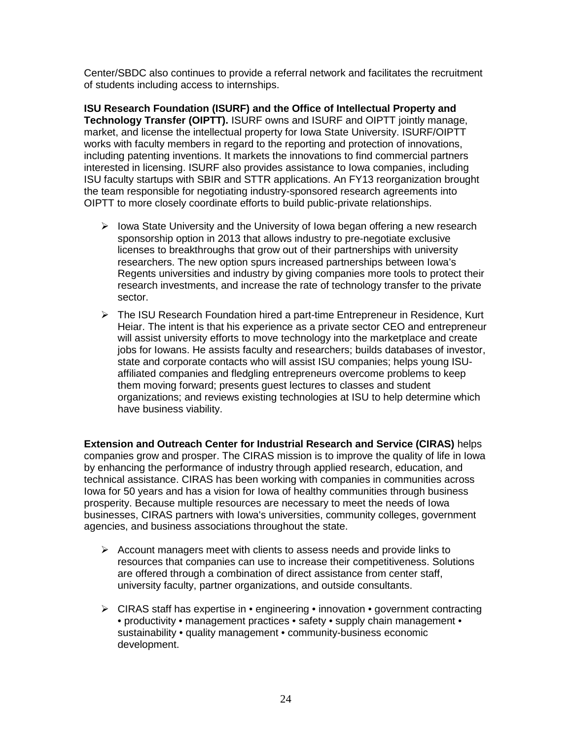Center/SBDC also continues to provide a referral network and facilitates the recruitment of students including access to internships.

**ISU Research Foundation (ISURF) and the Office of Intellectual Property and Technology Transfer (OIPTT).** ISURF owns and ISURF and OIPTT jointly manage, market, and license the intellectual property for Iowa State University. ISURF/OIPTT works with faculty members in regard to the reporting and protection of innovations, including patenting inventions. It markets the innovations to find commercial partners interested in licensing. ISURF also provides assistance to Iowa companies, including ISU faculty startups with SBIR and STTR applications. An FY13 reorganization brought the team responsible for negotiating industry-sponsored research agreements into OIPTT to more closely coordinate efforts to build public-private relationships.

- $\triangleright$  Iowa State University and the University of Iowa began offering a new research sponsorship option in 2013 that allows industry to pre-negotiate exclusive licenses to breakthroughs that grow out of their partnerships with university researchers. The new option spurs increased partnerships between Iowa's Regents universities and industry by giving companies more tools to protect their research investments, and increase the rate of technology transfer to the private sector.
- The ISU Research Foundation hired a part-time Entrepreneur in Residence, Kurt Heiar. The intent is that his experience as a private sector CEO and entrepreneur will assist university efforts to move technology into the marketplace and create jobs for Iowans. He assists faculty and researchers; builds databases of investor, state and corporate contacts who will assist ISU companies; helps young ISUaffiliated companies and fledgling entrepreneurs overcome problems to keep them moving forward; presents guest lectures to classes and student organizations; and reviews existing technologies at ISU to help determine which have business viability.

**Extension and Outreach Center for Industrial Research and Service (CIRAS)** helps companies grow and prosper. The CIRAS mission is to improve the quality of life in Iowa by enhancing the performance of industry through applied research, education, and technical assistance. CIRAS has been working with companies in communities across Iowa for 50 years and has a vision for Iowa of healthy communities through business prosperity. Because multiple resources are necessary to meet the needs of Iowa businesses, CIRAS partners with Iowa's universities, community colleges, government agencies, and business associations throughout the state.

- $\triangleright$  Account managers meet with clients to assess needs and provide links to resources that companies can use to increase their competitiveness. Solutions are offered through a combination of direct assistance from center staff, university faculty, partner organizations, and outside consultants.
- $\triangleright$  CIRAS staff has expertise in  $\cdot$  engineering  $\cdot$  innovation  $\cdot$  government contracting • productivity • management practices • safety • supply chain management • sustainability • quality management • community-business economic development.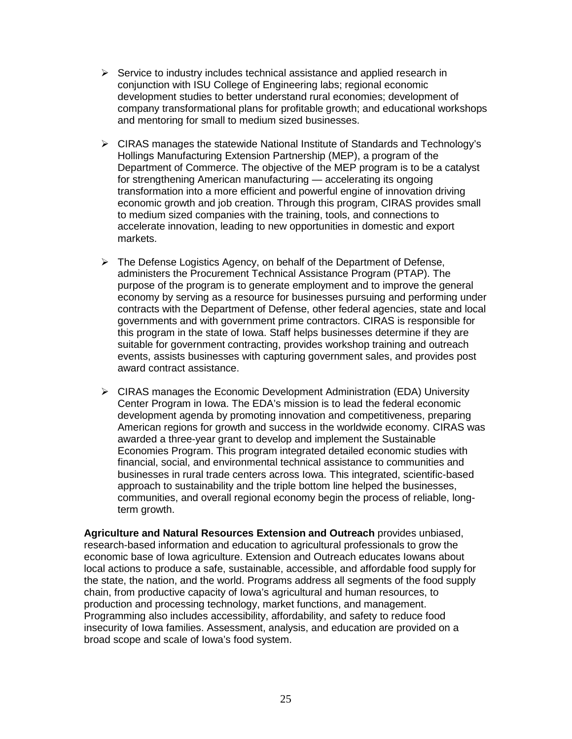- $\triangleright$  Service to industry includes technical assistance and applied research in conjunction with ISU College of Engineering labs; regional economic development studies to better understand rural economies; development of company transformational plans for profitable growth; and educational workshops and mentoring for small to medium sized businesses.
- CIRAS manages the statewide National Institute of Standards and Technology's Hollings Manufacturing Extension Partnership (MEP), a program of the Department of Commerce. The objective of the MEP program is to be a catalyst for strengthening American manufacturing — accelerating its ongoing transformation into a more efficient and powerful engine of innovation driving economic growth and job creation. Through this program, CIRAS provides small to medium sized companies with the training, tools, and connections to accelerate innovation, leading to new opportunities in domestic and export markets.
- $\triangleright$  The Defense Logistics Agency, on behalf of the Department of Defense, administers the Procurement Technical Assistance Program (PTAP). The purpose of the program is to generate employment and to improve the general economy by serving as a resource for businesses pursuing and performing under contracts with the Department of Defense, other federal agencies, state and local governments and with government prime contractors. CIRAS is responsible for this program in the state of Iowa. Staff helps businesses determine if they are suitable for government contracting, provides workshop training and outreach events, assists businesses with capturing government sales, and provides post award contract assistance.
- $\triangleright$  CIRAS manages the Economic Development Administration (EDA) University Center Program in Iowa. The EDA's mission is to lead the federal economic development agenda by promoting innovation and competitiveness, preparing American regions for growth and success in the worldwide economy. CIRAS was awarded a three-year grant to develop and implement the Sustainable Economies Program. This program integrated detailed economic studies with financial, social, and environmental technical assistance to communities and businesses in rural trade centers across Iowa. This integrated, scientific-based approach to sustainability and the triple bottom line helped the businesses, communities, and overall regional economy begin the process of reliable, longterm growth.

**Agriculture and Natural Resources Extension and Outreach** provides unbiased, research-based information and education to agricultural professionals to grow the economic base of Iowa agriculture. Extension and Outreach educates Iowans about local actions to produce a safe, sustainable, accessible, and affordable food supply for the state, the nation, and the world. Programs address all segments of the food supply chain, from productive capacity of Iowa's agricultural and human resources, to production and processing technology, market functions, and management. Programming also includes accessibility, affordability, and safety to reduce food insecurity of Iowa families. Assessment, analysis, and education are provided on a broad scope and scale of Iowa's food system.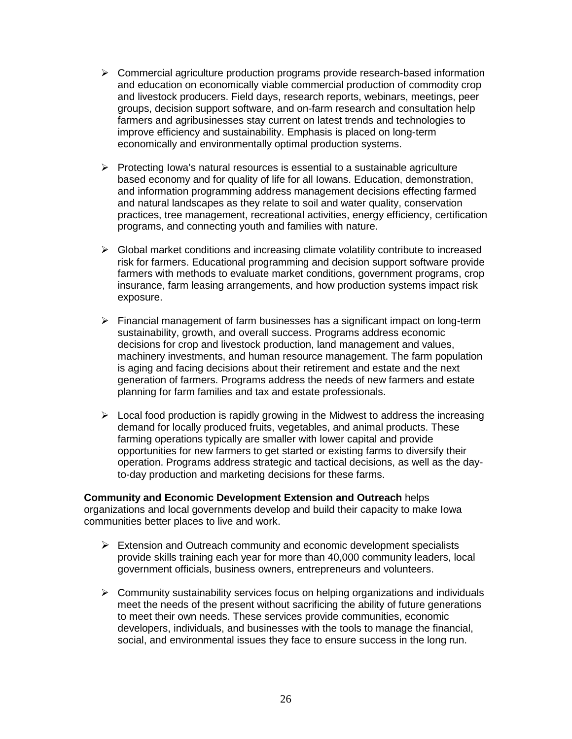- $\triangleright$  Commercial agriculture production programs provide research-based information and education on economically viable commercial production of commodity crop and livestock producers. Field days, research reports, webinars, meetings, peer groups, decision support software, and on-farm research and consultation help farmers and agribusinesses stay current on latest trends and technologies to improve efficiency and sustainability. Emphasis is placed on long-term economically and environmentally optimal production systems.
- $\triangleright$  Protecting Iowa's natural resources is essential to a sustainable agriculture based economy and for quality of life for all Iowans. Education, demonstration, and information programming address management decisions effecting farmed and natural landscapes as they relate to soil and water quality, conservation practices, tree management, recreational activities, energy efficiency, certification programs, and connecting youth and families with nature.
- $\triangleright$  Global market conditions and increasing climate volatility contribute to increased risk for farmers. Educational programming and decision support software provide farmers with methods to evaluate market conditions, government programs, crop insurance, farm leasing arrangements, and how production systems impact risk exposure.
- $\triangleright$  Financial management of farm businesses has a significant impact on long-term sustainability, growth, and overall success. Programs address economic decisions for crop and livestock production, land management and values, machinery investments, and human resource management. The farm population is aging and facing decisions about their retirement and estate and the next generation of farmers. Programs address the needs of new farmers and estate planning for farm families and tax and estate professionals.
- $\triangleright$  Local food production is rapidly growing in the Midwest to address the increasing demand for locally produced fruits, vegetables, and animal products. These farming operations typically are smaller with lower capital and provide opportunities for new farmers to get started or existing farms to diversify their operation. Programs address strategic and tactical decisions, as well as the dayto-day production and marketing decisions for these farms.

**Community and Economic Development Extension and Outreach** helps organizations and local governments develop and build their capacity to make Iowa communities better places to live and work.

- $\triangleright$  Extension and Outreach community and economic development specialists provide skills training each year for more than 40,000 community leaders, local government officials, business owners, entrepreneurs and volunteers.
- $\triangleright$  Community sustainability services focus on helping organizations and individuals meet the needs of the present without sacrificing the ability of future generations to meet their own needs. These services provide communities, economic developers, individuals, and businesses with the tools to manage the financial, social, and environmental issues they face to ensure success in the long run.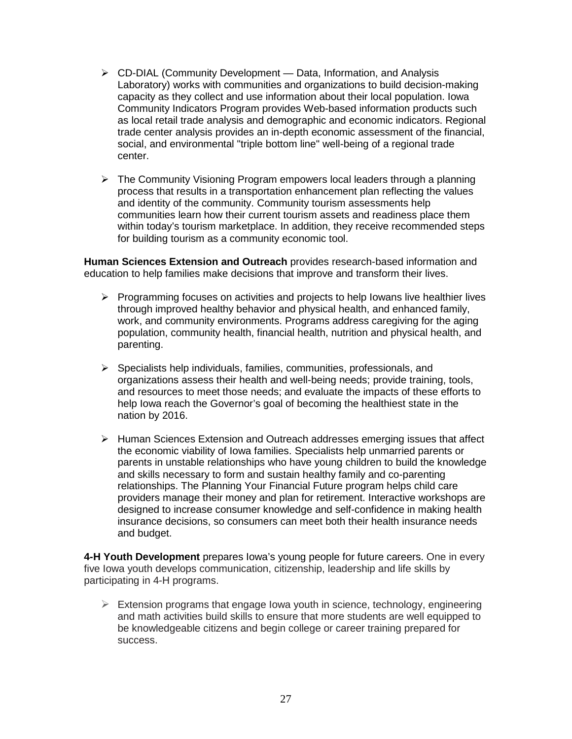- $\triangleright$  CD-DIAL (Community Development Data, Information, and Analysis Laboratory) works with communities and organizations to build decision-making capacity as they collect and use information about their local population. Iowa Community Indicators Program provides Web-based information products such as local retail trade analysis and demographic and economic indicators. Regional trade center analysis provides an in-depth economic assessment of the financial, social, and environmental "triple bottom line" well-being of a regional trade center.
- $\triangleright$  The Community Visioning Program empowers local leaders through a planning process that results in a transportation enhancement plan reflecting the values and identity of the community. Community tourism assessments help communities learn how their current tourism assets and readiness place them within today's tourism marketplace. In addition, they receive recommended steps for building tourism as a community economic tool.

**Human Sciences Extension and Outreach** provides research-based information and education to help families make decisions that improve and transform their lives.

- $\triangleright$  Programming focuses on activities and projects to help Iowans live healthier lives through improved healthy behavior and physical health, and enhanced family, work, and community environments. Programs address caregiving for the aging population, community health, financial health, nutrition and physical health, and parenting.
- $\triangleright$  Specialists help individuals, families, communities, professionals, and organizations assess their health and well-being needs; provide training, tools, and resources to meet those needs; and evaluate the impacts of these efforts to help Iowa reach the Governor's goal of becoming the healthiest state in the nation by 2016.
- $\triangleright$  Human Sciences Extension and Outreach addresses emerging issues that affect the economic viability of Iowa families. Specialists help unmarried parents or parents in unstable relationships who have young children to build the knowledge and skills necessary to form and sustain healthy family and co-parenting relationships. The Planning Your Financial Future program helps child care providers manage their money and plan for retirement. Interactive workshops are designed to increase consumer knowledge and self-confidence in making health insurance decisions, so consumers can meet both their health insurance needs and budget.

**4-H Youth Development** prepares Iowa's young people for future careers. One in every five Iowa youth develops communication, citizenship, leadership and life skills by participating in 4-H programs.

 $\triangleright$  Extension programs that engage Iowa youth in science, technology, engineering and math activities build skills to ensure that more students are well equipped to be knowledgeable citizens and begin college or career training prepared for success.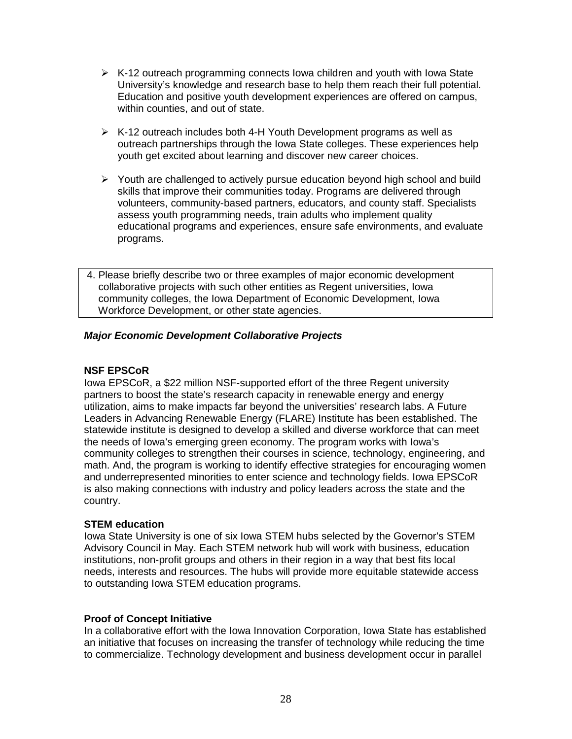- $\triangleright$  K-12 outreach programming connects Iowa children and youth with Iowa State University's knowledge and research base to help them reach their full potential. Education and positive youth development experiences are offered on campus, within counties, and out of state.
- $\triangleright$  K-12 outreach includes both 4-H Youth Development programs as well as outreach partnerships through the Iowa State colleges. These experiences help youth get excited about learning and discover new career choices.
- $\triangleright$  Youth are challenged to actively pursue education beyond high school and build skills that improve their communities today. Programs are delivered through volunteers, community-based partners, educators, and county staff. Specialists assess youth programming needs, train adults who implement quality educational programs and experiences, ensure safe environments, and evaluate programs.
- 4. Please briefly describe two or three examples of major economic development collaborative projects with such other entities as Regent universities, Iowa community colleges, the Iowa Department of Economic Development, Iowa Workforce Development, or other state agencies.

## *Major Economic Development Collaborative Projects*

## **NSF EPSCoR**

Iowa EPSCoR, a \$22 million NSF-supported effort of the three Regent university partners to boost the state's research capacity in renewable energy and energy utilization, aims to make impacts far beyond the universities' research labs. A Future Leaders in Advancing Renewable Energy (FLARE) Institute has been established. The statewide institute is designed to develop a skilled and diverse workforce that can meet the needs of Iowa's emerging green economy. The program works with Iowa's community colleges to strengthen their courses in science, technology, engineering, and math. And, the program is working to identify effective strategies for encouraging women and underrepresented minorities to enter science and technology fields. Iowa EPSCoR is also making connections with industry and policy leaders across the state and the country.

#### **STEM education**

Iowa State University is one of six Iowa STEM hubs selected by the Governor's STEM Advisory Council in May. Each STEM network hub will work with business, education institutions, non-profit groups and others in their region in a way that best fits local needs, interests and resources. The hubs will provide more equitable statewide access to outstanding Iowa STEM education programs.

#### **Proof of Concept Initiative**

In a collaborative effort with the Iowa Innovation Corporation, Iowa State has established an initiative that focuses on increasing the transfer of technology while reducing the time to commercialize. Technology development and business development occur in parallel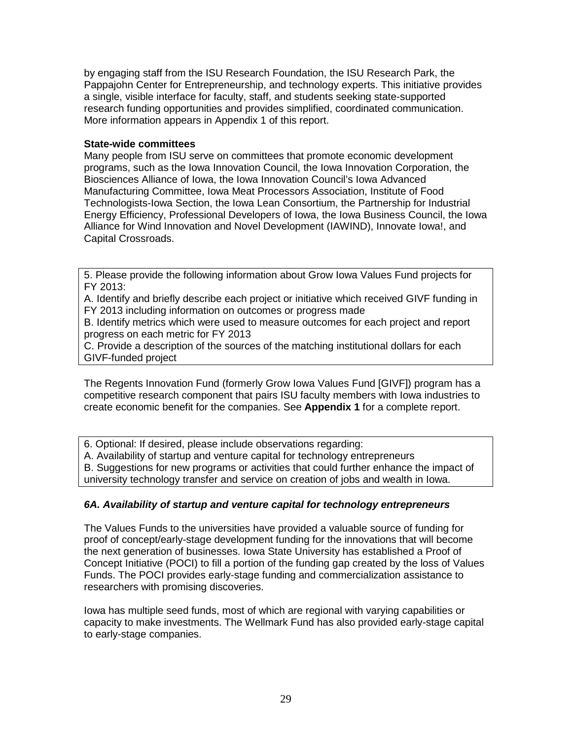by engaging staff from the ISU Research Foundation, the ISU Research Park, the Pappajohn Center for Entrepreneurship, and technology experts. This initiative provides a single, visible interface for faculty, staff, and students seeking state-supported research funding opportunities and provides simplified, coordinated communication. More information appears in Appendix 1 of this report.

## **State-wide committees**

Many people from ISU serve on committees that promote economic development programs, such as the Iowa Innovation Council, the Iowa Innovation Corporation, the Biosciences Alliance of Iowa, the Iowa Innovation Council's Iowa Advanced Manufacturing Committee, Iowa Meat Processors Association, Institute of Food Technologists-Iowa Section, the Iowa Lean Consortium, the Partnership for Industrial Energy Efficiency, Professional Developers of Iowa, the Iowa Business Council, the Iowa Alliance for Wind Innovation and Novel Development (IAWIND), Innovate Iowa!, and Capital Crossroads.

5. Please provide the following information about Grow Iowa Values Fund projects for FY 2013:

A. Identify and briefly describe each project or initiative which received GIVF funding in FY 2013 including information on outcomes or progress made

B. Identify metrics which were used to measure outcomes for each project and report progress on each metric for FY 2013

C. Provide a description of the sources of the matching institutional dollars for each GIVF-funded project

The Regents Innovation Fund (formerly Grow Iowa Values Fund [GIVF]) program has a competitive research component that pairs ISU faculty members with Iowa industries to create economic benefit for the companies. See **Appendix 1** for a complete report.

6. Optional: If desired, please include observations regarding:

A. Availability of startup and venture capital for technology entrepreneurs

B. Suggestions for new programs or activities that could further enhance the impact of

university technology transfer and service on creation of jobs and wealth in Iowa.

## *6A. Availability of startup and venture capital for technology entrepreneurs*

The Values Funds to the universities have provided a valuable source of funding for proof of concept/early-stage development funding for the innovations that will become the next generation of businesses. Iowa State University has established a Proof of Concept Initiative (POCI) to fill a portion of the funding gap created by the loss of Values Funds. The POCI provides early-stage funding and commercialization assistance to researchers with promising discoveries.

Iowa has multiple seed funds, most of which are regional with varying capabilities or capacity to make investments. The Wellmark Fund has also provided early-stage capital to early-stage companies.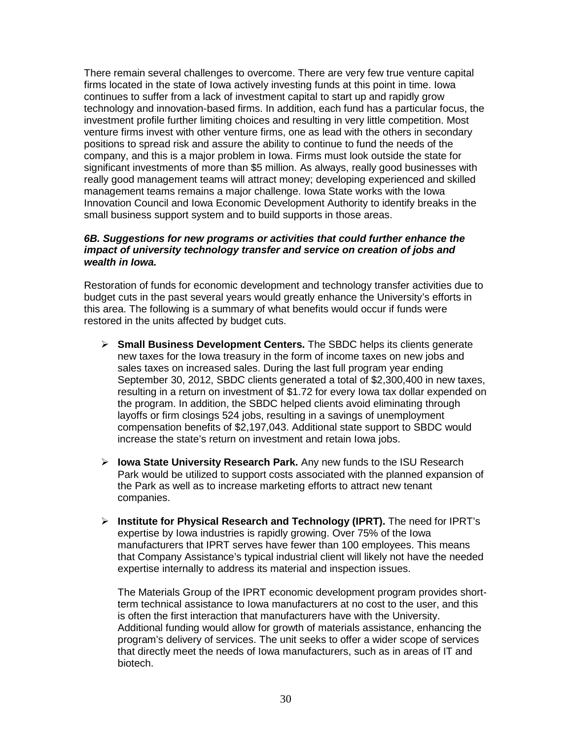There remain several challenges to overcome. There are very few true venture capital firms located in the state of Iowa actively investing funds at this point in time. Iowa continues to suffer from a lack of investment capital to start up and rapidly grow technology and innovation-based firms. In addition, each fund has a particular focus, the investment profile further limiting choices and resulting in very little competition. Most venture firms invest with other venture firms, one as lead with the others in secondary positions to spread risk and assure the ability to continue to fund the needs of the company, and this is a major problem in Iowa. Firms must look outside the state for significant investments of more than \$5 million. As always, really good businesses with really good management teams will attract money; developing experienced and skilled management teams remains a major challenge. Iowa State works with the Iowa Innovation Council and Iowa Economic Development Authority to identify breaks in the small business support system and to build supports in those areas.

#### *6B. Suggestions for new programs or activities that could further enhance the impact of university technology transfer and service on creation of jobs and wealth in Iowa.*

Restoration of funds for economic development and technology transfer activities due to budget cuts in the past several years would greatly enhance the University's efforts in this area. The following is a summary of what benefits would occur if funds were restored in the units affected by budget cuts.

- **Small Business Development Centers.** The SBDC helps its clients generate new taxes for the Iowa treasury in the form of income taxes on new jobs and sales taxes on increased sales. During the last full program year ending September 30, 2012, SBDC clients generated a total of \$2,300,400 in new taxes, resulting in a return on investment of \$1.72 for every Iowa tax dollar expended on the program. In addition, the SBDC helped clients avoid eliminating through layoffs or firm closings 524 jobs, resulting in a savings of unemployment compensation benefits of \$2,197,043. Additional state support to SBDC would increase the state's return on investment and retain Iowa jobs.
- **Iowa State University Research Park.** Any new funds to the ISU Research Park would be utilized to support costs associated with the planned expansion of the Park as well as to increase marketing efforts to attract new tenant companies.
- **Institute for Physical Research and Technology (IPRT).** The need for IPRT's expertise by Iowa industries is rapidly growing. Over 75% of the Iowa manufacturers that IPRT serves have fewer than 100 employees. This means that Company Assistance's typical industrial client will likely not have the needed expertise internally to address its material and inspection issues.

The Materials Group of the IPRT economic development program provides shortterm technical assistance to Iowa manufacturers at no cost to the user, and this is often the first interaction that manufacturers have with the University. Additional funding would allow for growth of materials assistance, enhancing the program's delivery of services. The unit seeks to offer a wider scope of services that directly meet the needs of Iowa manufacturers, such as in areas of IT and biotech.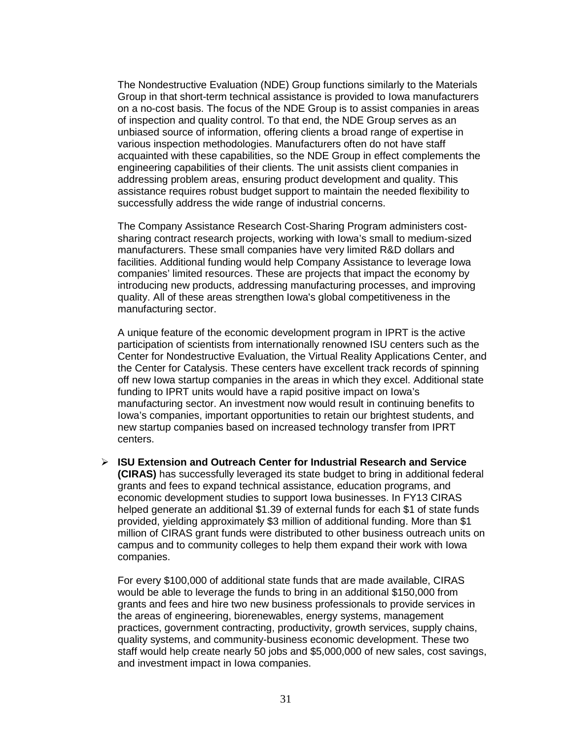The Nondestructive Evaluation (NDE) Group functions similarly to the Materials Group in that short-term technical assistance is provided to Iowa manufacturers on a no-cost basis. The focus of the NDE Group is to assist companies in areas of inspection and quality control. To that end, the NDE Group serves as an unbiased source of information, offering clients a broad range of expertise in various inspection methodologies. Manufacturers often do not have staff acquainted with these capabilities, so the NDE Group in effect complements the engineering capabilities of their clients. The unit assists client companies in addressing problem areas, ensuring product development and quality. This assistance requires robust budget support to maintain the needed flexibility to successfully address the wide range of industrial concerns.

The Company Assistance Research Cost-Sharing Program administers costsharing contract research projects, working with Iowa's small to medium-sized manufacturers. These small companies have very limited R&D dollars and facilities. Additional funding would help Company Assistance to leverage Iowa companies' limited resources. These are projects that impact the economy by introducing new products, addressing manufacturing processes, and improving quality. All of these areas strengthen Iowa's global competitiveness in the manufacturing sector.

A unique feature of the economic development program in IPRT is the active participation of scientists from internationally renowned ISU centers such as the Center for Nondestructive Evaluation, the Virtual Reality Applications Center, and the Center for Catalysis. These centers have excellent track records of spinning off new Iowa startup companies in the areas in which they excel. Additional state funding to IPRT units would have a rapid positive impact on Iowa's manufacturing sector. An investment now would result in continuing benefits to Iowa's companies, important opportunities to retain our brightest students, and new startup companies based on increased technology transfer from IPRT centers.

 **ISU Extension and Outreach Center for Industrial Research and Service (CIRAS)** has successfully leveraged its state budget to bring in additional federal grants and fees to expand technical assistance, education programs, and economic development studies to support Iowa businesses. In FY13 CIRAS helped generate an additional \$1.39 of external funds for each \$1 of state funds provided, yielding approximately \$3 million of additional funding. More than \$1 million of CIRAS grant funds were distributed to other business outreach units on campus and to community colleges to help them expand their work with Iowa companies.

For every \$100,000 of additional state funds that are made available, CIRAS would be able to leverage the funds to bring in an additional \$150,000 from grants and fees and hire two new business professionals to provide services in the areas of engineering, biorenewables, energy systems, management practices, government contracting, productivity, growth services, supply chains, quality systems, and community-business economic development. These two staff would help create nearly 50 jobs and \$5,000,000 of new sales, cost savings, and investment impact in Iowa companies.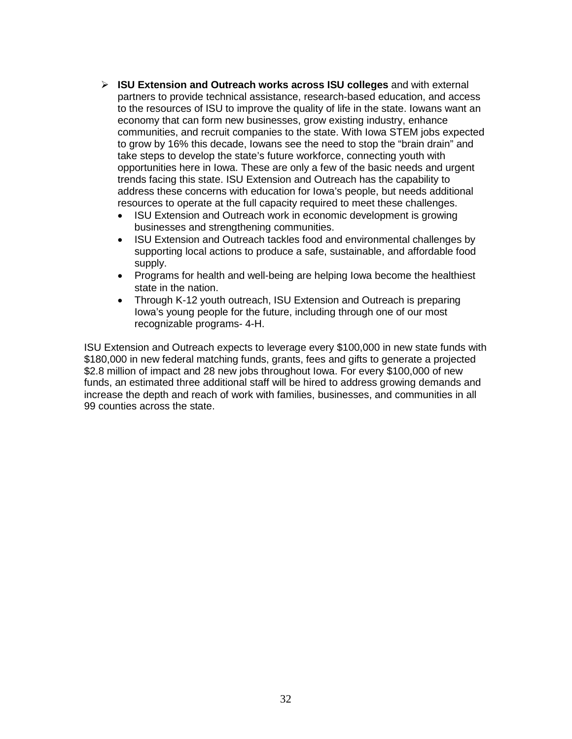- **ISU Extension and Outreach works across ISU colleges** and with external partners to provide technical assistance, research-based education, and access to the resources of ISU to improve the quality of life in the state. Iowans want an economy that can form new businesses, grow existing industry, enhance communities, and recruit companies to the state. With Iowa STEM jobs expected to grow by 16% this decade, Iowans see the need to stop the "brain drain" and take steps to develop the state's future workforce, connecting youth with opportunities here in Iowa. These are only a few of the basic needs and urgent trends facing this state. ISU Extension and Outreach has the capability to address these concerns with education for Iowa's people, but needs additional resources to operate at the full capacity required to meet these challenges.
	- ISU Extension and Outreach work in economic development is growing businesses and strengthening communities.
	- ISU Extension and Outreach tackles food and environmental challenges by supporting local actions to produce a safe, sustainable, and affordable food supply.
	- Programs for health and well-being are helping Iowa become the healthiest state in the nation.
	- Through K-12 youth outreach, ISU Extension and Outreach is preparing Iowa's young people for the future, including through one of our most recognizable programs- 4-H.

ISU Extension and Outreach expects to leverage every \$100,000 in new state funds with \$180,000 in new federal matching funds, grants, fees and gifts to generate a projected \$2.8 million of impact and 28 new jobs throughout Iowa. For every \$100,000 of new funds, an estimated three additional staff will be hired to address growing demands and increase the depth and reach of work with families, businesses, and communities in all 99 counties across the state.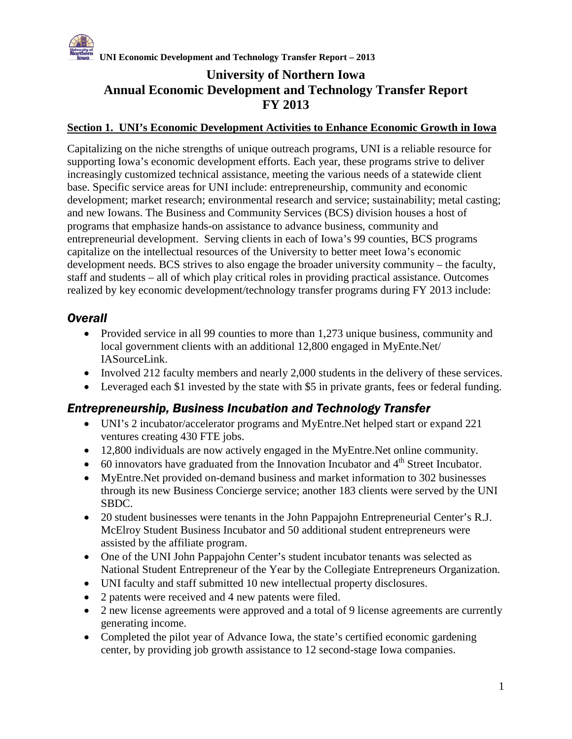

## **University of Northern Iowa Annual Economic Development and Technology Transfer Report FY 2013**

## **Section 1. UNI's Economic Development Activities to Enhance Economic Growth in Iowa**

Capitalizing on the niche strengths of unique outreach programs, UNI is a reliable resource for supporting Iowa's economic development efforts. Each year, these programs strive to deliver increasingly customized technical assistance, meeting the various needs of a statewide client base. Specific service areas for UNI include: entrepreneurship, community and economic development; market research; environmental research and service; sustainability; metal casting; and new Iowans. The Business and Community Services (BCS) division houses a host of programs that emphasize hands-on assistance to advance business, community and entrepreneurial development. Serving clients in each of Iowa's 99 counties, BCS programs capitalize on the intellectual resources of the University to better meet Iowa's economic development needs. BCS strives to also engage the broader university community – the faculty, staff and students – all of which play critical roles in providing practical assistance. Outcomes realized by key economic development/technology transfer programs during FY 2013 include:

## *Overall*

- Provided service in all 99 counties to more than 1,273 unique business, community and local government clients with an additional 12,800 engaged in MyEnte.Net/ IASourceLink.
- Involved 212 faculty members and nearly 2,000 students in the delivery of these services.
- Leveraged each \$1 invested by the state with \$5 in private grants, fees or federal funding.

## *Entrepreneurship, Business Incubation and Technology Transfer*

- UNI's 2 incubator/accelerator programs and MyEntre.Net helped start or expand 221 ventures creating 430 FTE jobs.
- 12,800 individuals are now actively engaged in the MyEntre.Net online community.
- $\bullet$  60 innovators have graduated from the Innovation Incubator and  $4<sup>th</sup>$  Street Incubator.
- MyEntre.Net provided on-demand business and market information to 302 businesses through its new Business Concierge service; another 183 clients were served by the UNI SBDC.
- 20 student businesses were tenants in the John Pappajohn Entrepreneurial Center's R.J. McElroy Student Business Incubator and 50 additional student entrepreneurs were assisted by the affiliate program.
- One of the UNI John Pappajohn Center's student incubator tenants was selected as National Student Entrepreneur of the Year by the Collegiate Entrepreneurs Organization.
- UNI faculty and staff submitted 10 new intellectual property disclosures.
- 2 patents were received and 4 new patents were filed.
- 2 new license agreements were approved and a total of 9 license agreements are currently generating income.
- Completed the pilot year of Advance Iowa, the state's certified economic gardening center, by providing job growth assistance to 12 second-stage Iowa companies.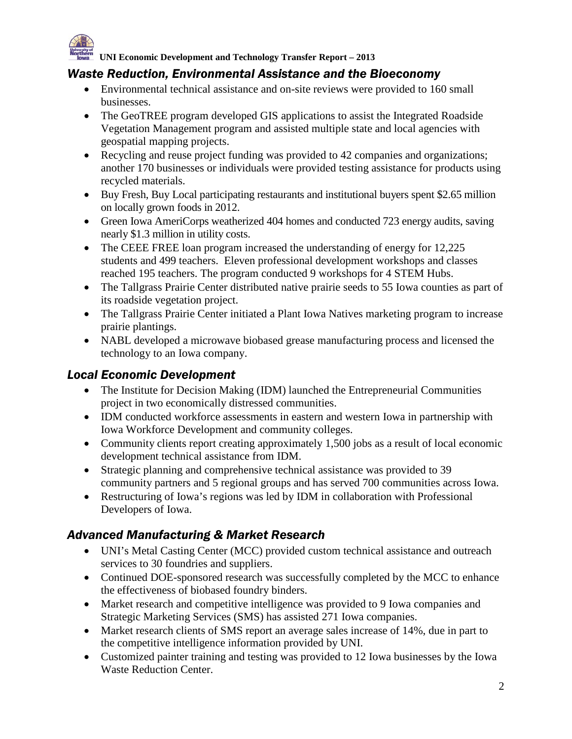

## *Waste Reduction, Environmental Assistance and the Bioeconomy*

- Environmental technical assistance and on-site reviews were provided to 160 small businesses.
- The GeoTREE program developed GIS applications to assist the Integrated Roadside Vegetation Management program and assisted multiple state and local agencies with geospatial mapping projects.
- Recycling and reuse project funding was provided to 42 companies and organizations; another 170 businesses or individuals were provided testing assistance for products using recycled materials.
- Buy Fresh, Buy Local participating restaurants and institutional buyers spent \$2.65 million on locally grown foods in 2012.
- Green Iowa AmeriCorps weatherized 404 homes and conducted 723 energy audits, saving nearly \$1.3 million in utility costs.
- The CEEE FREE loan program increased the understanding of energy for 12,225 students and 499 teachers. Eleven professional development workshops and classes reached 195 teachers. The program conducted 9 workshops for 4 STEM Hubs.
- The Tallgrass Prairie Center distributed native prairie seeds to 55 Iowa counties as part of its roadside vegetation project.
- The Tallgrass Prairie Center initiated a Plant Iowa Natives marketing program to increase prairie plantings.
- NABL developed a microwave biobased grease manufacturing process and licensed the technology to an Iowa company.

## *Local Economic Development*

- The Institute for Decision Making (IDM) launched the Entrepreneurial Communities project in two economically distressed communities.
- IDM conducted workforce assessments in eastern and western Iowa in partnership with Iowa Workforce Development and community colleges.
- Community clients report creating approximately 1,500 jobs as a result of local economic development technical assistance from IDM.
- Strategic planning and comprehensive technical assistance was provided to 39 community partners and 5 regional groups and has served 700 communities across Iowa.
- Restructuring of Iowa's regions was led by IDM in collaboration with Professional Developers of Iowa.

## *Advanced Manufacturing & Market Research*

- UNI's Metal Casting Center (MCC) provided custom technical assistance and outreach services to 30 foundries and suppliers.
- Continued DOE-sponsored research was successfully completed by the MCC to enhance the effectiveness of biobased foundry binders.
- Market research and competitive intelligence was provided to 9 Iowa companies and Strategic Marketing Services (SMS) has assisted 271 Iowa companies.
- Market research clients of SMS report an average sales increase of 14%, due in part to the competitive intelligence information provided by UNI.
- Customized painter training and testing was provided to 12 Iowa businesses by the Iowa Waste Reduction Center.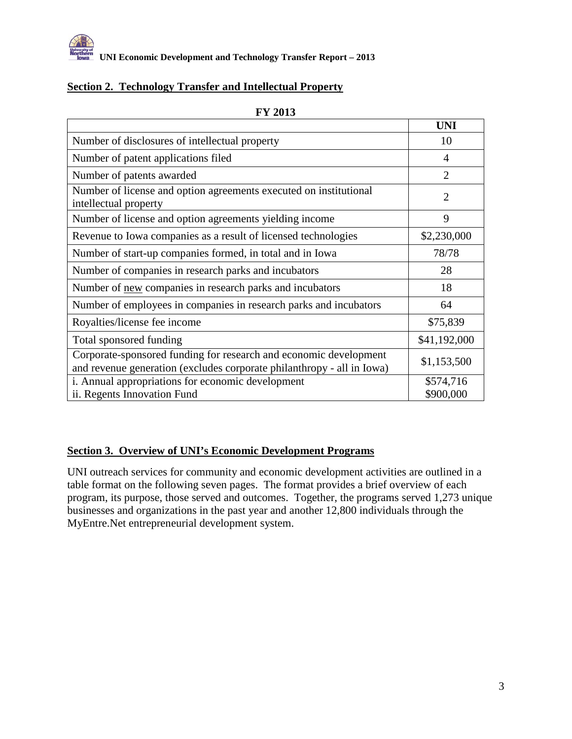

## **Section 2. Technology Transfer and Intellectual Property**

|                                                                                                                                             | <b>UNI</b>             |
|---------------------------------------------------------------------------------------------------------------------------------------------|------------------------|
| Number of disclosures of intellectual property                                                                                              | 10                     |
| Number of patent applications filed                                                                                                         | 4                      |
| Number of patents awarded                                                                                                                   | $\overline{2}$         |
| Number of license and option agreements executed on institutional<br>intellectual property                                                  | $\overline{2}$         |
| Number of license and option agreements yielding income                                                                                     | 9                      |
| Revenue to Iowa companies as a result of licensed technologies                                                                              | \$2,230,000            |
| Number of start-up companies formed, in total and in Iowa                                                                                   | 78/78                  |
| Number of companies in research parks and incubators                                                                                        | 28                     |
| Number of new companies in research parks and incubators                                                                                    | 18                     |
| Number of employees in companies in research parks and incubators                                                                           | 64                     |
| Royalties/license fee income                                                                                                                | \$75,839               |
| Total sponsored funding                                                                                                                     | \$41,192,000           |
| Corporate-sponsored funding for research and economic development<br>and revenue generation (excludes corporate philanthropy - all in Iowa) | \$1,153,500            |
| i. Annual appropriations for economic development<br>ii. Regents Innovation Fund                                                            | \$574,716<br>\$900,000 |

#### **FY 2013**

## **Section 3. Overview of UNI's Economic Development Programs**

UNI outreach services for community and economic development activities are outlined in a table format on the following seven pages. The format provides a brief overview of each program, its purpose, those served and outcomes. Together, the programs served 1,273 unique businesses and organizations in the past year and another 12,800 individuals through the MyEntre.Net entrepreneurial development system.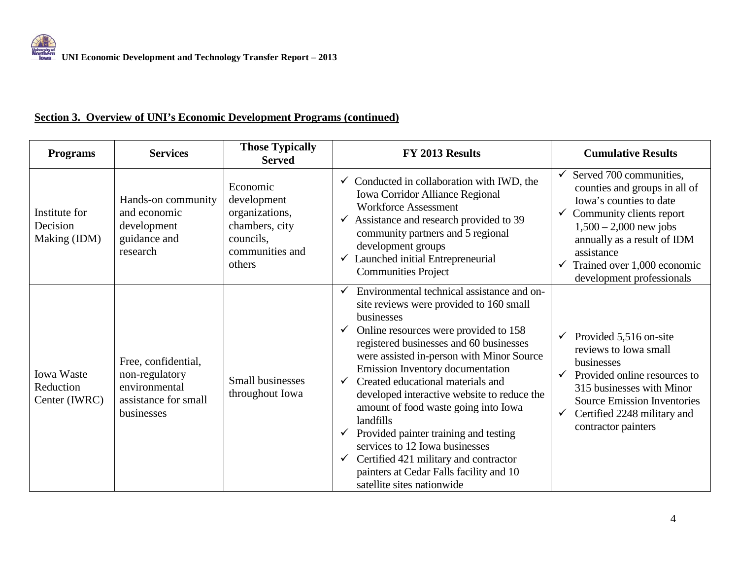## **Section 3. Overview of UNI's Economic Development Programs (continued)**

| <b>Programs</b>                                 | <b>Services</b>                                                                              | <b>Those Typically</b><br><b>Served</b>                                                               | FY 2013 Results                                                                                                                                                                                                                                                                                                                                                                                                                                                                                                                                                                                                                     | <b>Cumulative Results</b>                                                                                                                                                                                                                                 |
|-------------------------------------------------|----------------------------------------------------------------------------------------------|-------------------------------------------------------------------------------------------------------|-------------------------------------------------------------------------------------------------------------------------------------------------------------------------------------------------------------------------------------------------------------------------------------------------------------------------------------------------------------------------------------------------------------------------------------------------------------------------------------------------------------------------------------------------------------------------------------------------------------------------------------|-----------------------------------------------------------------------------------------------------------------------------------------------------------------------------------------------------------------------------------------------------------|
| Institute for<br>Decision<br>Making (IDM)       | Hands-on community<br>and economic<br>development<br>guidance and<br>research                | Economic<br>development<br>organizations,<br>chambers, city<br>councils,<br>communities and<br>others | Conducted in collaboration with IWD, the<br>Iowa Corridor Alliance Regional<br><b>Workforce Assessment</b><br>Assistance and research provided to 39<br>$\checkmark$<br>community partners and 5 regional<br>development groups<br>Launched initial Entrepreneurial<br><b>Communities Project</b>                                                                                                                                                                                                                                                                                                                                   | Served 700 communities,<br>counties and groups in all of<br>Iowa's counties to date<br>Community clients report<br>$1,500 - 2,000$ new jobs<br>annually as a result of IDM<br>assistance<br>Trained over 1,000 economic<br>✓<br>development professionals |
| <b>Iowa Waste</b><br>Reduction<br>Center (IWRC) | Free, confidential,<br>non-regulatory<br>environmental<br>assistance for small<br>businesses | Small businesses<br>throughout Iowa                                                                   | Environmental technical assistance and on-<br>site reviews were provided to 160 small<br>businesses<br>Online resources were provided to 158<br>registered businesses and 60 businesses<br>were assisted in-person with Minor Source<br>Emission Inventory documentation<br>Created educational materials and<br>$\checkmark$<br>developed interactive website to reduce the<br>amount of food waste going into Iowa<br>landfills<br>Provided painter training and testing<br>services to 12 Iowa businesses<br>Certified 421 military and contractor<br>✓<br>painters at Cedar Falls facility and 10<br>satellite sites nationwide | Provided 5,516 on-site<br>$\checkmark$<br>reviews to Iowa small<br>businesses<br>Provided online resources to<br>315 businesses with Minor<br><b>Source Emission Inventories</b><br>Certified 2248 military and<br>✓<br>contractor painters               |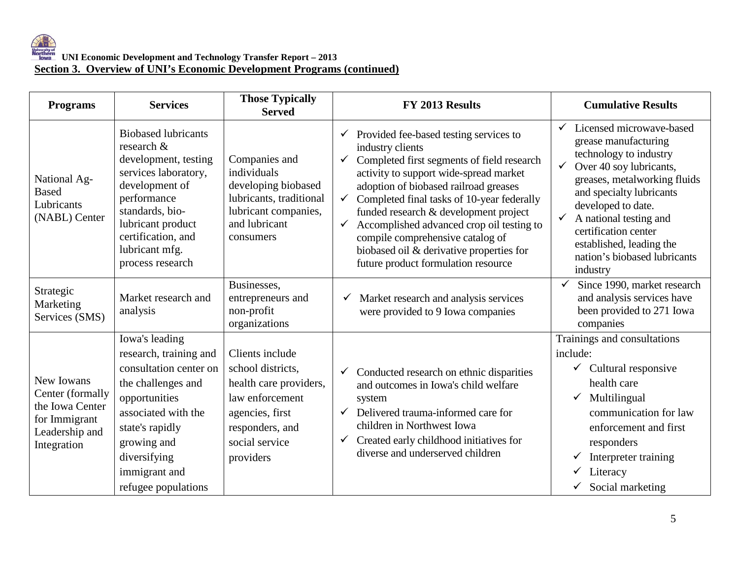| <b>Programs</b>                                                                                     | <b>Services</b>                                                                                                                                                                                                               | <b>Those Typically</b><br><b>Served</b>                                                                                                                | FY 2013 Results                                                                                                                                                                                                                                                                                                                                                                                                                                                                                                     | <b>Cumulative Results</b>                                                                                                                                                                                                                                                                                                                                         |  |
|-----------------------------------------------------------------------------------------------------|-------------------------------------------------------------------------------------------------------------------------------------------------------------------------------------------------------------------------------|--------------------------------------------------------------------------------------------------------------------------------------------------------|---------------------------------------------------------------------------------------------------------------------------------------------------------------------------------------------------------------------------------------------------------------------------------------------------------------------------------------------------------------------------------------------------------------------------------------------------------------------------------------------------------------------|-------------------------------------------------------------------------------------------------------------------------------------------------------------------------------------------------------------------------------------------------------------------------------------------------------------------------------------------------------------------|--|
| National Ag-<br><b>Based</b><br>Lubricants<br>(NABL) Center                                         | <b>Biobased lubricants</b><br>research &<br>development, testing<br>services laboratory,<br>development of<br>performance<br>standards, bio-<br>lubricant product<br>certification, and<br>lubricant mfg.<br>process research | Companies and<br>individuals<br>developing biobased<br>lubricants, traditional<br>lubricant companies,<br>and lubricant<br>consumers                   | $\checkmark$ Provided fee-based testing services to<br>industry clients<br>Completed first segments of field research<br>$\checkmark$<br>activity to support wide-spread market<br>adoption of biobased railroad greases<br>Completed final tasks of 10-year federally<br>$\checkmark$<br>funded research & development project<br>Accomplished advanced crop oil testing to<br>$\checkmark$<br>compile comprehensive catalog of<br>biobased oil & derivative properties for<br>future product formulation resource | Licensed microwave-based<br>$\checkmark$<br>grease manufacturing<br>technology to industry<br>$\checkmark$<br>Over 40 soy lubricants,<br>greases, metalworking fluids<br>and specialty lubricants<br>developed to date.<br>$\checkmark$<br>A national testing and<br>certification center<br>established, leading the<br>nation's biobased lubricants<br>industry |  |
| Strategic<br>Marketing<br>Services (SMS)                                                            | Market research and<br>analysis                                                                                                                                                                                               | Businesses,<br>entrepreneurs and<br>non-profit<br>organizations                                                                                        | Market research and analysis services<br>$\checkmark$<br>were provided to 9 Iowa companies                                                                                                                                                                                                                                                                                                                                                                                                                          | Since 1990, market research<br>$\checkmark$<br>and analysis services have<br>been provided to 271 Iowa<br>companies                                                                                                                                                                                                                                               |  |
| New Iowans<br>Center (formally<br>the Iowa Center<br>for Immigrant<br>Leadership and<br>Integration | Iowa's leading<br>research, training and<br>consultation center on<br>the challenges and<br>opportunities<br>associated with the<br>state's rapidly<br>growing and<br>diversifying<br>immigrant and<br>refugee populations    | Clients include<br>school districts.<br>health care providers,<br>law enforcement<br>agencies, first<br>responders, and<br>social service<br>providers | Conducted research on ethnic disparities<br>$\checkmark$<br>and outcomes in Iowa's child welfare<br>system<br>Delivered trauma-informed care for<br>$\checkmark$<br>children in Northwest Iowa<br>Created early childhood initiatives for<br>$\checkmark$<br>diverse and underserved children                                                                                                                                                                                                                       | Trainings and consultations<br>include:<br>Cultural responsive<br>$\checkmark$<br>health care<br>Multilingual<br>✓<br>communication for law<br>enforcement and first<br>responders<br>Interpreter training<br>Literacy<br>Social marketing                                                                                                                        |  |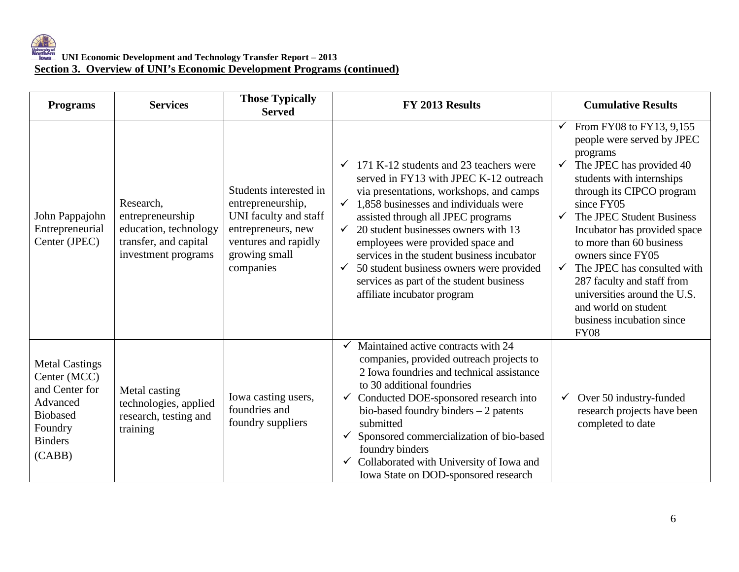| <b>Programs</b>                                                                                                               | <b>Services</b>                                                                                        | <b>Those Typically</b><br><b>Served</b>                                                                                                          | FY 2013 Results                                                                                                                                                                                                                                                                                                                                                                                                                                                                                                              | <b>Cumulative Results</b>                                                                                                                                                                                                                                                                                                                                                                                                                                                                                             |
|-------------------------------------------------------------------------------------------------------------------------------|--------------------------------------------------------------------------------------------------------|--------------------------------------------------------------------------------------------------------------------------------------------------|------------------------------------------------------------------------------------------------------------------------------------------------------------------------------------------------------------------------------------------------------------------------------------------------------------------------------------------------------------------------------------------------------------------------------------------------------------------------------------------------------------------------------|-----------------------------------------------------------------------------------------------------------------------------------------------------------------------------------------------------------------------------------------------------------------------------------------------------------------------------------------------------------------------------------------------------------------------------------------------------------------------------------------------------------------------|
| John Pappajohn<br>Entrepreneurial<br>Center (JPEC)                                                                            | Research,<br>entrepreneurship<br>education, technology<br>transfer, and capital<br>investment programs | Students interested in<br>entrepreneurship,<br>UNI faculty and staff<br>entrepreneurs, new<br>ventures and rapidly<br>growing small<br>companies | 171 K-12 students and 23 teachers were<br>$\checkmark$<br>served in FY13 with JPEC K-12 outreach<br>via presentations, workshops, and camps<br>1,858 businesses and individuals were<br>$\checkmark$<br>assisted through all JPEC programs<br>20 student businesses owners with 13<br>$\checkmark$<br>employees were provided space and<br>services in the student business incubator<br>50 student business owners were provided<br>$\checkmark$<br>services as part of the student business<br>affiliate incubator program | From FY08 to FY13, 9,155<br>$\checkmark$<br>people were served by JPEC<br>programs<br>The JPEC has provided 40<br>$\checkmark$<br>students with internships<br>through its CIPCO program<br>since FY05<br>The JPEC Student Business<br>$\checkmark$<br>Incubator has provided space<br>to more than 60 business<br>owners since FY05<br>The JPEC has consulted with<br>$\checkmark$<br>287 faculty and staff from<br>universities around the U.S.<br>and world on student<br>business incubation since<br><b>FY08</b> |
| <b>Metal Castings</b><br>Center (MCC)<br>and Center for<br>Advanced<br><b>Biobased</b><br>Foundry<br><b>Binders</b><br>(CABB) | Metal casting<br>technologies, applied<br>research, testing and<br>training                            | Iowa casting users,<br>foundries and<br>foundry suppliers                                                                                        | Maintained active contracts with 24<br>companies, provided outreach projects to<br>2 Iowa foundries and technical assistance<br>to 30 additional foundries<br>$\checkmark$ Conducted DOE-sponsored research into<br>bio-based foundry binders $-2$ patents<br>submitted<br>Sponsored commercialization of bio-based<br>$\checkmark$<br>foundry binders<br>Collaborated with University of Iowa and<br>Iowa State on DOD-sponsored research                                                                                   | Over 50 industry-funded<br>$\checkmark$<br>research projects have been<br>completed to date                                                                                                                                                                                                                                                                                                                                                                                                                           |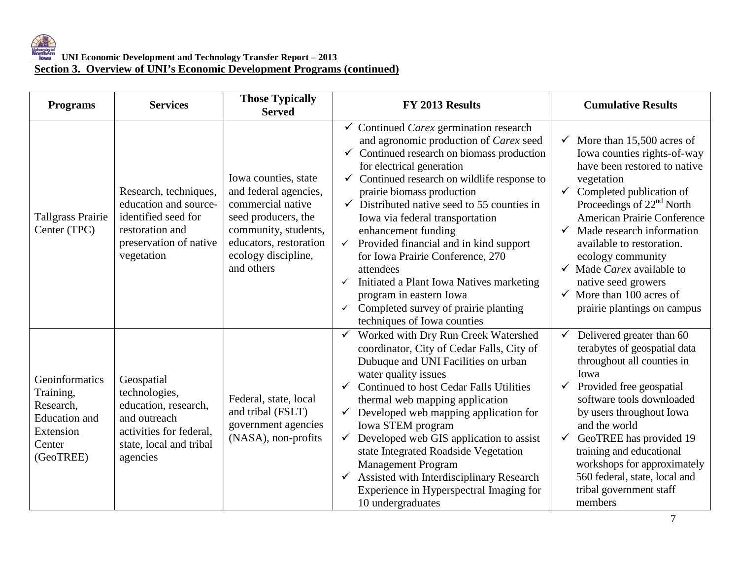| <b>Programs</b>                                                                                      | <b>Services</b>                                                                                                                       | <b>Those Typically</b><br><b>Served</b>                                                                                                                                          | FY 2013 Results                                                                                                                                                                                                                                                                                                                                                                                                                                                                                                                                                                                                                                                                         | <b>Cumulative Results</b>                                                                                                                                                                                                                                                                                                                                                                                                                                              |
|------------------------------------------------------------------------------------------------------|---------------------------------------------------------------------------------------------------------------------------------------|----------------------------------------------------------------------------------------------------------------------------------------------------------------------------------|-----------------------------------------------------------------------------------------------------------------------------------------------------------------------------------------------------------------------------------------------------------------------------------------------------------------------------------------------------------------------------------------------------------------------------------------------------------------------------------------------------------------------------------------------------------------------------------------------------------------------------------------------------------------------------------------|------------------------------------------------------------------------------------------------------------------------------------------------------------------------------------------------------------------------------------------------------------------------------------------------------------------------------------------------------------------------------------------------------------------------------------------------------------------------|
| <b>Tallgrass Prairie</b><br>Center (TPC)                                                             | Research, techniques,<br>education and source-<br>identified seed for<br>restoration and<br>preservation of native<br>vegetation      | Iowa counties, state<br>and federal agencies,<br>commercial native<br>seed producers, the<br>community, students,<br>educators, restoration<br>ecology discipline,<br>and others | $\checkmark$ Continued Carex germination research<br>and agronomic production of Carex seed<br>$\checkmark$ Continued research on biomass production<br>for electrical generation<br>$\checkmark$ Continued research on wildlife response to<br>prairie biomass production<br>$\checkmark$ Distributed native seed to 55 counties in<br>Iowa via federal transportation<br>enhancement funding<br>Provided financial and in kind support<br>$\checkmark$<br>for Iowa Prairie Conference, 270<br>attendees<br>Initiated a Plant Iowa Natives marketing<br>$\checkmark$<br>program in eastern Iowa<br>Completed survey of prairie planting<br>$\checkmark$<br>techniques of Iowa counties | More than 15,500 acres of<br>$\checkmark$<br>Iowa counties rights-of-way<br>have been restored to native<br>vegetation<br>Completed publication of<br>$\checkmark$<br>Proceedings of 22 <sup>nd</sup> North<br>American Prairie Conference<br>Made research information<br>✓<br>available to restoration.<br>ecology community<br>Made Carex available to<br>$\checkmark$<br>native seed growers<br>$\checkmark$ More than 100 acres of<br>prairie plantings on campus |
| Geoinformatics<br>Training,<br>Research,<br><b>Education</b> and<br>Extension<br>Center<br>(GeoTREE) | Geospatial<br>technologies,<br>education, research,<br>and outreach<br>activities for federal,<br>state, local and tribal<br>agencies | Federal, state, local<br>and tribal (FSLT)<br>government agencies<br>(NASA), non-profits                                                                                         | Worked with Dry Run Creek Watershed<br>coordinator, City of Cedar Falls, City of<br>Dubuque and UNI Facilities on urban<br>water quality issues<br><b>Continued to host Cedar Falls Utilities</b><br>$\checkmark$<br>thermal web mapping application<br>Developed web mapping application for<br>$\checkmark$<br>Iowa STEM program<br>Developed web GIS application to assist<br>$\checkmark$<br>state Integrated Roadside Vegetation<br><b>Management Program</b><br>Assisted with Interdisciplinary Research<br>$\checkmark$<br>Experience in Hyperspectral Imaging for<br>10 undergraduates                                                                                          | Delivered greater than 60<br>✓<br>terabytes of geospatial data<br>throughout all counties in<br>Iowa<br>Provided free geospatial<br>✓<br>software tools downloaded<br>by users throughout Iowa<br>and the world<br>GeoTREE has provided 19<br>$\checkmark$<br>training and educational<br>workshops for approximately<br>560 federal, state, local and<br>tribal government staff<br>members                                                                           |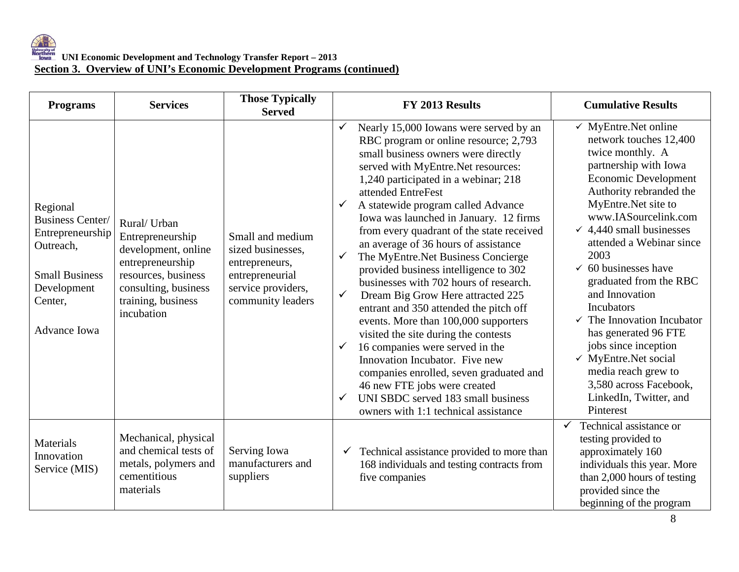| <b>Programs</b>                                                                                                                                | <b>Services</b>                                                                                                                                                | <b>Those Typically</b><br><b>Served</b>                                                                               | FY 2013 Results                                                                                                                                                                                                                                                                                                                                                                                                                                                                                                                                                                                                                                                                                                                                                                                                                                                                                                                                                                                       | <b>Cumulative Results</b>                                                                                                                                                                                                                                                                                                                                                                                                                                                                                                                                                                                          |  |  |
|------------------------------------------------------------------------------------------------------------------------------------------------|----------------------------------------------------------------------------------------------------------------------------------------------------------------|-----------------------------------------------------------------------------------------------------------------------|-------------------------------------------------------------------------------------------------------------------------------------------------------------------------------------------------------------------------------------------------------------------------------------------------------------------------------------------------------------------------------------------------------------------------------------------------------------------------------------------------------------------------------------------------------------------------------------------------------------------------------------------------------------------------------------------------------------------------------------------------------------------------------------------------------------------------------------------------------------------------------------------------------------------------------------------------------------------------------------------------------|--------------------------------------------------------------------------------------------------------------------------------------------------------------------------------------------------------------------------------------------------------------------------------------------------------------------------------------------------------------------------------------------------------------------------------------------------------------------------------------------------------------------------------------------------------------------------------------------------------------------|--|--|
| Regional<br><b>Business Center/</b><br>Entrepreneurship<br>Outreach,<br><b>Small Business</b><br>Development<br>Center,<br><b>Advance Iowa</b> | Rural/ Urban<br>Entrepreneurship<br>development, online<br>entrepreneurship<br>resources, business<br>consulting, business<br>training, business<br>incubation | Small and medium<br>sized businesses,<br>entrepreneurs,<br>entrepreneurial<br>service providers,<br>community leaders | Nearly 15,000 Iowans were served by an<br>RBC program or online resource; 2,793<br>small business owners were directly<br>served with MyEntre.Net resources:<br>1,240 participated in a webinar; 218<br>attended EntreFest<br>A statewide program called Advance<br>$\checkmark$<br>Iowa was launched in January. 12 firms<br>from every quadrant of the state received<br>an average of 36 hours of assistance<br>The MyEntre.Net Business Concierge<br>$\checkmark$<br>provided business intelligence to 302<br>businesses with 702 hours of research.<br>Dream Big Grow Here attracted 225<br>$\checkmark$<br>entrant and 350 attended the pitch off<br>events. More than 100,000 supporters<br>visited the site during the contests<br>16 companies were served in the<br>$\checkmark$<br>Innovation Incubator. Five new<br>companies enrolled, seven graduated and<br>46 new FTE jobs were created<br>UNI SBDC served 183 small business<br>$\checkmark$<br>owners with 1:1 technical assistance | $\checkmark$ MyEntre.Net online<br>network touches 12,400<br>twice monthly. A<br>partnership with Iowa<br><b>Economic Development</b><br>Authority rebranded the<br>MyEntre.Net site to<br>www.IASourcelink.com<br>$\checkmark$ 4,440 small businesses<br>attended a Webinar since<br>2003<br>$\checkmark$ 60 businesses have<br>graduated from the RBC<br>and Innovation<br><b>Incubators</b><br>$\checkmark$ The Innovation Incubator<br>has generated 96 FTE<br>jobs since inception<br>$\checkmark$ MyEntre.Net social<br>media reach grew to<br>3,580 across Facebook,<br>LinkedIn, Twitter, and<br>Pinterest |  |  |
| Materials<br>Innovation<br>Service (MIS)                                                                                                       | Mechanical, physical<br>and chemical tests of<br>metals, polymers and<br>cementitious<br>materials                                                             | Serving Iowa<br>manufacturers and<br>suppliers                                                                        | Technical assistance provided to more than<br>$\checkmark$<br>168 individuals and testing contracts from<br>five companies                                                                                                                                                                                                                                                                                                                                                                                                                                                                                                                                                                                                                                                                                                                                                                                                                                                                            | Technical assistance or<br>$\checkmark$<br>testing provided to<br>approximately 160<br>individuals this year. More<br>than 2,000 hours of testing<br>provided since the<br>beginning of the program                                                                                                                                                                                                                                                                                                                                                                                                                |  |  |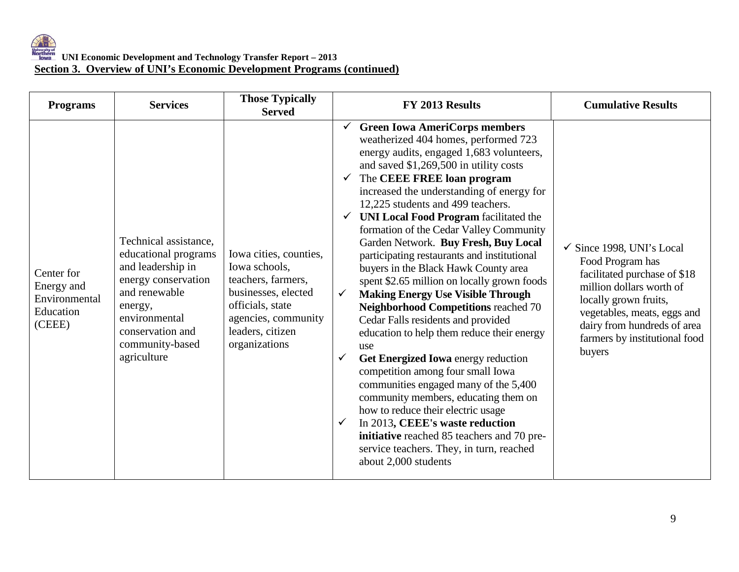| <b>Programs</b>                                                  | <b>Services</b>                                                                                                                                                                              | <b>Those Typically</b><br><b>Served</b>                                                                                                                              | FY 2013 Results                                                                                                                                                                                                                                                                                                                                                                                                                                                                                                                                                                                                                                                                                                                                                                                                                                                                                                                                                                                                                                                                                                                                                                     | <b>Cumulative Results</b>                                                                                                                                                                                                                              |
|------------------------------------------------------------------|----------------------------------------------------------------------------------------------------------------------------------------------------------------------------------------------|----------------------------------------------------------------------------------------------------------------------------------------------------------------------|-------------------------------------------------------------------------------------------------------------------------------------------------------------------------------------------------------------------------------------------------------------------------------------------------------------------------------------------------------------------------------------------------------------------------------------------------------------------------------------------------------------------------------------------------------------------------------------------------------------------------------------------------------------------------------------------------------------------------------------------------------------------------------------------------------------------------------------------------------------------------------------------------------------------------------------------------------------------------------------------------------------------------------------------------------------------------------------------------------------------------------------------------------------------------------------|--------------------------------------------------------------------------------------------------------------------------------------------------------------------------------------------------------------------------------------------------------|
| Center for<br>Energy and<br>Environmental<br>Education<br>(CEEE) | Technical assistance,<br>educational programs<br>and leadership in<br>energy conservation<br>and renewable<br>energy,<br>environmental<br>conservation and<br>community-based<br>agriculture | Iowa cities, counties,<br>Iowa schools,<br>teachers, farmers,<br>businesses, elected<br>officials, state<br>agencies, community<br>leaders, citizen<br>organizations | $\checkmark$ Green Iowa AmeriCorps members<br>weatherized 404 homes, performed 723<br>energy audits, engaged 1,683 volunteers,<br>and saved \$1,269,500 in utility costs<br>$\checkmark$ The CEEE FREE loan program<br>increased the understanding of energy for<br>12,225 students and 499 teachers.<br>$\checkmark$ UNI Local Food Program facilitated the<br>formation of the Cedar Valley Community<br>Garden Network. Buy Fresh, Buy Local<br>participating restaurants and institutional<br>buyers in the Black Hawk County area<br>spent \$2.65 million on locally grown foods<br><b>Making Energy Use Visible Through</b><br>$\checkmark$<br><b>Neighborhood Competitions reached 70</b><br>Cedar Falls residents and provided<br>education to help them reduce their energy<br>use<br>Get Energized Iowa energy reduction<br>$\checkmark$<br>competition among four small Iowa<br>communities engaged many of the 5,400<br>community members, educating them on<br>how to reduce their electric usage<br>In 2013, CEEE's waste reduction<br>$\checkmark$<br>initiative reached 85 teachers and 70 pre-<br>service teachers. They, in turn, reached<br>about 2,000 students | $\checkmark$ Since 1998, UNI's Local<br>Food Program has<br>facilitated purchase of \$18<br>million dollars worth of<br>locally grown fruits,<br>vegetables, meats, eggs and<br>dairy from hundreds of area<br>farmers by institutional food<br>buyers |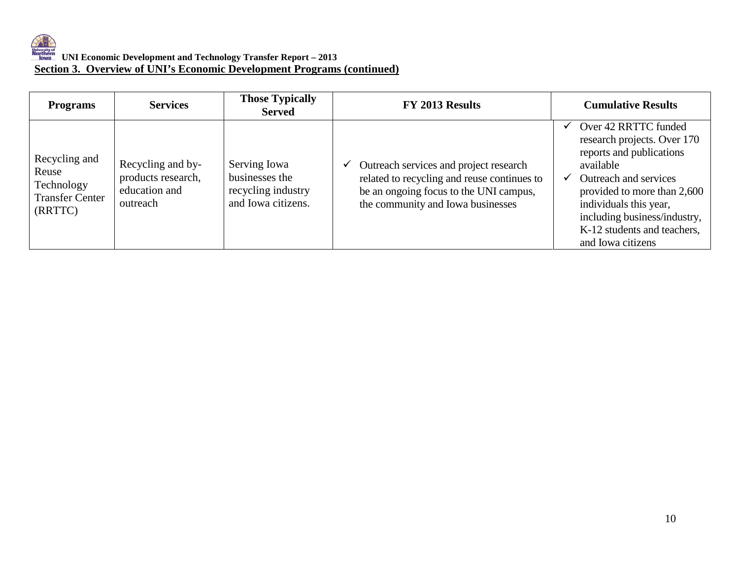| <b>Programs</b>                                                           | <b>Services</b>                                                      | <b>Those Typically</b><br><b>Served</b>                                    | FY 2013 Results                                                                                                                                                      | <b>Cumulative Results</b>                                                                                                                                                                                                                                          |
|---------------------------------------------------------------------------|----------------------------------------------------------------------|----------------------------------------------------------------------------|----------------------------------------------------------------------------------------------------------------------------------------------------------------------|--------------------------------------------------------------------------------------------------------------------------------------------------------------------------------------------------------------------------------------------------------------------|
| Recycling and<br>Reuse<br>Technology<br><b>Transfer Center</b><br>(RRTTC) | Recycling and by-<br>products research,<br>education and<br>outreach | Serving Iowa<br>businesses the<br>recycling industry<br>and Iowa citizens. | Outreach services and project research<br>related to recycling and reuse continues to<br>be an ongoing focus to the UNI campus,<br>the community and Iowa businesses | Over 42 RRTTC funded<br>research projects. Over 170<br>reports and publications<br>available<br>Outreach and services<br>provided to more than 2,600<br>individuals this year,<br>including business/industry,<br>K-12 students and teachers,<br>and Iowa citizens |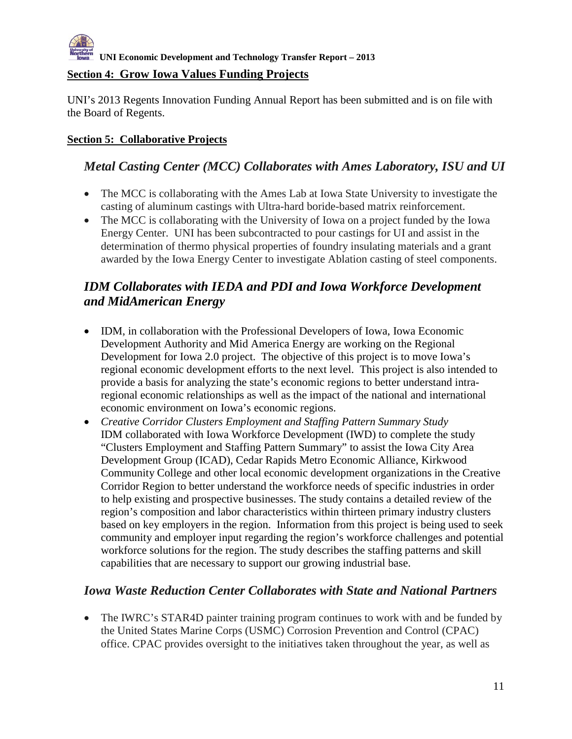## **Section 4: Grow Iowa Values Funding Projects**

UNI's 2013 Regents Innovation Funding Annual Report has been submitted and is on file with the Board of Regents.

## **Section 5: Collaborative Projects**

## *Metal Casting Center (MCC) Collaborates with Ames Laboratory, ISU and UI*

- The MCC is collaborating with the Ames Lab at Iowa State University to investigate the casting of aluminum castings with Ultra-hard boride-based matrix reinforcement.
- The MCC is collaborating with the University of Iowa on a project funded by the Iowa Energy Center. UNI has been subcontracted to pour castings for UI and assist in the determination of thermo physical properties of foundry insulating materials and a grant awarded by the Iowa Energy Center to investigate Ablation casting of steel components.

## *IDM Collaborates with IEDA and PDI and Iowa Workforce Development and MidAmerican Energy*

- IDM, in collaboration with the Professional Developers of Iowa, Iowa Economic Development Authority and Mid America Energy are working on the Regional Development for Iowa 2.0 project. The objective of this project is to move Iowa's regional economic development efforts to the next level. This project is also intended to provide a basis for analyzing the state's economic regions to better understand intraregional economic relationships as well as the impact of the national and international economic environment on Iowa's economic regions.
- *Creative Corridor Clusters Employment and Staffing Pattern Summary Study* IDM collaborated with Iowa Workforce Development (IWD) to complete the study "Clusters Employment and Staffing Pattern Summary" to assist the Iowa City Area Development Group (ICAD), Cedar Rapids Metro Economic Alliance, Kirkwood Community College and other local economic development organizations in the Creative Corridor Region to better understand the workforce needs of specific industries in order to help existing and prospective businesses. The study contains a detailed review of the region's composition and labor characteristics within thirteen primary industry clusters based on key employers in the region. Information from this project is being used to seek community and employer input regarding the region's workforce challenges and potential workforce solutions for the region. The study describes the staffing patterns and skill capabilities that are necessary to support our growing industrial base.

## *Iowa Waste Reduction Center Collaborates with State and National Partners*

• The IWRC's STAR4D painter training program continues to work with and be funded by the United States Marine Corps (USMC) Corrosion Prevention and Control (CPAC) office. CPAC provides oversight to the initiatives taken throughout the year, as well as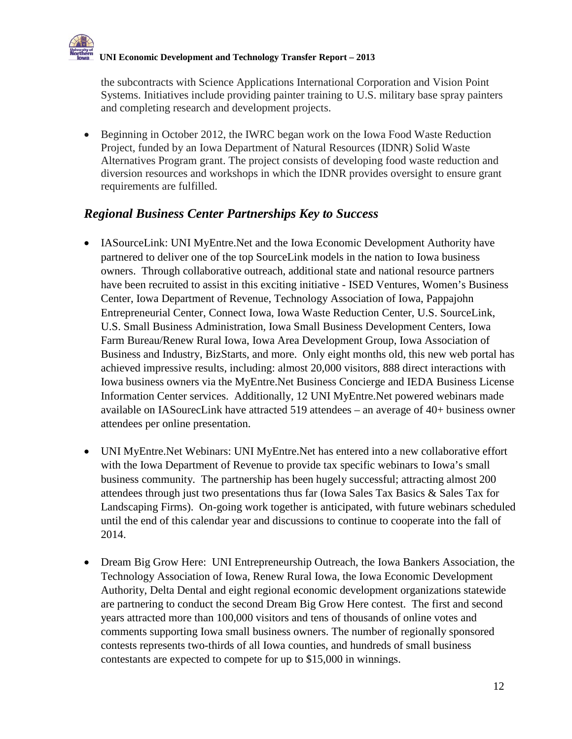the subcontracts with Science Applications International Corporation and Vision Point Systems. Initiatives include providing painter training to U.S. military base spray painters and completing research and development projects.

• Beginning in October 2012, the IWRC began work on the Iowa Food Waste Reduction Project, funded by an Iowa Department of Natural Resources (IDNR) Solid Waste Alternatives Program grant. The project consists of developing food waste reduction and diversion resources and workshops in which the IDNR provides oversight to ensure grant requirements are fulfilled.

## *Regional Business Center Partnerships Key to Success*

- IASourceLink: UNI MyEntre. Net and the Iowa Economic Development Authority have partnered to deliver one of the top SourceLink models in the nation to Iowa business owners. Through collaborative outreach, additional state and national resource partners have been recruited to assist in this exciting initiative - ISED Ventures, Women's Business Center, Iowa Department of Revenue, Technology Association of Iowa, Pappajohn Entrepreneurial Center, Connect Iowa, Iowa Waste Reduction Center, U.S. SourceLink, U.S. Small Business Administration, Iowa Small Business Development Centers, Iowa Farm Bureau/Renew Rural Iowa, Iowa Area Development Group, Iowa Association of Business and Industry, BizStarts, and more. Only eight months old, this new web portal has achieved impressive results, including: almost 20,000 visitors, 888 direct interactions with Iowa business owners via the MyEntre.Net Business Concierge and IEDA Business License Information Center services. Additionally, 12 UNI MyEntre.Net powered webinars made available on IASourecLink have attracted 519 attendees – an average of 40+ business owner attendees per online presentation.
- UNI MyEntre.Net Webinars: UNI MyEntre.Net has entered into a new collaborative effort with the Iowa Department of Revenue to provide tax specific webinars to Iowa's small business community. The partnership has been hugely successful; attracting almost 200 attendees through just two presentations thus far (Iowa Sales Tax Basics & Sales Tax for Landscaping Firms). On-going work together is anticipated, with future webinars scheduled until the end of this calendar year and discussions to continue to cooperate into the fall of 2014.
- Dream Big Grow Here: UNI Entrepreneurship Outreach, the Iowa Bankers Association, the Technology Association of Iowa, Renew Rural Iowa, the Iowa Economic Development Authority, Delta Dental and eight regional economic development organizations statewide are partnering to conduct the second Dream Big Grow Here contest. The first and second years attracted more than 100,000 visitors and tens of thousands of online votes and comments supporting Iowa small business owners. The number of regionally sponsored contests represents two-thirds of all Iowa counties, and hundreds of small business contestants are expected to compete for up to \$15,000 in winnings.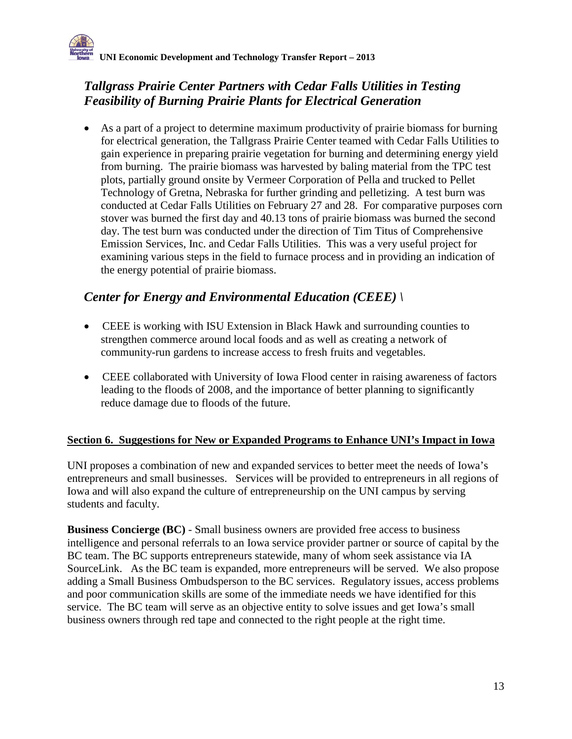## *Tallgrass Prairie Center Partners with Cedar Falls Utilities in Testing Feasibility of Burning Prairie Plants for Electrical Generation*

• As a part of a project to determine maximum productivity of prairie biomass for burning for electrical generation, the Tallgrass Prairie Center teamed with Cedar Falls Utilities to gain experience in preparing prairie vegetation for burning and determining energy yield from burning. The prairie biomass was harvested by baling material from the TPC test plots, partially ground onsite by Vermeer Corporation of Pella and trucked to Pellet Technology of Gretna, Nebraska for further grinding and pelletizing. A test burn was conducted at Cedar Falls Utilities on February 27 and 28. For comparative purposes corn stover was burned the first day and 40.13 tons of prairie biomass was burned the second day. The test burn was conducted under the direction of Tim Titus of Comprehensive Emission Services, Inc. and Cedar Falls Utilities. This was a very useful project for examining various steps in the field to furnace process and in providing an indication of the energy potential of prairie biomass.

## *Center for Energy and Environmental Education (CEEE) \*

- CEEE is working with ISU Extension in Black Hawk and surrounding counties to strengthen commerce around local foods and as well as creating a network of community-run gardens to increase access to fresh fruits and vegetables.
- CEEE collaborated with University of Iowa Flood center in raising awareness of factors leading to the floods of 2008, and the importance of better planning to significantly reduce damage due to floods of the future.

## **Section 6. Suggestions for New or Expanded Programs to Enhance UNI's Impact in Iowa**

UNI proposes a combination of new and expanded services to better meet the needs of Iowa's entrepreneurs and small businesses. Services will be provided to entrepreneurs in all regions of Iowa and will also expand the culture of entrepreneurship on the UNI campus by serving students and faculty.

**Business Concierge (BC)** - Small business owners are provided free access to business intelligence and personal referrals to an Iowa service provider partner or source of capital by the BC team. The BC supports entrepreneurs statewide, many of whom seek assistance via IA SourceLink. As the BC team is expanded, more entrepreneurs will be served. We also propose adding a Small Business Ombudsperson to the BC services. Regulatory issues, access problems and poor communication skills are some of the immediate needs we have identified for this service. The BC team will serve as an objective entity to solve issues and get Iowa's small business owners through red tape and connected to the right people at the right time.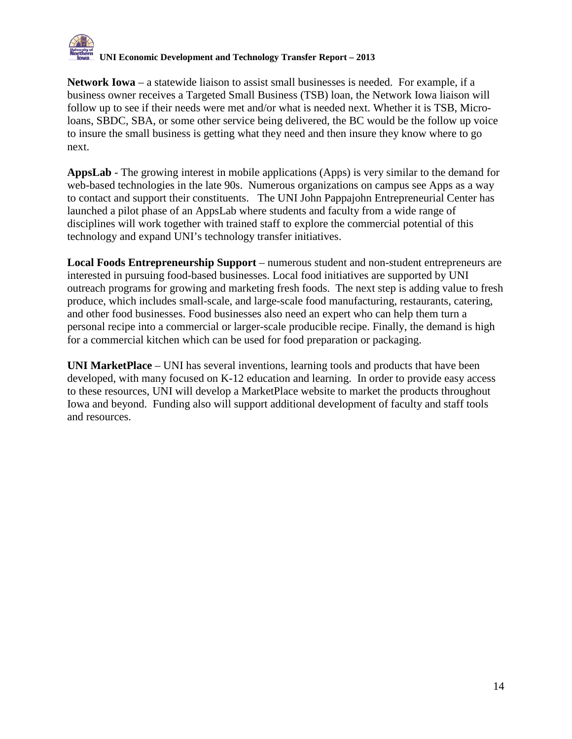

**Network Iowa** – a statewide liaison to assist small businesses is needed. For example, if a business owner receives a Targeted Small Business (TSB) loan, the Network Iowa liaison will follow up to see if their needs were met and/or what is needed next. Whether it is TSB, Microloans, SBDC, SBA, or some other service being delivered, the BC would be the follow up voice to insure the small business is getting what they need and then insure they know where to go next.

**AppsLab** - The growing interest in mobile applications (Apps) is very similar to the demand for web-based technologies in the late 90s. Numerous organizations on campus see Apps as a way to contact and support their constituents. The UNI John Pappajohn Entrepreneurial Center has launched a pilot phase of an AppsLab where students and faculty from a wide range of disciplines will work together with trained staff to explore the commercial potential of this technology and expand UNI's technology transfer initiatives.

**Local Foods Entrepreneurship Support** – numerous student and non-student entrepreneurs are interested in pursuing food-based businesses. Local food initiatives are supported by UNI outreach programs for growing and marketing fresh foods. The next step is adding value to fresh produce, which includes small-scale, and large-scale food manufacturing, restaurants, catering, and other food businesses. Food businesses also need an expert who can help them turn a personal recipe into a commercial or larger-scale producible recipe. Finally, the demand is high for a commercial kitchen which can be used for food preparation or packaging.

**UNI MarketPlace** – UNI has several inventions, learning tools and products that have been developed, with many focused on K-12 education and learning. In order to provide easy access to these resources, UNI will develop a MarketPlace website to market the products throughout Iowa and beyond. Funding also will support additional development of faculty and staff tools and resources.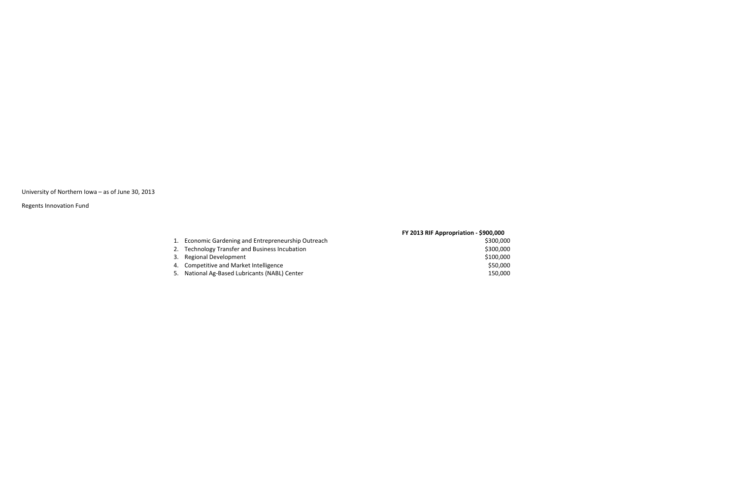University of Northern Iowa – as of June 30, 2013

|    |                                                     | FY 2013 RIF Appropriation - $$900,000$ |
|----|-----------------------------------------------------|----------------------------------------|
|    | 1. Economic Gardening and Entrepreneurship Outreach | \$300,000                              |
|    | 2. Technology Transfer and Business Incubation      | \$300,000                              |
| 3. | <b>Regional Development</b>                         | \$100,000                              |
|    | 4. Competitive and Market Intelligence              | \$50,000                               |
|    | 5. National Ag-Based Lubricants (NABL) Center       | 150,000                                |
|    |                                                     |                                        |

Regents Innovation Fund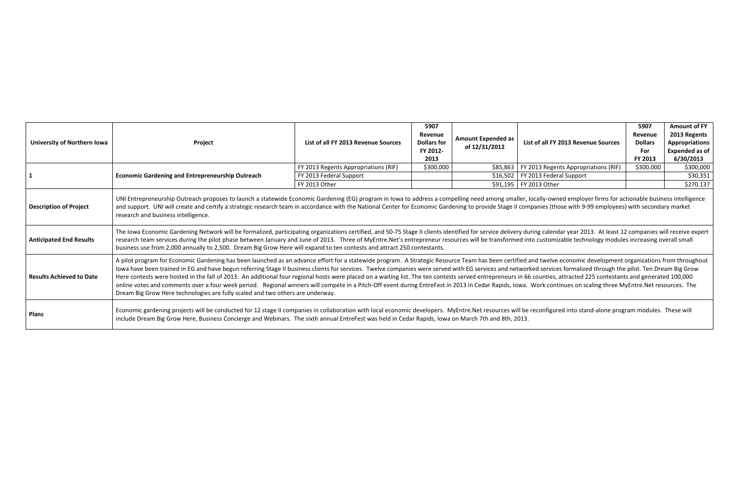| University of Northern Iowa     | Project                                                                                                                                                                                                                                                                                                                                                                                                                                                                                                                                                                                                                                                                                                                                                                                                                                                                                                                                                                 | List of all FY 2013 Revenue Sources      | 5907<br>Revenue<br><b>Dollars for</b><br>FY 2012-<br>2013 | <b>Amount Expended as</b><br>of 12/31/2012 | List of all FY 2013 Revenue Sources                             | 5907<br>Revenue<br><b>Dollars</b><br>For<br>FY 2013 | <b>Amount of FY</b><br>2013 Regents<br><b>Appropriations</b><br><b>Expended as of</b><br>6/30/2013 |
|---------------------------------|-------------------------------------------------------------------------------------------------------------------------------------------------------------------------------------------------------------------------------------------------------------------------------------------------------------------------------------------------------------------------------------------------------------------------------------------------------------------------------------------------------------------------------------------------------------------------------------------------------------------------------------------------------------------------------------------------------------------------------------------------------------------------------------------------------------------------------------------------------------------------------------------------------------------------------------------------------------------------|------------------------------------------|-----------------------------------------------------------|--------------------------------------------|-----------------------------------------------------------------|-----------------------------------------------------|----------------------------------------------------------------------------------------------------|
|                                 |                                                                                                                                                                                                                                                                                                                                                                                                                                                                                                                                                                                                                                                                                                                                                                                                                                                                                                                                                                         | FY 2013 Regents Appropriations (RIF)     | \$300,000                                                 | \$85,863                                   | FY 2013 Regents Appropriations (RIF)                            | \$300,000                                           | \$300,000                                                                                          |
|                                 | <b>Economic Gardening and Entrepreneurship Outreach</b>                                                                                                                                                                                                                                                                                                                                                                                                                                                                                                                                                                                                                                                                                                                                                                                                                                                                                                                 | FY 2013 Federal Support<br>FY 2013 Other |                                                           |                                            | $$16,502$   FY 2013 Federal Support<br>\$91,195   FY 2013 Other |                                                     | \$30,351<br>\$270.137                                                                              |
| Description of Project          | UNI Entrepreneurship Outreach proposes to launch a statewide Economic Gardening (EG) program in Iowa to address a compelling need among smaller, locally-owned employer firms for actionable business intelligence<br>and support. UNI will create and certify a strategic research team in accordance with the National Center for Economic Gardening to provide Stage II companies (those with 9-99 employees) with secondary market<br>research and business intelligence.                                                                                                                                                                                                                                                                                                                                                                                                                                                                                           |                                          |                                                           |                                            |                                                                 |                                                     |                                                                                                    |
| <b>Anticipated End Results</b>  | The Iowa Economic Gardening Network will be formalized, participating organizations certified, and 50-75 Stage II clients identified for service delivery during calendar year 2013. At least 12 companies will receive expert<br>research team services during the pilot phase between January and June of 2013. Three of MyEntre.Net's entrepreneur resources will be transformed into customizable technology modules increasing overall small<br>business use from 2,000 annually to 2,500. Dream Big Grow Here will expand to ten contests and attract 250 contestants.                                                                                                                                                                                                                                                                                                                                                                                            |                                          |                                                           |                                            |                                                                 |                                                     |                                                                                                    |
| <b>Results Achieved to Date</b> | A pilot program for Economic Gardening has been launched as an advance effort for a statewide program. A Strategic Resource Team has been certified and twelve economic development organizations from throughout<br>lowa have been trained in EG and have begun referring Stage II business clients for services. Twelve companies were served with EG services and networked services formalized through the pilot. Ten Dream Big Grow<br>Here contests were hosted in the fall of 2013. An additional four regional hosts were placed on a waiting list. The ten contests served entrepreneurs in 66 counties, attracted 225 contestants and generated 100,000<br>online votes and comments over a four week period. Regional winners will compete in a Pitch-Off event during EntreFest in 2013 in Cedar Rapids, Iowa. Work continues on scaling three MyEntre.Net resources. The<br>Dream Big Grow Here technologies are fully scaled and two others are underway. |                                          |                                                           |                                            |                                                                 |                                                     |                                                                                                    |
| <b>Plans</b>                    | Economic gardening projects will be conducted for 12 stage II companies in collaboration with local economic developers. MyEntre.Net resources will be reconfigured into stand-alone program modules. These will<br>include Dream Big Grow Here, Business Concierge and Webinars. The sixth annual EntreFest was held in Cedar Rapids, Iowa on March 7th and 8th, 2013.                                                                                                                                                                                                                                                                                                                                                                                                                                                                                                                                                                                                 |                                          |                                                           |                                            |                                                                 |                                                     |                                                                                                    |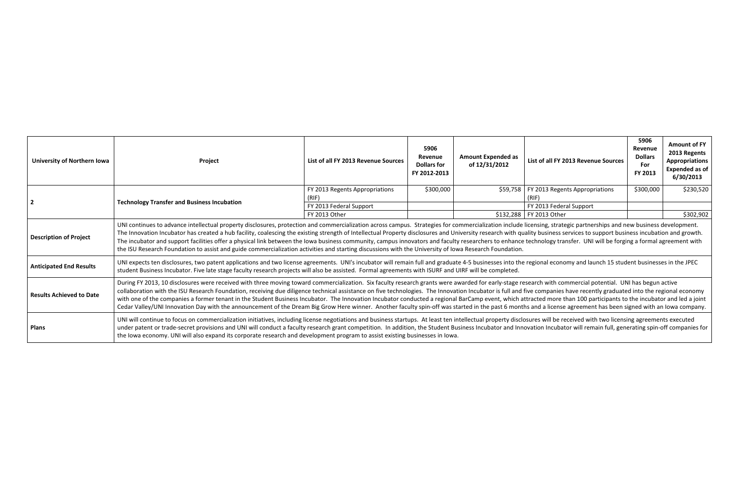| University of Northern Iowa     | Project                                                                                                                                                                                                                                                                                                                                                                                                                                                                                                                                                                                                                                                                                                                                                                                                                                                                             | List of all FY 2013 Revenue Sources | 5906<br>Revenue<br><b>Dollars for</b><br>FY 2012-2013 | <b>Amount Expended as</b><br>of 12/31/2012 | List of all FY 2013 Revenue Sources       | 5906<br>Revenue<br><b>Dollars</b><br>For<br>FY 2013 | <b>Amount of FY</b><br>2013 Regents<br>Appropriations<br><b>Expended as of</b><br>6/30/2013 |
|---------------------------------|-------------------------------------------------------------------------------------------------------------------------------------------------------------------------------------------------------------------------------------------------------------------------------------------------------------------------------------------------------------------------------------------------------------------------------------------------------------------------------------------------------------------------------------------------------------------------------------------------------------------------------------------------------------------------------------------------------------------------------------------------------------------------------------------------------------------------------------------------------------------------------------|-------------------------------------|-------------------------------------------------------|--------------------------------------------|-------------------------------------------|-----------------------------------------------------|---------------------------------------------------------------------------------------------|
|                                 |                                                                                                                                                                                                                                                                                                                                                                                                                                                                                                                                                                                                                                                                                                                                                                                                                                                                                     | FY 2013 Regents Appropriations      | \$300,000                                             |                                            | \$59,758   FY 2013 Regents Appropriations | \$300,000                                           | \$230,520                                                                                   |
|                                 | <b>Technology Transfer and Business Incubation</b>                                                                                                                                                                                                                                                                                                                                                                                                                                                                                                                                                                                                                                                                                                                                                                                                                                  | (RIF)                               |                                                       |                                            | (RIF)                                     |                                                     |                                                                                             |
|                                 |                                                                                                                                                                                                                                                                                                                                                                                                                                                                                                                                                                                                                                                                                                                                                                                                                                                                                     | FY 2013 Federal Support             |                                                       |                                            | FY 2013 Federal Support                   |                                                     |                                                                                             |
|                                 |                                                                                                                                                                                                                                                                                                                                                                                                                                                                                                                                                                                                                                                                                                                                                                                                                                                                                     | FY 2013 Other                       |                                                       |                                            | \$132,288   FY 2013 Other                 |                                                     | \$302,902                                                                                   |
| <b>Description of Project</b>   | UNI continues to advance intellectual property disclosures, protection and commercialization across campus. Strategies for commercialization include licensing, strategic partnerships and new business development.<br>The Innovation Incubator has created a hub facility, coalescing the existing strength of Intellectual Property disclosures and University research with quality business services to support business incubation and growth.<br>The incubator and support facilities offer a physical link between the lowa business community, campus innovators and faculty researchers to enhance technology transfer. UNI will be forging a formal agreement with<br>the ISU Research Foundation to assist and guide commercialization activities and starting discussions with the University of Iowa Research Foundation.                                             |                                     |                                                       |                                            |                                           |                                                     |                                                                                             |
| <b>Anticipated End Results</b>  | UNI expects ten disclosures, two patent applications and two license agreements. UNI's incubator will remain full and graduate 4-5 businesses into the regional economy and launch 15 student businesses in the JPEC<br>student Business Incubator. Five late stage faculty research projects will also be assisted. Formal agreements with ISURF and UIRF will be completed.                                                                                                                                                                                                                                                                                                                                                                                                                                                                                                       |                                     |                                                       |                                            |                                           |                                                     |                                                                                             |
| <b>Results Achieved to Date</b> | During FY 2013, 10 disclosures were received with three moving toward commercialization. Six faculty research grants were awarded for early-stage research with commercial potential. UNI has begun active<br>collaboration with the ISU Research Foundation, receiving due diligence technical assistance on five technologies. The Innovation Incubator is full and five companies have recently graduated into the regional economy<br>with one of the companies a former tenant in the Student Business Incubator. The Innovation Incubator conducted a regional BarCamp event, which attracted more than 100 participants to the incubator and led a joint<br>Cedar Valley/UNI Innovation Day with the announcement of the Dream Big Grow Here winner. Another faculty spin-off was started in the past 6 months and a license agreement has been signed with an Iowa company. |                                     |                                                       |                                            |                                           |                                                     |                                                                                             |
| <b>Plans</b>                    | UNI will continue to focus on commercialization initiatives, including license negotiations and business startups. At least ten intellectual property disclosures will be received with two licensing agreements executed<br>under patent or trade-secret provisions and UNI will conduct a faculty research grant competition. In addition, the Student Business Incubator and Innovation Incubator will remain full, generating spin-off companies for<br>the Iowa economy. UNI will also expand its corporate research and development program to assist existing businesses in Iowa.                                                                                                                                                                                                                                                                                            |                                     |                                                       |                                            |                                           |                                                     |                                                                                             |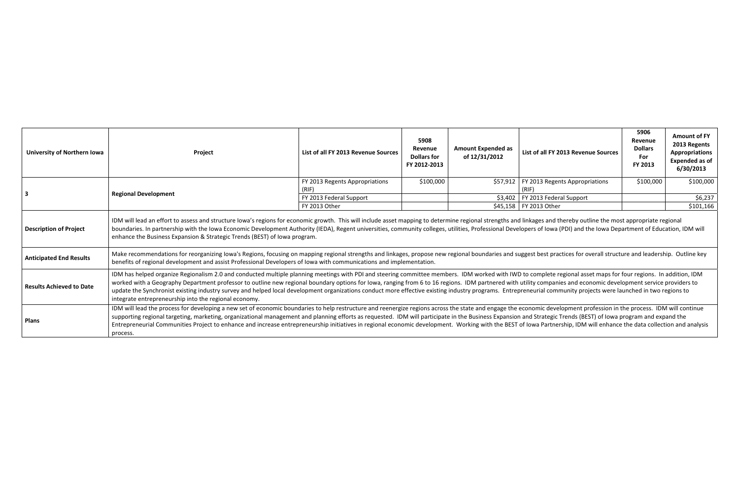| <b>University of Northern Iowa</b>                              | Project                                                                                                                                                                                                                                                                                                                                                                                                                                                                                                                                                                                                                                                                                                                                                | List of all FY 2013 Revenue Sources     | 5908<br>Revenue<br><b>Dollars for</b><br>FY 2012-2013 | <b>Amount Expended as</b><br>of 12/31/2012 | List of all FY 2013 Revenue Sources                | 5906<br>Revenue<br><b>Dollars</b><br>For<br>FY 2013 | <b>Amount of FY</b><br>2013 Regents<br><b>Appropriations</b><br><b>Expended as of</b><br>6/30/2013 |  |
|-----------------------------------------------------------------|--------------------------------------------------------------------------------------------------------------------------------------------------------------------------------------------------------------------------------------------------------------------------------------------------------------------------------------------------------------------------------------------------------------------------------------------------------------------------------------------------------------------------------------------------------------------------------------------------------------------------------------------------------------------------------------------------------------------------------------------------------|-----------------------------------------|-------------------------------------------------------|--------------------------------------------|----------------------------------------------------|-----------------------------------------------------|----------------------------------------------------------------------------------------------------|--|
|                                                                 |                                                                                                                                                                                                                                                                                                                                                                                                                                                                                                                                                                                                                                                                                                                                                        | FY 2013 Regents Appropriations<br>(RIF) | \$100,000                                             |                                            | \$57,912   FY 2013 Regents Appropriations<br>(RIF) | \$100,000                                           | \$100,000                                                                                          |  |
|                                                                 | <b>Regional Development</b>                                                                                                                                                                                                                                                                                                                                                                                                                                                                                                                                                                                                                                                                                                                            | FY 2013 Federal Support                 |                                                       |                                            | $$3,402$   FY 2013 Federal Support                 |                                                     | \$6,237                                                                                            |  |
|                                                                 |                                                                                                                                                                                                                                                                                                                                                                                                                                                                                                                                                                                                                                                                                                                                                        | FY 2013 Other                           |                                                       |                                            | \$45,158   FY 2013 Other                           |                                                     | \$101,166                                                                                          |  |
| <b>Description of Project</b><br><b>Anticipated End Results</b> | IDM will lead an effort to assess and structure Iowa's regions for economic growth. This will include asset mapping to determine regional strengths and linkages and thereby outline the most appropriate regional<br>boundaries. In partnership with the Iowa Economic Development Authority (IEDA), Regent universities, community colleges, utilities, Professional Developers of Iowa (PDI) and the Iowa Department of Education, IDM will<br>enhance the Business Expansion & Strategic Trends (BEST) of Iowa program.<br>Make recommendations for reorganizing Iowa's Regions, focusing on mapping regional strengths and linkages, propose new regional boundaries and suggest best practices for overall structure and leadership. Outline key |                                         |                                                       |                                            |                                                    |                                                     |                                                                                                    |  |
|                                                                 | benefits of regional development and assist Professional Developers of Iowa with communications and implementation.                                                                                                                                                                                                                                                                                                                                                                                                                                                                                                                                                                                                                                    |                                         |                                                       |                                            |                                                    |                                                     |                                                                                                    |  |
| <b>Results Achieved to Date</b>                                 | IDM has helped organize Regionalism 2.0 and conducted multiple planning meetings with PDI and steering committee members. IDM worked with IWD to complete regional asset maps for four regions. In addition, IDM<br>worked with a Geography Department professor to outline new regional boundary options for Iowa, ranging from 6 to 16 regions. IDM partnered with utility companies and economic development service providers to<br>update the Synchronist existing industry survey and helped local development organizations conduct more effective existing industry programs. Entrepreneurial community projects were launched in two regions to<br>integrate entrepreneurship into the regional economy.                                      |                                         |                                                       |                                            |                                                    |                                                     |                                                                                                    |  |
| <b>Plans</b>                                                    | IDM will lead the process for developing a new set of economic boundaries to help restructure and reenergize regions across the state and engage the economic development profession in the process. IDM will continue<br>supporting regional targeting, marketing, organizational management and planning efforts as requested. IDM will participate in the Business Expansion and Strategic Trends (BEST) of lowa program and expand the<br>Entrepreneurial Communities Project to enhance and increase entrepreneurship initiatives in regional economic development. Working with the BEST of Iowa Partnership, IDM will enhance the data collection and analysis<br>process.                                                                      |                                         |                                                       |                                            |                                                    |                                                     |                                                                                                    |  |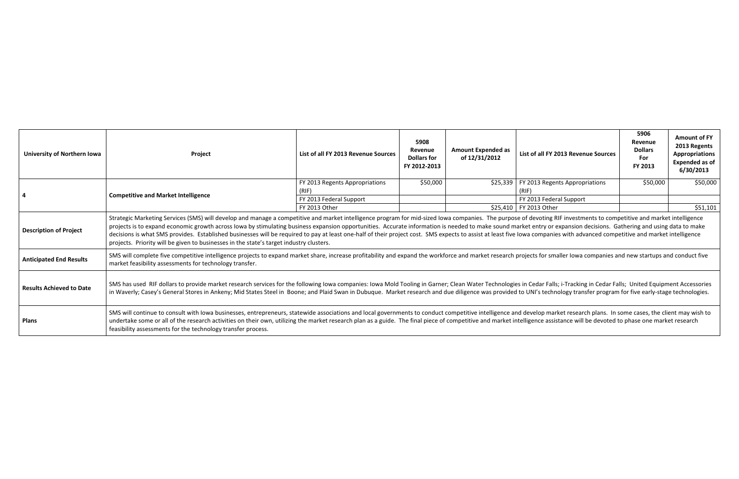| <b>University of Northern Iowa</b> | Project                                                                                                                                                                                                                                                                                                                                                                                                                                                                                                                                                                                                                                                                                                                                                                   | List of all FY 2013 Revenue Sources | 5908<br>Revenue<br><b>Dollars for</b><br>FY 2012-2013 | <b>Amount Expended as</b><br>of 12/31/2012 | List of all FY 2013 Revenue Sources | 5906<br>Revenue<br><b>Dollars</b><br>For<br>FY 2013 | <b>Amount of FY</b><br>2013 Regents<br>Appropriations<br><b>Expended as of</b><br>6/30/2013 |  |  |  |  |
|------------------------------------|---------------------------------------------------------------------------------------------------------------------------------------------------------------------------------------------------------------------------------------------------------------------------------------------------------------------------------------------------------------------------------------------------------------------------------------------------------------------------------------------------------------------------------------------------------------------------------------------------------------------------------------------------------------------------------------------------------------------------------------------------------------------------|-------------------------------------|-------------------------------------------------------|--------------------------------------------|-------------------------------------|-----------------------------------------------------|---------------------------------------------------------------------------------------------|--|--|--|--|
|                                    | <b>Competitive and Market Intelligence</b>                                                                                                                                                                                                                                                                                                                                                                                                                                                                                                                                                                                                                                                                                                                                | FY 2013 Regents Appropriations      | \$50,000                                              | \$25,339                                   | FY 2013 Regents Appropriations      | \$50,000                                            | \$50,000                                                                                    |  |  |  |  |
|                                    |                                                                                                                                                                                                                                                                                                                                                                                                                                                                                                                                                                                                                                                                                                                                                                           | (RIF)                               |                                                       |                                            | (RIF)                               |                                                     |                                                                                             |  |  |  |  |
|                                    |                                                                                                                                                                                                                                                                                                                                                                                                                                                                                                                                                                                                                                                                                                                                                                           | FY 2013 Federal Support             |                                                       |                                            | FY 2013 Federal Support             |                                                     |                                                                                             |  |  |  |  |
|                                    |                                                                                                                                                                                                                                                                                                                                                                                                                                                                                                                                                                                                                                                                                                                                                                           | FY 2013 Other                       |                                                       |                                            | \$25,410   FY 2013 Other            |                                                     | \$51,101                                                                                    |  |  |  |  |
| <b>Description of Project</b>      | Strategic Marketing Services (SMS) will develop and manage a competitive and market intelligence program for mid-sized Iowa companies. The purpose of devoting RIF investments to competitive and market intelligence<br>projects is to expand economic growth across lowa by stimulating business expansion opportunities. Accurate information is needed to make sound market entry or expansion decisions. Gathering and using data to make<br>decisions is what SMS provides. Established businesses will be required to pay at least one-half of their project cost. SMS expects to assist at least five lowa companies with advanced competitive and market intelligence<br>projects. Priority will be given to businesses in the state's target industry clusters. |                                     |                                                       |                                            |                                     |                                                     |                                                                                             |  |  |  |  |
| <b>Anticipated End Results</b>     | SMS will complete five competitive intelligence projects to expand market share, increase profitability and expand the workforce and market research projects for smaller lowa companies and new startups and conduct five<br>market feasibility assessments for technology transfer.                                                                                                                                                                                                                                                                                                                                                                                                                                                                                     |                                     |                                                       |                                            |                                     |                                                     |                                                                                             |  |  |  |  |
| Results Achieved to Date           | SMS has used RIF dollars to provide market research services for the following Iowa companies: Iowa Mold Tooling in Garner; Clean Water Technologies in Cedar Falls; i-Tracking in Cedar Falls; United Equipment Accessories<br>in Waverly; Casey's General Stores in Ankeny; Mid States Steel in Boone; and Plaid Swan in Dubuque. Market research and due diligence was provided to UNI's technology transfer program for five early-stage technologies.                                                                                                                                                                                                                                                                                                                |                                     |                                                       |                                            |                                     |                                                     |                                                                                             |  |  |  |  |
| <b>Plans</b>                       | SMS will continue to consult with lowa businesses, entrepreneurs, statewide associations and local governments to conduct competitive intelligence and develop market research plans. In some cases, the client may wish to<br>undertake some or all of the research activities on their own, utilizing the market research plan as a guide. The final piece of competitive and market intelligence assistance will be devoted to phase one market research<br>feasibility assessments for the technology transfer process.                                                                                                                                                                                                                                               |                                     |                                                       |                                            |                                     |                                                     |                                                                                             |  |  |  |  |